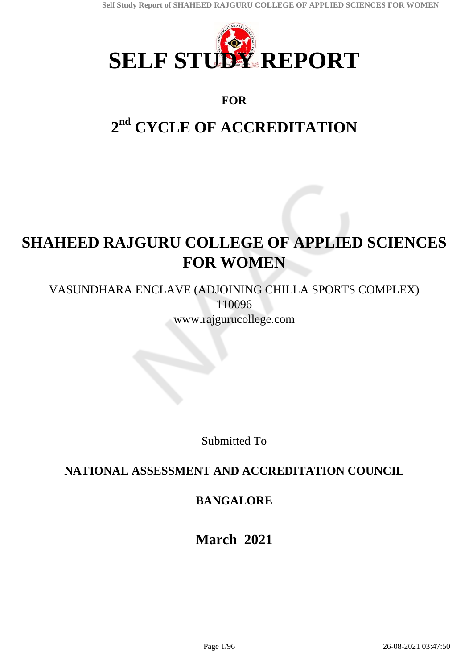

# **FOR**

# **2 nd CYCLE OF ACCREDITATION**

# **SHAHEED RAJGURU COLLEGE OF APPLIED SCIENCES FOR WOMEN**

VASUNDHARA ENCLAVE (ADJOINING CHILLA SPORTS COMPLEX) 110096 www.rajgurucollege.com

Submitted To

# **NATIONAL ASSESSMENT AND ACCREDITATION COUNCIL**

# **BANGALORE**

**March 2021**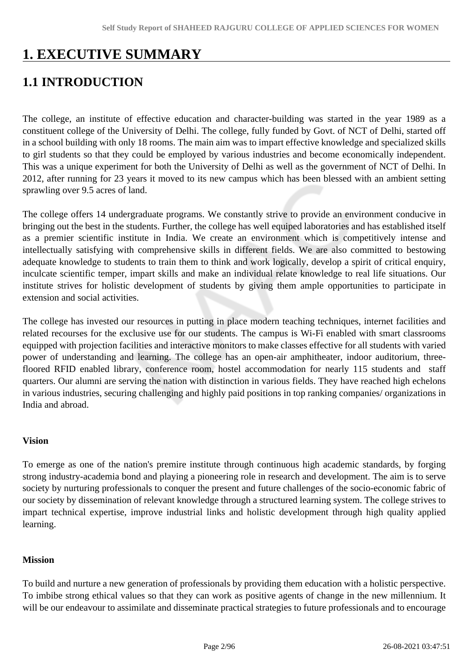# **1. EXECUTIVE SUMMARY**

# **1.1 INTRODUCTION**

The college, an institute of effective education and character-building was started in the year 1989 as a constituent college of the University of Delhi. The college, fully funded by Govt. of NCT of Delhi, started off in a school building with only 18 rooms. The main aim was to impart effective knowledge and specialized skills to girl students so that they could be employed by various industries and become economically independent. This was a unique experiment for both the University of Delhi as well as the government of NCT of Delhi. In 2012, after running for 23 years it moved to its new campus which has been blessed with an ambient setting sprawling over 9.5 acres of land.

The college offers 14 undergraduate programs. We constantly strive to provide an environment conducive in bringing out the best in the students. Further, the college has well equiped laboratories and has established itself as a premier scientific institute in India. We create an environment which is competitively intense and intellectually satisfying with comprehensive skills in different fields. We are also committed to bestowing adequate knowledge to students to train them to think and work logically, develop a spirit of critical enquiry, inculcate scientific temper, impart skills and make an individual relate knowledge to real life situations. Our institute strives for holistic development of students by giving them ample opportunities to participate in extension and social activities.

The college has invested our resources in putting in place modern teaching techniques, internet facilities and related recourses for the exclusive use for our students. The campus is Wi-Fi enabled with smart classrooms equipped with projection facilities and interactive monitors to make classes effective for all students with varied power of understanding and learning. The college has an open-air amphitheater, indoor auditorium, threefloored RFID enabled library, conference room, hostel accommodation for nearly 115 students and staff quarters. Our alumni are serving the nation with distinction in various fields. They have reached high echelons in various industries, securing challenging and highly paid positions in top ranking companies/ organizations in India and abroad.

#### **Vision**

To emerge as one of the nation's premire institute through continuous high academic standards, by forging strong industry-academia bond and playing a pioneering role in research and development. The aim is to serve society by nurturing professionals to conquer the present and future challenges of the socio-economic fabric of our society by dissemination of relevant knowledge through a structured learning system. The college strives to impart technical expertise, improve industrial links and holistic development through high quality applied learning.

#### **Mission**

To build and nurture a new generation of professionals by providing them education with a holistic perspective. To imbibe strong ethical values so that they can work as positive agents of change in the new millennium. It will be our endeavour to assimilate and disseminate practical strategies to future professionals and to encourage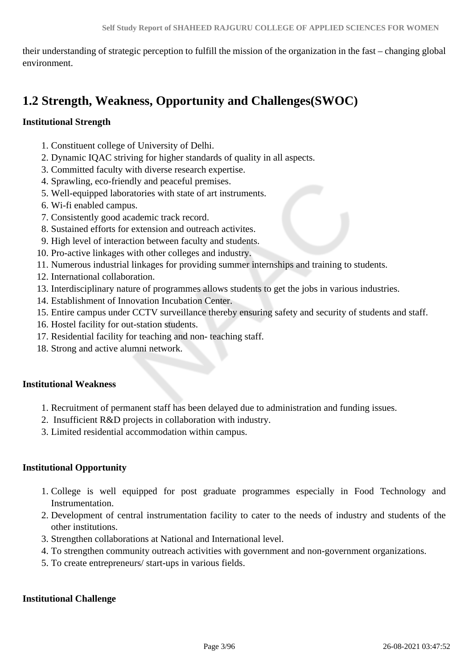their understanding of strategic perception to fulfill the mission of the organization in the fast – changing global environment.

# **1.2 Strength, Weakness, Opportunity and Challenges(SWOC)**

### **Institutional Strength**

- 1. Constituent college of University of Delhi.
- 2. Dynamic IQAC striving for higher standards of quality in all aspects.
- 3. Committed faculty with diverse research expertise.
- 4. Sprawling, eco-friendly and peaceful premises.
- 5. Well-equipped laboratories with state of art instruments.
- 6. Wi-fi enabled campus.
- 7. Consistently good academic track record.
- 8. Sustained efforts for extension and outreach activites.
- 9. High level of interaction between faculty and students.
- 10. Pro-active linkages with other colleges and industry.
- 11. Numerous industrial linkages for providing summer internships and training to students.
- 12. International collaboration.
- 13. Interdisciplinary nature of programmes allows students to get the jobs in various industries.
- 14. Establishment of Innovation Incubation Center.
- 15. Entire campus under CCTV surveillance thereby ensuring safety and security of students and staff.
- 16. Hostel facility for out-station students.
- 17. Residential facility for teaching and non- teaching staff.
- 18. Strong and active alumni network.

#### **Institutional Weakness**

- 1. Recruitment of permanent staff has been delayed due to administration and funding issues.
- 2. Insufficient R&D projects in collaboration with industry.
- 3. Limited residential accommodation within campus.

# **Institutional Opportunity**

- 1. College is well equipped for post graduate programmes especially in Food Technology and Instrumentation.
- 2. Development of central instrumentation facility to cater to the needs of industry and students of the other institutions.
- 3. Strengthen collaborations at National and International level.
- 4. To strengthen community outreach activities with government and non-government organizations.
- 5. To create entrepreneurs/ start-ups in various fields.

#### **Institutional Challenge**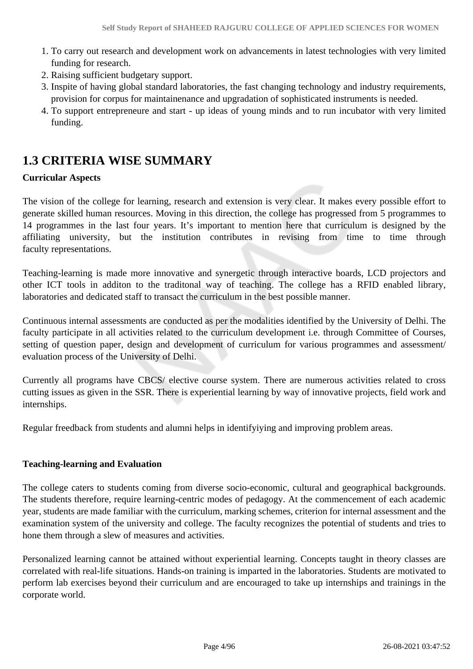- 1. To carry out research and development work on advancements in latest technologies with very limited funding for research.
- 2. Raising sufficient budgetary support.
- 3. Inspite of having global standard laboratories, the fast changing technology and industry requirements, provision for corpus for maintainenance and upgradation of sophisticated instruments is needed.
- 4. To support entrepreneure and start up ideas of young minds and to run incubator with very limited funding.

# **1.3 CRITERIA WISE SUMMARY**

# **Curricular Aspects**

The vision of the college for learning, research and extension is very clear. It makes every possible effort to generate skilled human resources. Moving in this direction, the college has progressed from 5 programmes to 14 programmes in the last four years. It's important to mention here that curriculum is designed by the affiliating university, but the institution contributes in revising from time to time through faculty representations.

Teaching-learning is made more innovative and synergetic through interactive boards, LCD projectors and other ICT tools in additon to the traditonal way of teaching. The college has a RFID enabled library, laboratories and dedicated staff to transact the curriculum in the best possible manner.

Continuous internal assessments are conducted as per the modalities identified by the University of Delhi. The faculty participate in all activities related to the curriculum development i.e. through Committee of Courses, setting of question paper, design and development of curriculum for various programmes and assessment/ evaluation process of the University of Delhi.

Currently all programs have CBCS/ elective course system. There are numerous activities related to cross cutting issues as given in the SSR. There is experiential learning by way of innovative projects, field work and internships.

Regular freedback from students and alumni helps in identifyiying and improving problem areas.

#### **Teaching-learning and Evaluation**

The college caters to students coming from diverse socio-economic, cultural and geographical backgrounds. The students therefore, require learning-centric modes of pedagogy. At the commencement of each academic year, students are made familiar with the curriculum, marking schemes, criterion for internal assessment and the examination system of the university and college. The faculty recognizes the potential of students and tries to hone them through a slew of measures and activities.

Personalized learning cannot be attained without experiential learning. Concepts taught in theory classes are correlated with real-life situations. Hands-on training is imparted in the laboratories. Students are motivated to perform lab exercises beyond their curriculum and are encouraged to take up internships and trainings in the corporate world.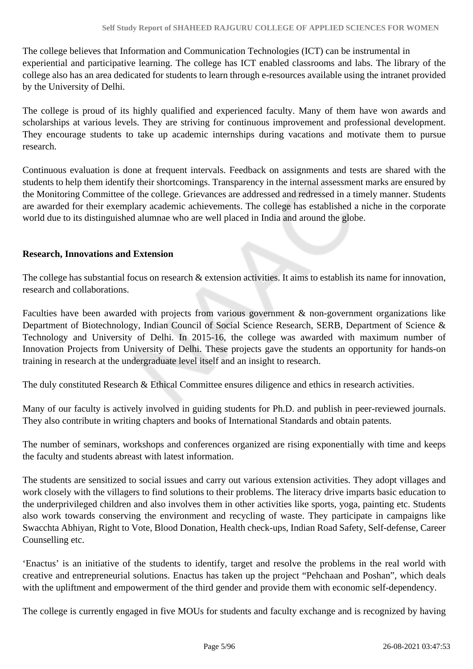The college believes that Information and Communication Technologies (ICT) can be instrumental in experiential and participative learning. The college has ICT enabled classrooms and labs. The library of the college also has an area dedicated for students to learn through e-resources available using the intranet provided by the University of Delhi.

The college is proud of its highly qualified and experienced faculty. Many of them have won awards and scholarships at various levels. They are striving for continuous improvement and professional development. They encourage students to take up academic internships during vacations and motivate them to pursue research.

Continuous evaluation is done at frequent intervals. Feedback on assignments and tests are shared with the students to help them identify their shortcomings. Transparency in the internal assessment marks are ensured by the Monitoring Committee of the college. Grievances are addressed and redressed in a timely manner. Students are awarded for their exemplary academic achievements. The college has established a niche in the corporate world due to its distinguished alumnae who are well placed in India and around the globe.

#### **Research, Innovations and Extension**

The college has substantial focus on research & extension activities. It aims to establish its name for innovation, research and collaborations.

Faculties have been awarded with projects from various government & non-government organizations like Department of Biotechnology, Indian Council of Social Science Research, SERB, Department of Science & Technology and University of Delhi. In 2015-16, the college was awarded with maximum number of Innovation Projects from University of Delhi. These projects gave the students an opportunity for hands-on training in research at the undergraduate level itself and an insight to research.

The duly constituted Research & Ethical Committee ensures diligence and ethics in research activities.

Many of our faculty is actively involved in guiding students for Ph.D. and publish in peer-reviewed journals. They also contribute in writing chapters and books of International Standards and obtain patents.

The number of seminars, workshops and conferences organized are rising exponentially with time and keeps the faculty and students abreast with latest information.

The students are sensitized to social issues and carry out various extension activities. They adopt villages and work closely with the villagers to find solutions to their problems. The literacy drive imparts basic education to the underprivileged children and also involves them in other activities like sports, yoga, painting etc. Students also work towards conserving the environment and recycling of waste. They participate in campaigns like Swacchta Abhiyan, Right to Vote, Blood Donation, Health check-ups, Indian Road Safety, Self-defense, Career Counselling etc.

'Enactus' is an initiative of the students to identify, target and resolve the problems in the real world with creative and entrepreneurial solutions. Enactus has taken up the project "Pehchaan and Poshan", which deals with the upliftment and empowerment of the third gender and provide them with economic self-dependency.

The college is currently engaged in five MOUs for students and faculty exchange and is recognized by having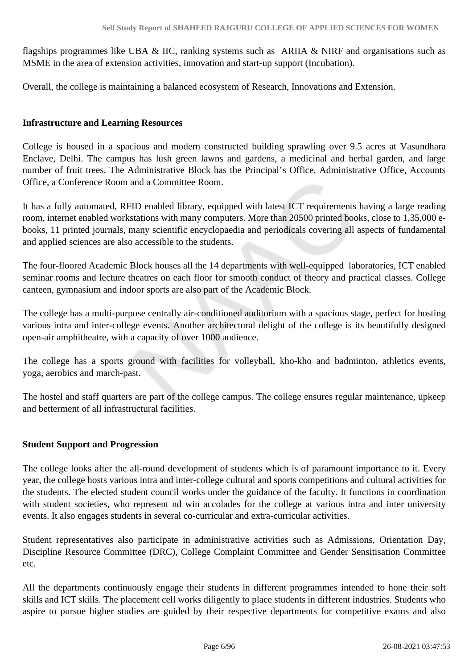flagships programmes like UBA & IIC, ranking systems such as ARIIA & NIRF and organisations such as MSME in the area of extension activities, innovation and start-up support (Incubation).

Overall, the college is maintaining a balanced ecosystem of Research, Innovations and Extension.

#### **Infrastructure and Learning Resources**

College is housed in a spacious and modern constructed building sprawling over 9.5 acres at Vasundhara Enclave, Delhi. The campus has lush green lawns and gardens, a medicinal and herbal garden, and large number of fruit trees. The Administrative Block has the Principal's Office, Administrative Office, Accounts Office, a Conference Room and a Committee Room.

It has a fully automated, RFID enabled library, equipped with latest ICT requirements having a large reading room, internet enabled workstations with many computers. More than 20500 printed books, close to 1,35,000 ebooks, 11 printed journals, many scientific encyclopaedia and periodicals covering all aspects of fundamental and applied sciences are also accessible to the students.

The four-floored Academic Block houses all the 14 departments with well-equipped laboratories, ICT enabled seminar rooms and lecture theatres on each floor for smooth conduct of theory and practical classes. College canteen, gymnasium and indoor sports are also part of the Academic Block.

The college has a multi-purpose centrally air-conditioned auditorium with a spacious stage, perfect for hosting various intra and inter-college events. Another architectural delight of the college is its beautifully designed open-air amphitheatre, with a capacity of over 1000 audience.

The college has a sports ground with facilities for volleyball, kho-kho and badminton, athletics events, yoga, aerobics and march-past.

The hostel and staff quarters are part of the college campus. The college ensures regular maintenance, upkeep and betterment of all infrastructural facilities.

#### **Student Support and Progression**

The college looks after the all-round development of students which is of paramount importance to it. Every year, the college hosts various intra and inter-college cultural and sports competitions and cultural activities for the students. The elected student council works under the guidance of the faculty. It functions in coordination with student societies, who represent nd win accolades for the college at various intra and inter university events. It also engages students in several co-curricular and extra-curricular activities.

Student representatives also participate in administrative activities such as Admissions, Orientation Day, Discipline Resource Committee (DRC), College Complaint Committee and Gender Sensitisation Committee etc.

All the departments continuously engage their students in different programmes intended to hone their soft skills and ICT skills. The placement cell works diligently to place students in different industries. Students who aspire to pursue higher studies are guided by their respective departments for competitive exams and also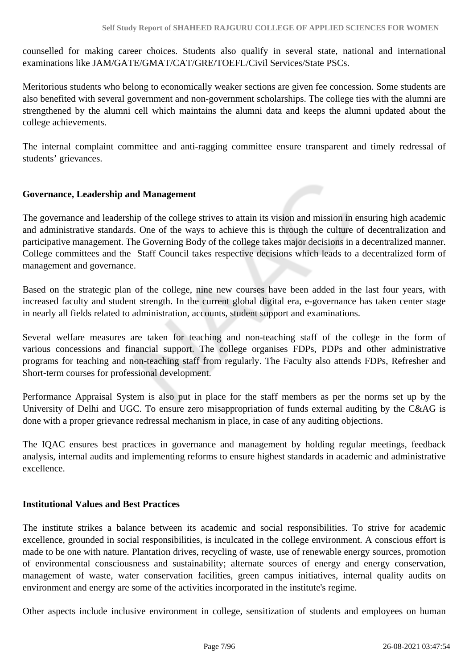counselled for making career choices. Students also qualify in several state, national and international examinations like JAM/GATE/GMAT/CAT/GRE/TOEFL/Civil Services/State PSCs.

Meritorious students who belong to economically weaker sections are given fee concession. Some students are also benefited with several government and non-government scholarships. The college ties with the alumni are strengthened by the alumni cell which maintains the alumni data and keeps the alumni updated about the college achievements.

The internal complaint committee and anti-ragging committee ensure transparent and timely redressal of students' grievances.

#### **Governance, Leadership and Management**

The governance and leadership of the college strives to attain its vision and mission in ensuring high academic and administrative standards. One of the ways to achieve this is through the culture of decentralization and participative management. The Governing Body of the college takes major decisions in a decentralized manner. College committees and the Staff Council takes respective decisions which leads to a decentralized form of management and governance.

Based on the strategic plan of the college, nine new courses have been added in the last four years, with increased faculty and student strength. In the current global digital era, e-governance has taken center stage in nearly all fields related to administration, accounts, student support and examinations.

Several welfare measures are taken for teaching and non-teaching staff of the college in the form of various concessions and financial support. The college organises FDPs, PDPs and other administrative programs for teaching and non-teaching staff from regularly. The Faculty also attends FDPs, Refresher and Short-term courses for professional development.

Performance Appraisal System is also put in place for the staff members as per the norms set up by the University of Delhi and UGC. To ensure zero misappropriation of funds external auditing by the C&AG is done with a proper grievance redressal mechanism in place, in case of any auditing objections.

The IQAC ensures best practices in governance and management by holding regular meetings, feedback analysis, internal audits and implementing reforms to ensure highest standards in academic and administrative excellence.

#### **Institutional Values and Best Practices**

The institute strikes a balance between its academic and social responsibilities. To strive for academic excellence, grounded in social responsibilities, is inculcated in the college environment. A conscious effort is made to be one with nature. Plantation drives, recycling of waste, use of renewable energy sources, promotion of environmental consciousness and sustainability; alternate sources of energy and energy conservation, management of waste, water conservation facilities, green campus initiatives, internal quality audits on environment and energy are some of the activities incorporated in the institute's regime.

Other aspects include inclusive environment in college, sensitization of students and employees on human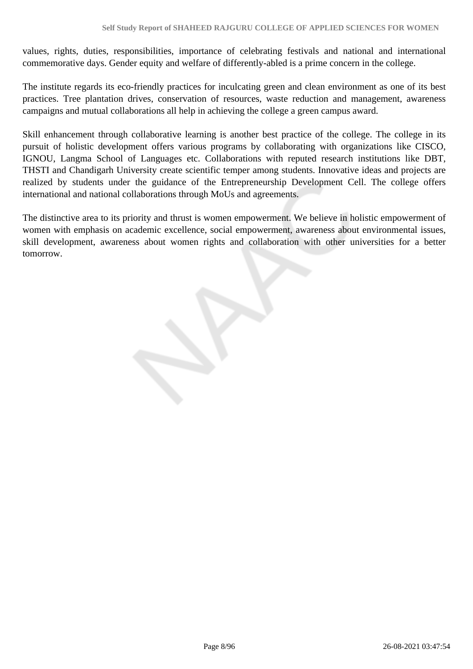values, rights, duties, responsibilities, importance of celebrating festivals and national and international commemorative days. Gender equity and welfare of differently-abled is a prime concern in the college.

The institute regards its eco-friendly practices for inculcating green and clean environment as one of its best practices. Tree plantation drives, conservation of resources, waste reduction and management, awareness campaigns and mutual collaborations all help in achieving the college a green campus award.

Skill enhancement through collaborative learning is another best practice of the college. The college in its pursuit of holistic development offers various programs by collaborating with organizations like CISCO, IGNOU, Langma School of Languages etc. Collaborations with reputed research institutions like DBT, THSTI and Chandigarh University create scientific temper among students. Innovative ideas and projects are realized by students under the guidance of the Entrepreneurship Development Cell. The college offers international and national collaborations through MoUs and agreements.

The distinctive area to its priority and thrust is women empowerment. We believe in holistic empowerment of women with emphasis on academic excellence, social empowerment, awareness about environmental issues, skill development, awareness about women rights and collaboration with other universities for a better tomorrow.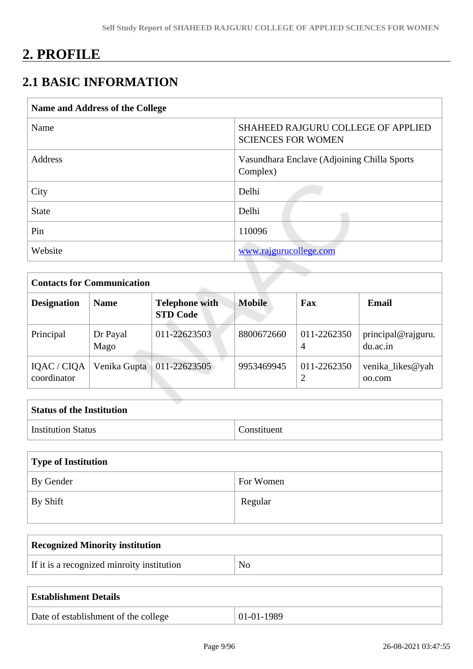# **2. PROFILE**

# **2.1 BASIC INFORMATION**

| <b>SHAHEED RAJGURU COLLEGE OF APPLIED</b><br>Name<br><b>SCIENCES FOR WOMEN</b><br>Address<br>Vasundhara Enclave (Adjoining Chilla Sports<br>Complex)<br>Delhi<br>City<br>Delhi<br><b>State</b><br>Pin<br>110096<br>Website<br>www.rajgurucollege.com | Name and Address of the College |  |
|------------------------------------------------------------------------------------------------------------------------------------------------------------------------------------------------------------------------------------------------------|---------------------------------|--|
|                                                                                                                                                                                                                                                      |                                 |  |
|                                                                                                                                                                                                                                                      |                                 |  |
|                                                                                                                                                                                                                                                      |                                 |  |
|                                                                                                                                                                                                                                                      |                                 |  |
|                                                                                                                                                                                                                                                      |                                 |  |
|                                                                                                                                                                                                                                                      |                                 |  |

| <b>Contacts for Communication</b> |                  |                                          |               |                  |                                |  |  |  |  |  |
|-----------------------------------|------------------|------------------------------------------|---------------|------------------|--------------------------------|--|--|--|--|--|
| <b>Designation</b>                | <b>Name</b>      | <b>Telephone with</b><br><b>STD Code</b> | <b>Mobile</b> | Fax              | Email                          |  |  |  |  |  |
| Principal                         | Dr Payal<br>Mago | 011-22623503                             | 8800672660    | 011-2262350<br>4 | principal@rajguru.<br>du.ac.in |  |  |  |  |  |
| IQAC / CIQA<br>coordinator        | Venika Gupta     | 011-22623505                             | 9953469945    | 011-2262350      | venika likes@yah<br>00.com     |  |  |  |  |  |

| <b>Status of the Institution</b> |             |
|----------------------------------|-------------|
| <b>Institution Status</b>        | Constituent |

| Type of Institution |           |
|---------------------|-----------|
| By Gender           | For Women |
| $\perp$ By Shift    | Regular   |

| <b>Recognized Minority institution</b>     |    |
|--------------------------------------------|----|
| If it is a recognized minroity institution | No |
|                                            |    |

| <b>Establishment Details</b>         |            |
|--------------------------------------|------------|
| Date of establishment of the college | 01-01-1989 |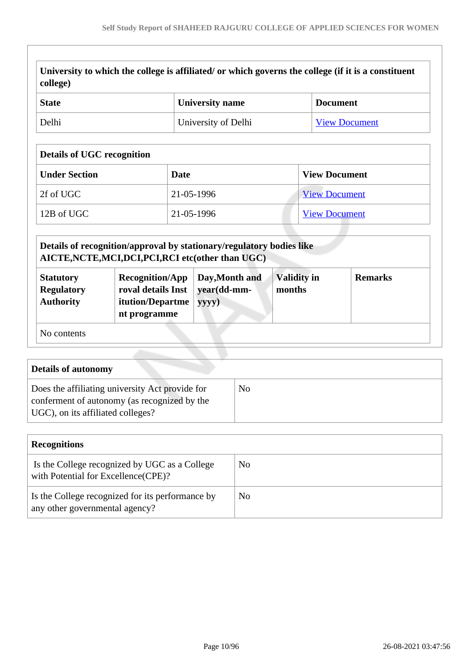| <b>State</b>                                              | <b>University name</b>                      | <b>Document</b>      |  |  |  |  |
|-----------------------------------------------------------|---------------------------------------------|----------------------|--|--|--|--|
| Delhi                                                     | University of Delhi<br><b>View Document</b> |                      |  |  |  |  |
| <b>Details of UGC recognition</b><br><b>Under Section</b> | <b>Date</b>                                 | <b>View Document</b> |  |  |  |  |
| 2f of UGC                                                 | 21-05-1996                                  | <b>View Document</b> |  |  |  |  |
| 12B of UGC                                                | 21-05-1996                                  | <b>View Document</b> |  |  |  |  |

|  | <b>Statutory</b><br><b>Regulatory</b><br><b>Authority</b> | <b>Recognition/App</b><br>roval details Inst   year(dd-mm-<br><b>itution/Departme</b><br>nt programme | Day, Month and<br>yyyy) | <b>Validity in</b><br>months | <b>Remarks</b> |
|--|-----------------------------------------------------------|-------------------------------------------------------------------------------------------------------|-------------------------|------------------------------|----------------|
|--|-----------------------------------------------------------|-------------------------------------------------------------------------------------------------------|-------------------------|------------------------------|----------------|

 **Details of autonomy** Does the affiliating university Act provide for conferment of autonomy (as recognized by the UGC), on its affiliated colleges? No

| <b>Recognitions</b>                                                                   |    |
|---------------------------------------------------------------------------------------|----|
| Is the College recognized by UGC as a College<br>with Potential for Excellence (CPE)? | No |
| Is the College recognized for its performance by<br>any other governmental agency?    | No |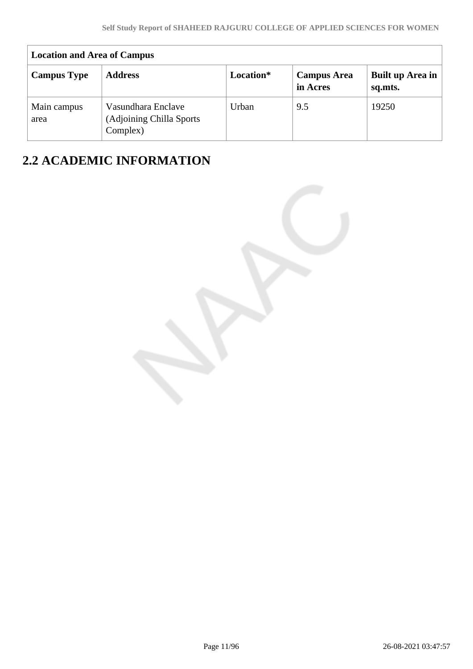| <b>Location and Area of Campus</b> |                                                             |           |                                |                             |  |  |  |  |  |
|------------------------------------|-------------------------------------------------------------|-----------|--------------------------------|-----------------------------|--|--|--|--|--|
| <b>Campus Type</b>                 | <b>Address</b>                                              | Location* | <b>Campus Area</b><br>in Acres | Built up Area in<br>sq.mts. |  |  |  |  |  |
| Main campus<br>area                | Vasundhara Enclave<br>(Adjoining Chilla Sports)<br>Complex) | Urban     | 9.5                            | 19250                       |  |  |  |  |  |

# **2.2 ACADEMIC INFORMATION**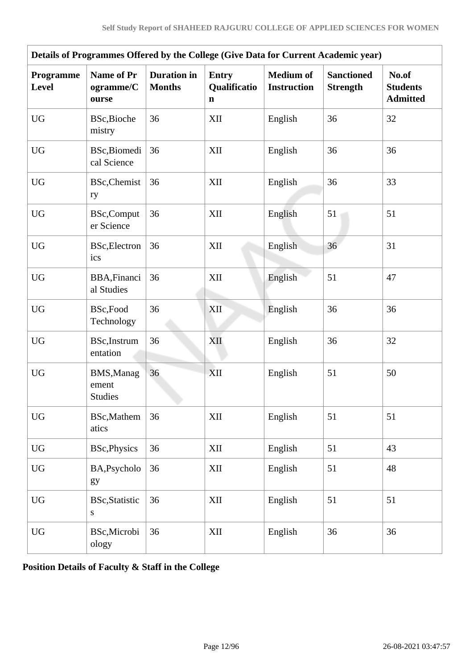| Details of Programmes Offered by the College (Give Data for Current Academic year) |                                              |    |                                             |                                        |                                      |                                             |  |  |  |
|------------------------------------------------------------------------------------|----------------------------------------------|----|---------------------------------------------|----------------------------------------|--------------------------------------|---------------------------------------------|--|--|--|
| Programme<br>Level                                                                 | Name of Pr<br>ogramme/C<br>ourse             |    | <b>Entry</b><br>Qualificatio<br>$\mathbf n$ | <b>Medium</b> of<br><b>Instruction</b> | <b>Sanctioned</b><br><b>Strength</b> | No.of<br><b>Students</b><br><b>Admitted</b> |  |  |  |
| <b>UG</b>                                                                          | BSc, Bioche<br>mistry                        | 36 | XII                                         | English                                | 36                                   | 32                                          |  |  |  |
| <b>UG</b>                                                                          | BSc, Biomedi<br>cal Science                  | 36 | XII                                         | English                                | 36                                   | 36                                          |  |  |  |
| <b>UG</b>                                                                          | BSc, Chemist<br>ry                           | 36 | XII                                         | English                                | 36                                   | 33                                          |  |  |  |
| <b>UG</b>                                                                          | <b>BSc,Comput</b><br>er Science              | 36 | XII                                         | English                                | 51                                   | 51                                          |  |  |  |
| <b>UG</b>                                                                          | BSc, Electron<br>ics                         | 36 | XII                                         | English                                | 36                                   | 31                                          |  |  |  |
| <b>UG</b>                                                                          | BBA, Financi<br>al Studies                   | 36 | XII                                         | English                                | 51                                   | 47                                          |  |  |  |
| <b>UG</b>                                                                          | BSc,Food<br>Technology                       | 36 | XII                                         | English                                | 36                                   | 36                                          |  |  |  |
| <b>UG</b>                                                                          | <b>BSc,Instrum</b><br>entation               | 36 | XII                                         | English                                | 36                                   | 32                                          |  |  |  |
| <b>UG</b>                                                                          | <b>BMS, Manag</b><br>ement<br><b>Studies</b> | 36 | XII                                         | English                                | 51                                   | 50                                          |  |  |  |
| <b>UG</b>                                                                          | <b>BSc,Mathem</b><br>atics                   | 36 | XII                                         | English                                | 51                                   | 51                                          |  |  |  |
| ${\rm U}{\rm G}$                                                                   | <b>BSc, Physics</b>                          | 36 | XII                                         | English                                | 51                                   | 43                                          |  |  |  |
| <b>UG</b>                                                                          | BA, Psycholo<br>gy                           | 36 | XII                                         | English                                | 51                                   | 48                                          |  |  |  |
| <b>UG</b>                                                                          | <b>BSc, Statistic</b><br>S                   | 36 | XII                                         | English                                | 51                                   | 51                                          |  |  |  |
| <b>UG</b>                                                                          | BSc, Microbi<br>ology                        | 36 | XII                                         | English                                | 36                                   | 36                                          |  |  |  |

**Position Details of Faculty & Staff in the College**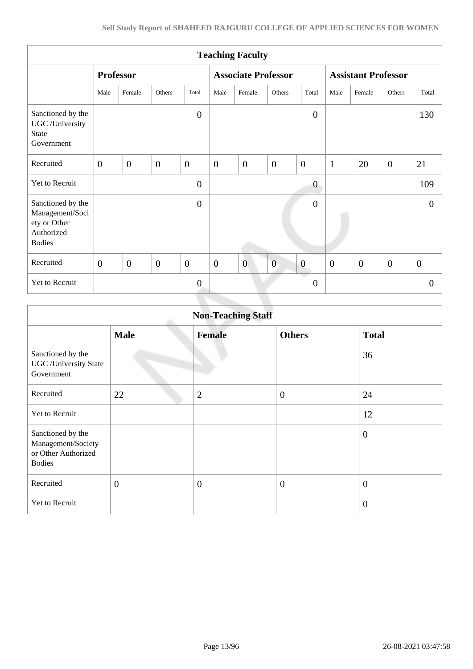| <b>Teaching Faculty</b>                                                             |                  |                |                |                |                            |                |                |                            |                  |              |                  |                  |
|-------------------------------------------------------------------------------------|------------------|----------------|----------------|----------------|----------------------------|----------------|----------------|----------------------------|------------------|--------------|------------------|------------------|
|                                                                                     | <b>Professor</b> |                |                |                | <b>Associate Professor</b> |                |                | <b>Assistant Professor</b> |                  |              |                  |                  |
|                                                                                     | Male             | Female         | Others         | Total          | Male                       | Female         | Others         | Total                      | Male             | Female       | Others           | Total            |
| Sanctioned by the<br>UGC /University<br><b>State</b><br>Government                  |                  |                |                | $\overline{0}$ |                            |                |                | $\overline{0}$             |                  |              |                  | 130              |
| Recruited                                                                           | $\overline{0}$   | $\overline{0}$ | $\overline{0}$ | $\overline{0}$ | $\boldsymbol{0}$           | $\overline{0}$ | $\overline{0}$ | $\overline{0}$             | $\mathbf{1}$     | 20           | $\boldsymbol{0}$ | 21               |
| Yet to Recruit                                                                      |                  |                |                | $\overline{0}$ |                            |                |                | $\boldsymbol{0}$           |                  |              |                  | 109              |
| Sanctioned by the<br>Management/Soci<br>ety or Other<br>Authorized<br><b>Bodies</b> |                  |                |                | $\theta$       |                            |                |                | $\boldsymbol{0}$           |                  |              |                  | $\Omega$         |
| Recruited                                                                           | $\overline{0}$   | $\overline{0}$ | $\mathbf{0}$   | $\mathbf{0}$   | $\mathbf{0}$               | $\overline{0}$ | $\overline{0}$ | $\boldsymbol{0}$           | $\boldsymbol{0}$ | $\mathbf{0}$ | $\overline{0}$   | $\boldsymbol{0}$ |
| Yet to Recruit                                                                      |                  |                |                | $\overline{0}$ |                            |                |                | a a<br>$\boldsymbol{0}$    |                  |              |                  | $\theta$         |
|                                                                                     |                  |                |                |                |                            |                |                |                            |                  |              |                  |                  |

| <b>Non-Teaching Staff</b>                                                       |                |                |                |                  |  |  |  |
|---------------------------------------------------------------------------------|----------------|----------------|----------------|------------------|--|--|--|
|                                                                                 | <b>Male</b>    | <b>Female</b>  | <b>Others</b>  | <b>Total</b>     |  |  |  |
| Sanctioned by the<br><b>UGC</b> / University State<br>Government                |                |                |                | 36               |  |  |  |
| Recruited                                                                       | 22             | $\overline{2}$ | $\overline{0}$ | 24               |  |  |  |
| Yet to Recruit                                                                  |                |                |                | 12               |  |  |  |
| Sanctioned by the<br>Management/Society<br>or Other Authorized<br><b>Bodies</b> |                |                |                | $\boldsymbol{0}$ |  |  |  |
| Recruited                                                                       | $\overline{0}$ | $\overline{0}$ | $\overline{0}$ | $\boldsymbol{0}$ |  |  |  |
| Yet to Recruit                                                                  |                |                |                | $\overline{0}$   |  |  |  |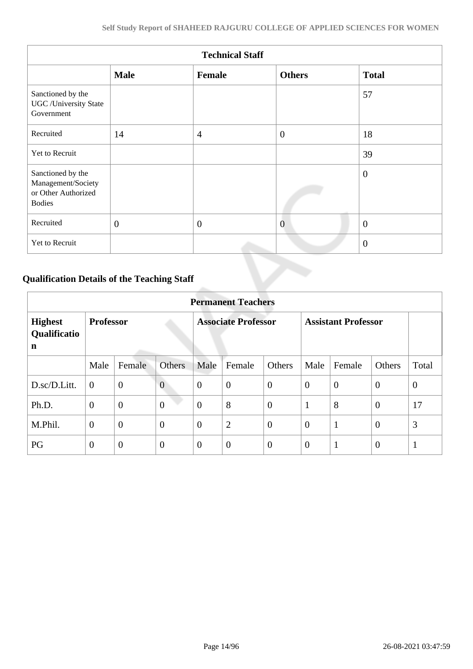| <b>Technical Staff</b>                                                          |              |                |                |                |  |  |  |  |
|---------------------------------------------------------------------------------|--------------|----------------|----------------|----------------|--|--|--|--|
|                                                                                 | <b>Male</b>  | Female         | <b>Others</b>  | <b>Total</b>   |  |  |  |  |
| Sanctioned by the<br><b>UGC</b> /University State<br>Government                 |              |                |                | 57             |  |  |  |  |
| Recruited                                                                       | 14           | $\overline{4}$ | $\overline{0}$ | 18             |  |  |  |  |
| Yet to Recruit                                                                  |              |                |                | 39             |  |  |  |  |
| Sanctioned by the<br>Management/Society<br>or Other Authorized<br><b>Bodies</b> |              |                |                | $\overline{0}$ |  |  |  |  |
| Recruited                                                                       | $\mathbf{0}$ | $\theta$       | $\overline{0}$ | $\overline{0}$ |  |  |  |  |
| Yet to Recruit                                                                  |              |                |                | $\overline{0}$ |  |  |  |  |

# **Qualification Details of the Teaching Staff**

|                                     | <b>Permanent Teachers</b> |                |                |                            |                |                            |                |              |                |                |
|-------------------------------------|---------------------------|----------------|----------------|----------------------------|----------------|----------------------------|----------------|--------------|----------------|----------------|
| <b>Highest</b><br>Qualificatio<br>n | <b>Professor</b>          |                |                | <b>Associate Professor</b> |                | <b>Assistant Professor</b> |                |              |                |                |
|                                     | Male                      | Female         | <b>Others</b>  | Male                       | Female         | Others                     | Male           | Female       | Others         | Total          |
| D.sc/D.Litt.                        | $\overline{0}$            | $\mathbf{0}$   | $\overline{0}$ | $\theta$                   | $\overline{0}$ | $\theta$                   | $\overline{0}$ | $\theta$     | $\overline{0}$ | $\overline{0}$ |
| Ph.D.                               | $\overline{0}$            | $\overline{0}$ | $\overline{0}$ | $\theta$                   | 8              | $\overline{0}$             | 1              | 8            | $\overline{0}$ | 17             |
| M.Phil.                             | $\overline{0}$            | $\overline{0}$ | $\overline{0}$ | $\overline{0}$             | $\overline{2}$ | $\overline{0}$             | $\overline{0}$ | $\mathbf{1}$ | $\overline{0}$ | 3              |
| PG                                  | $\overline{0}$            | $\theta$       | $\theta$       | $\theta$                   | $\overline{0}$ | $\overline{0}$             | $\overline{0}$ | $\mathbf{1}$ | $\overline{0}$ | $\mathbf{1}$   |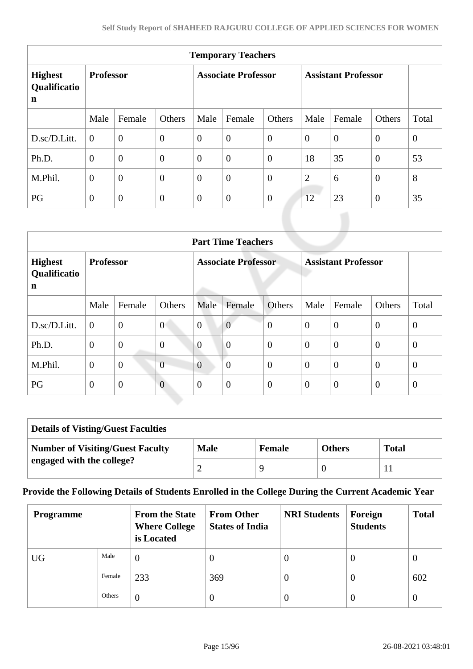| <b>Temporary Teachers</b>                     |                  |                  |                            |                |                            |                |                |                |                |              |
|-----------------------------------------------|------------------|------------------|----------------------------|----------------|----------------------------|----------------|----------------|----------------|----------------|--------------|
| <b>Highest</b><br>Qualificatio<br>$\mathbf n$ | <b>Professor</b> |                  | <b>Associate Professor</b> |                | <b>Assistant Professor</b> |                |                |                |                |              |
|                                               | Male             | Female           | Others                     | Male           | Female                     | Others         | Male           | Female         | <b>Others</b>  | Total        |
| D.sc/D.Litt.                                  | $\theta$         | $\overline{0}$   | $\boldsymbol{0}$           | $\theta$       | $\overline{0}$             | $\overline{0}$ | $\overline{0}$ | $\overline{0}$ | $\overline{0}$ | $\mathbf{0}$ |
| Ph.D.                                         | $\overline{0}$   | $\overline{0}$   | $\overline{0}$             | $\theta$       | $\overline{0}$             | $\overline{0}$ | 18             | 35             | $\overline{0}$ | 53           |
| M.Phil.                                       | $\overline{0}$   | $\overline{0}$   | $\boldsymbol{0}$           | $\overline{0}$ | $\overline{0}$             | $\overline{0}$ | $\overline{2}$ | 6              | $\mathbf{0}$   | 8            |
| PG                                            | $\overline{0}$   | $\boldsymbol{0}$ | $\mathbf{0}$               | $\mathbf{0}$   | $\boldsymbol{0}$           | $\overline{0}$ | 12             | 23             | $\overline{0}$ | 35           |

| <b>Part Time Teachers</b>           |                  |                |                |                                                          |                  |                  |                |                |                |                |
|-------------------------------------|------------------|----------------|----------------|----------------------------------------------------------|------------------|------------------|----------------|----------------|----------------|----------------|
| <b>Highest</b><br>Qualificatio<br>n | <b>Professor</b> |                |                | <b>Associate Professor</b><br><b>Assistant Professor</b> |                  |                  |                |                |                |                |
|                                     | Male             | Female         | Others         | Male                                                     | Female           | Others           | Male           | Female         | Others         | Total          |
| D.sc/D.Litt.                        | $\theta$         | $\overline{0}$ | $\overline{0}$ | $\overline{0}$                                           | $\overline{0}$   | $\overline{0}$   | $\theta$       | $\overline{0}$ | $\overline{0}$ | $\overline{0}$ |
| Ph.D.                               | $\overline{0}$   | $\mathbf{0}$   | $\overline{0}$ | $\overline{0}$                                           | $\overline{0}$   | $\overline{0}$   | $\overline{0}$ | $\overline{0}$ | $\overline{0}$ | $\theta$       |
| M.Phil.                             | $\mathbf{0}$     | $\overline{0}$ | $\overline{0}$ | $\overline{0}$                                           | $\boldsymbol{0}$ | $\boldsymbol{0}$ | $\overline{0}$ | $\overline{0}$ | $\overline{0}$ | $\theta$       |
| PG                                  | $\mathbf{0}$     | $\overline{0}$ | $\overline{0}$ | $\overline{0}$                                           | $\overline{0}$   | $\boldsymbol{0}$ | $\overline{0}$ | $\overline{0}$ | $\mathbf{0}$   | $\theta$       |

| <b>Details of Visting/Guest Faculties</b> |             |               |               |              |  |  |  |
|-------------------------------------------|-------------|---------------|---------------|--------------|--|--|--|
| <b>Number of Visiting/Guest Faculty</b>   | <b>Male</b> | <b>Female</b> | <b>Others</b> | <b>Total</b> |  |  |  |
| engaged with the college?                 |             | q             |               |              |  |  |  |

# **Provide the Following Details of Students Enrolled in the College During the Current Academic Year**

| <b>Programme</b> |        | <b>From the State</b><br><b>Where College</b><br>is Located | <b>From Other</b><br><b>States of India</b> | <b>NRI Students</b> | Foreign<br><b>Students</b> | <b>Total</b> |
|------------------|--------|-------------------------------------------------------------|---------------------------------------------|---------------------|----------------------------|--------------|
| <b>UG</b>        | Male   | $\overline{0}$                                              | 0                                           | v                   | $\theta$                   | $\theta$     |
|                  | Female | 233                                                         | 369                                         | U                   | $\theta$                   | 602          |
|                  | Others | $\overline{0}$                                              | 0                                           | $\theta$            | $\theta$                   | $\theta$     |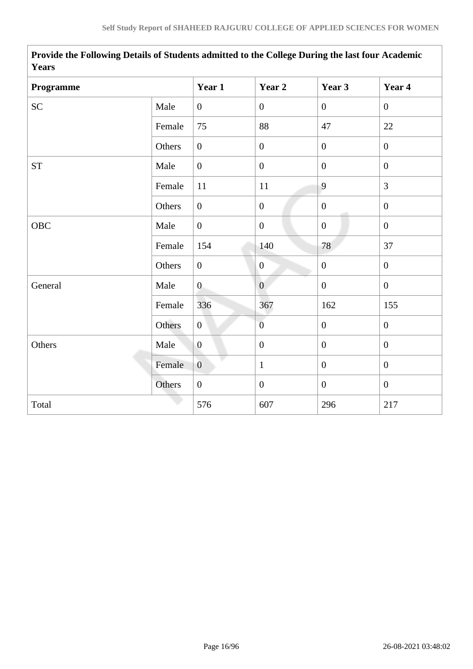| <b>Y</b> ears      |        |                  |                  |                  |                  |  |  |  |
|--------------------|--------|------------------|------------------|------------------|------------------|--|--|--|
| Programme          |        | Year 1           | Year 2           | Year 3           | Year 4           |  |  |  |
| <b>SC</b>          | Male   | $\overline{0}$   | $\boldsymbol{0}$ | $\overline{0}$   | $\overline{0}$   |  |  |  |
|                    | Female | 75               | 88               | 47               | 22               |  |  |  |
|                    | Others | $\overline{0}$   | $\boldsymbol{0}$ | $\overline{0}$   | $\overline{0}$   |  |  |  |
| ${\cal S}{\cal T}$ | Male   | $\overline{0}$   | $\boldsymbol{0}$ | $\overline{0}$   | $\overline{0}$   |  |  |  |
|                    | Female | 11               | 11               | 9                | $\overline{3}$   |  |  |  |
|                    | Others | $\overline{0}$   | $\boldsymbol{0}$ | $\mathbf{0}$     | $\overline{0}$   |  |  |  |
| OBC                | Male   | $\overline{0}$   | $\mathbf{0}$     | $\mathbf{0}$     | $\overline{0}$   |  |  |  |
|                    | Female | 154              | 140              | 78               | 37               |  |  |  |
|                    | Others | $\overline{0}$   | $\boldsymbol{0}$ | $\boldsymbol{0}$ | $\overline{0}$   |  |  |  |
| General            | Male   | $\overline{0}$   | $\overline{0}$   | $\overline{0}$   | $\overline{0}$   |  |  |  |
|                    | Female | 336              | 367              | 162              | 155              |  |  |  |
|                    | Others | $\mathbf{0}$     | $\overline{0}$   | $\boldsymbol{0}$ | $\boldsymbol{0}$ |  |  |  |
| Others             | Male   | $\boldsymbol{0}$ | $\boldsymbol{0}$ | $\mathbf{0}$     | $\overline{0}$   |  |  |  |
|                    | Female | $\overline{0}$   | $\mathbf{1}$     | $\boldsymbol{0}$ | $\overline{0}$   |  |  |  |
|                    | Others | $\boldsymbol{0}$ | $\boldsymbol{0}$ | $\overline{0}$   | $\mathbf{0}$     |  |  |  |
| Total              |        | 576              | 607              | 296              | 217              |  |  |  |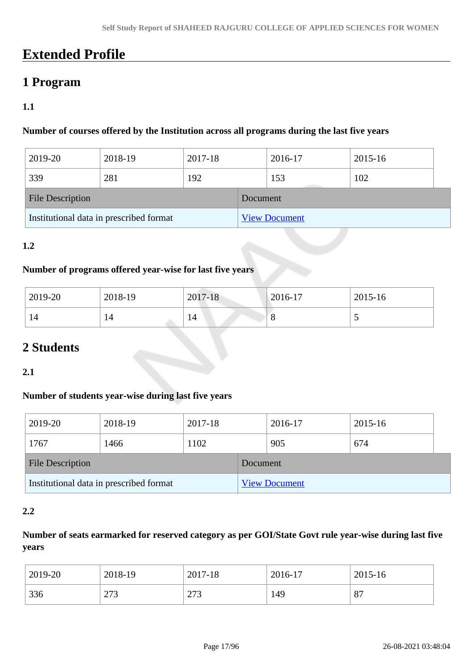# **Extended Profile**

# **1 Program**

# **1.1**

#### **Number of courses offered by the Institution across all programs during the last five years**

| 2019-20                                 | 2018-19 | 2017-18              |          | 2016-17 | 2015-16 |  |
|-----------------------------------------|---------|----------------------|----------|---------|---------|--|
| 339                                     | 281     | 192                  |          | 153     | 102     |  |
| <b>File Description</b>                 |         |                      | Document |         |         |  |
| Institutional data in prescribed format |         | <b>View Document</b> |          |         |         |  |

### **1.2**

#### **Number of programs offered year-wise for last five years**

| 2019-20 | 2018-19 | 2017-18 | $ 2016-17$ | 2015-16                  |
|---------|---------|---------|------------|--------------------------|
| 14      | 14      | 14      | O          | $\overline{\phantom{0}}$ |

# **2 Students**

#### **2.1**

#### **Number of students year-wise during last five years**

| 2019-20                                 | 2018-19 | 2017-18 |                      | 2016-17 | 2015-16 |  |
|-----------------------------------------|---------|---------|----------------------|---------|---------|--|
| 1767                                    | 1466    | 1102    |                      | 905     | 674     |  |
| <b>File Description</b>                 |         |         | Document             |         |         |  |
| Institutional data in prescribed format |         |         | <b>View Document</b> |         |         |  |

#### **2.2**

# **Number of seats earmarked for reserved category as per GOI/State Govt rule year-wise during last five years**

| 2019-20 | 2018-19    | 2017-18      | 2016-17 | 2015-16 |
|---------|------------|--------------|---------|---------|
| 336     | ר ה<br>213 | 272<br>ن ا ڪ | 149     | 87      |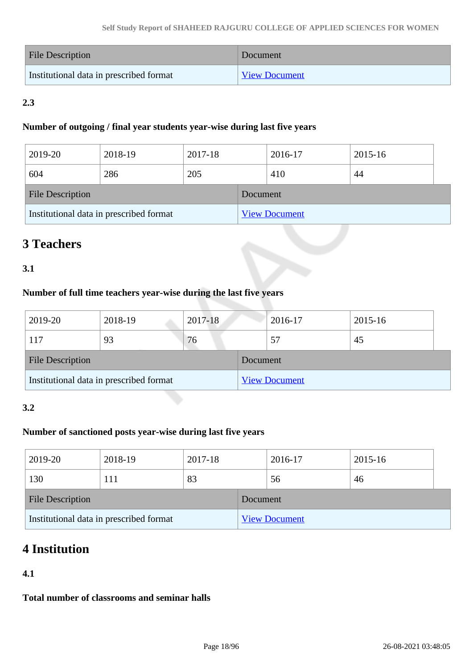| <b>File Description</b>                 | Document             |
|-----------------------------------------|----------------------|
| Institutional data in prescribed format | <b>View Document</b> |

# **2.3**

#### **Number of outgoing / final year students year-wise during last five years**

| 2019-20                                 | 2018-19 | 2017-18 |          | 2016-17              | 2015-16 |  |
|-----------------------------------------|---------|---------|----------|----------------------|---------|--|
| 604                                     | 286     | 205     |          | 410                  | 44      |  |
| <b>File Description</b>                 |         |         | Document |                      |         |  |
| Institutional data in prescribed format |         |         |          | <b>View Document</b> |         |  |

# **3 Teachers**

# **3.1**

# **Number of full time teachers year-wise during the last five years**

| 2019-20                 | 2018-19                                 | 2017-18 |          | 2016-17              | 2015-16 |
|-------------------------|-----------------------------------------|---------|----------|----------------------|---------|
| 117                     | 93                                      | 76      |          | 57                   | 45      |
| <b>File Description</b> |                                         |         | Document |                      |         |
|                         | Institutional data in prescribed format |         |          | <b>View Document</b> |         |

#### **3.2**

# **Number of sanctioned posts year-wise during last five years**

| 2019-20          | 2018-19                                 | 2017-18 |          | 2016-17              | 2015-16 |  |
|------------------|-----------------------------------------|---------|----------|----------------------|---------|--|
| 130              | 111                                     | 83      |          | 56                   | 46      |  |
| File Description |                                         |         | Document |                      |         |  |
|                  | Institutional data in prescribed format |         |          | <b>View Document</b> |         |  |

# **4 Institution**

# **4.1**

**Total number of classrooms and seminar halls**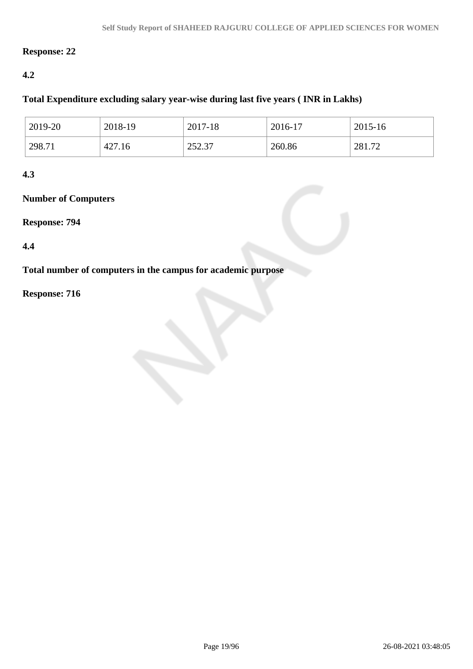### **Response: 22**

### **4.2**

#### **Total Expenditure excluding salary year-wise during last five years ( INR in Lakhs)**

| 2019-20 | 2018-19 | 2017-18                 | 2016-17 | 2015-16 |
|---------|---------|-------------------------|---------|---------|
| 298.71  | 427.16  | <u>າ</u> າາ<br>ا د.عد ک | 260.86  | 281.72  |

### **4.3**

### **Number of Computers**

#### **Response: 794**

#### **4.4**

**Total number of computers in the campus for academic purpose**

# **Response: 716**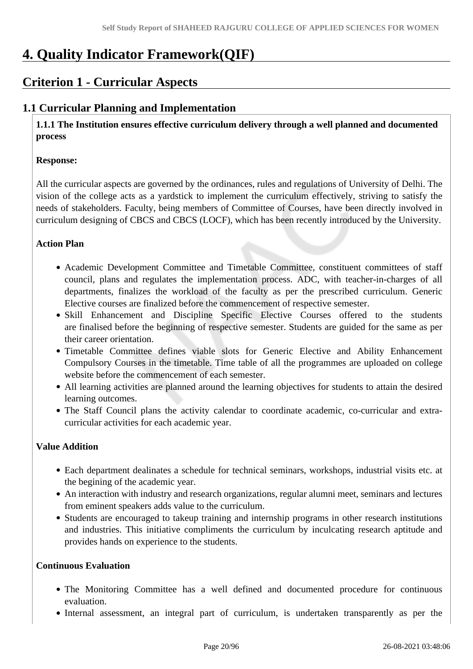# **4. Quality Indicator Framework(QIF)**

# **Criterion 1 - Curricular Aspects**

# **1.1 Curricular Planning and Implementation**

 **1.1.1 The Institution ensures effective curriculum delivery through a well planned and documented process**

#### **Response:**

All the curricular aspects are governed by the ordinances, rules and regulations of University of Delhi. The vision of the college acts as a yardstick to implement the curriculum effectively, striving to satisfy the needs of stakeholders. Faculty, being members of Committee of Courses, have been directly involved in curriculum designing of CBCS and CBCS (LOCF), which has been recently introduced by the University.

#### **Action Plan**

- Academic Development Committee and Timetable Committee, constituent committees of staff council, plans and regulates the implementation process. ADC, with teacher-in-charges of all departments, finalizes the workload of the faculty as per the prescribed curriculum. Generic Elective courses are finalized before the commencement of respective semester.
- Skill Enhancement and Discipline Specific Elective Courses offered to the students are finalised before the beginning of respective semester. Students are guided for the same as per their career orientation.
- Timetable Committee defines viable slots for Generic Elective and Ability Enhancement Compulsory Courses in the timetable. Time table of all the programmes are uploaded on college website before the commencement of each semester.
- All learning activities are planned around the learning objectives for students to attain the desired learning outcomes.
- The Staff Council plans the activity calendar to coordinate academic, co-curricular and extracurricular activities for each academic year.

#### **Value Addition**

- Each department dealinates a schedule for technical seminars, workshops, industrial visits etc. at the begining of the academic year.
- An interaction with industry and research organizations, regular alumni meet, seminars and lectures from eminent speakers adds value to the curriculum.
- Students are encouraged to takeup training and internship programs in other research institutions and industries. This initiative compliments the curriculum by inculcating research aptitude and provides hands on experience to the students.

#### **Continuous Evaluation**

- The Monitoring Committee has a well defined and documented procedure for continuous evaluation.
- Internal assessment, an integral part of curriculum, is undertaken transparently as per the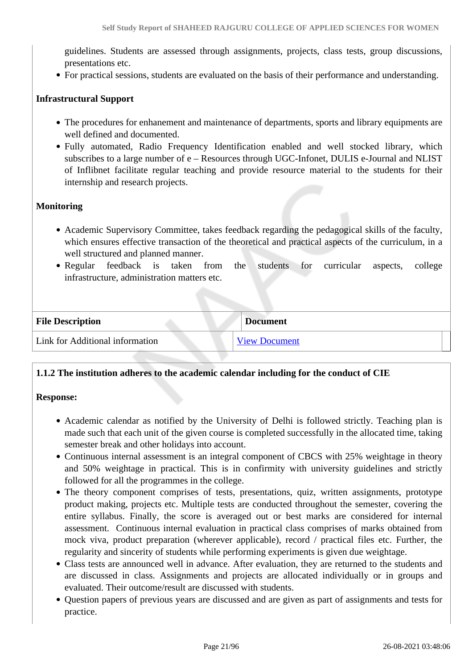guidelines. Students are assessed through assignments, projects, class tests, group discussions, presentations etc.

For practical sessions, students are evaluated on the basis of their performance and understanding.

#### **Infrastructural Support**

- The procedures for enhanement and maintenance of departments, sports and library equipments are well defined and documented.
- Fully automated, Radio Frequency Identification enabled and well stocked library, which subscribes to a large number of e – Resources through UGC-Infonet, DULIS e-Journal and NLIST of Inflibnet facilitate regular teaching and provide resource material to the students for their internship and research projects.

#### **Monitoring**

- Academic Supervisory Committee, takes feedback regarding the pedagogical skills of the faculty, which ensures effective transaction of the theoretical and practical aspects of the curriculum, in a well structured and planned manner.
- Regular feedback is taken from the students for curricular aspects, college infrastructure, administration matters etc.

| <b>File Description</b>         | <b>Document</b>      |
|---------------------------------|----------------------|
| Link for Additional information | <b>View Document</b> |

#### **1.1.2 The institution adheres to the academic calendar including for the conduct of CIE**

#### **Response:**

- Academic calendar as notified by the University of Delhi is followed strictly. Teaching plan is made such that each unit of the given course is completed successfully in the allocated time, taking semester break and other holidays into account.
- Continuous internal assessment is an integral component of CBCS with 25% weightage in theory and 50% weightage in practical. This is in confirmity with university guidelines and strictly followed for all the programmes in the college.
- The theory component comprises of tests, presentations, quiz, written assignments, prototype product making, projects etc. Multiple tests are conducted throughout the semester, covering the entire syllabus. Finally, the score is averaged out or best marks are considered for internal assessment. Continuous internal evaluation in practical class comprises of marks obtained from mock viva, product preparation (wherever applicable), record / practical files etc. Further, the regularity and sincerity of students while performing experiments is given due weightage.
- Class tests are announced well in advance. After evaluation, they are returned to the students and are discussed in class. Assignments and projects are allocated individually or in groups and evaluated. Their outcome/result are discussed with students.
- Question papers of previous years are discussed and are given as part of assignments and tests for practice.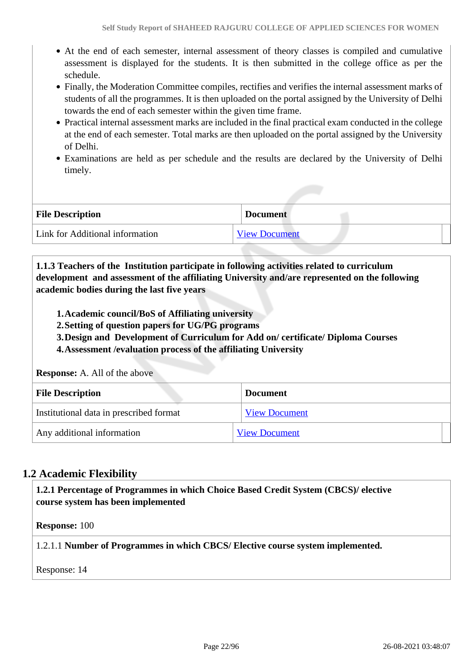- At the end of each semester, internal assessment of theory classes is compiled and cumulative assessment is displayed for the students. It is then submitted in the college office as per the schedule.
- Finally, the Moderation Committee compiles, rectifies and verifies the internal assessment marks of students of all the programmes. It is then uploaded on the portal assigned by the University of Delhi towards the end of each semester within the given time frame.
- Practical internal assessment marks are included in the final practical exam conducted in the college at the end of each semester. Total marks are then uploaded on the portal assigned by the University of Delhi.
- Examinations are held as per schedule and the results are declared by the University of Delhi timely.

| <b>File Description</b>         | <b>Document</b>      |
|---------------------------------|----------------------|
| Link for Additional information | <b>View Document</b> |

 **1.1.3 Teachers of the Institution participate in following activities related to curriculum development and assessment of the affiliating University and/are represented on the following academic bodies during the last five years** 

- **1.Academic council/BoS of Affiliating university**
- **2.Setting of question papers for UG/PG programs**
- **3.Design and Development of Curriculum for Add on/ certificate/ Diploma Courses**
- **4.Assessment /evaluation process of the affiliating University**

**Response:** A. All of the above

| <b>File Description</b>                 | <b>Document</b>      |
|-----------------------------------------|----------------------|
| Institutional data in prescribed format | <b>View Document</b> |
| Any additional information              | <b>View Document</b> |

# **1.2 Academic Flexibility**

 **1.2.1 Percentage of Programmes in which Choice Based Credit System (CBCS)/ elective course system has been implemented** 

**Response:** 100

1.2.1.1 **Number of Programmes in which CBCS/ Elective course system implemented.**

Response: 14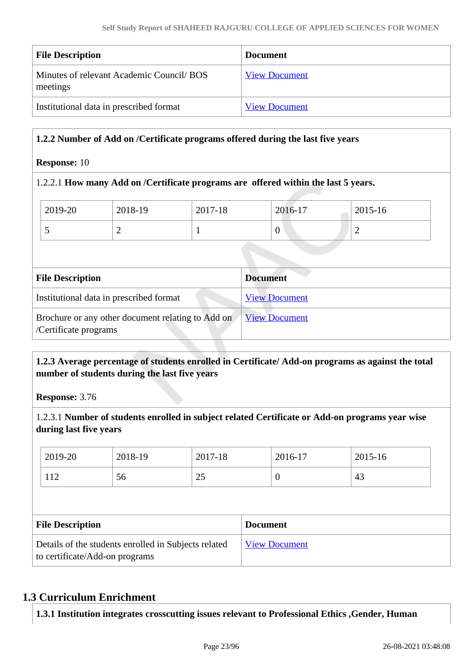| <b>File Description</b>                              | <b>Document</b>      |
|------------------------------------------------------|----------------------|
| Minutes of relevant Academic Council/BOS<br>meetings | <b>View Document</b> |
| Institutional data in prescribed format              | <b>View Document</b> |

### **1.2.2 Number of Add on /Certificate programs offered during the last five years**

#### **Response:** 10

#### 1.2.2.1 **How many Add on /Certificate programs are offered within the last 5 years.**

| <b>File Description</b> |         |         | <b>Document</b> |         |  |
|-------------------------|---------|---------|-----------------|---------|--|
|                         |         |         |                 |         |  |
|                         |         |         | $\theta$        | ∽       |  |
| 2019-20                 | 2018-19 | 2017-18 | 2016-17         | 2015-16 |  |

| <b>File Description</b>                                                    | Document             |
|----------------------------------------------------------------------------|----------------------|
| Institutional data in prescribed format                                    | <b>View Document</b> |
| Brochure or any other document relating to Add on<br>/Certificate programs | <u>View Document</u> |

### **1.2.3 Average percentage of students enrolled in Certificate/ Add-on programs as against the total number of students during the last five years**

**Response:** 3.76

1.2.3.1 **Number of students enrolled in subject related Certificate or Add-on programs year wise during last five years**

| 2019-20                 | 2018-19 | 2017-18 |                 | 2016-17  | 2015-16 |  |
|-------------------------|---------|---------|-----------------|----------|---------|--|
| 112                     | 56      | 25      |                 | $\theta$ | 43      |  |
|                         |         |         |                 |          |         |  |
|                         |         |         |                 |          |         |  |
| <b>File Description</b> |         |         | <b>Document</b> |          |         |  |

# **1.3 Curriculum Enrichment**

**1.3.1 Institution integrates crosscutting issues relevant to Professional Ethics ,Gender, Human**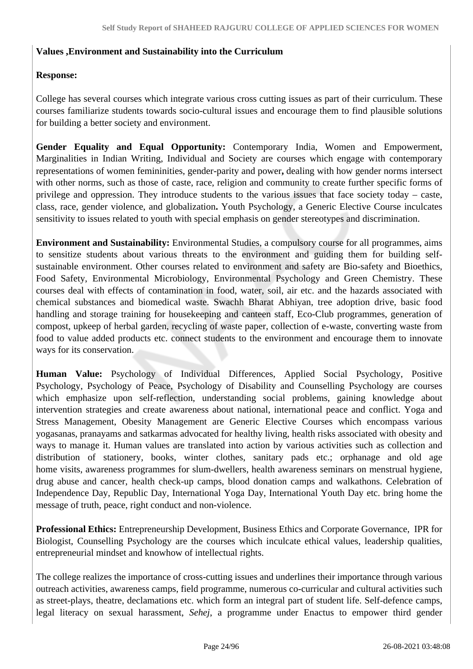#### **Values ,Environment and Sustainability into the Curriculum**

#### **Response:**

College has several courses which integrate various cross cutting issues as part of their curriculum. These courses familiarize students towards socio-cultural issues and encourage them to find plausible solutions for building a better society and environment.

**Gender Equality and Equal Opportunity:** Contemporary India, Women and Empowerment, Marginalities in Indian Writing, Individual and Society are courses which engage with contemporary representations of women femininities, gender-parity and power**,** dealing with how gender norms intersect with other norms, such as those of caste, race, religion and community to create further specific forms of privilege and oppression. They introduce students to the various issues that face society today – caste, class, race, gender violence, and globalization**.** Youth Psychology, a Generic Elective Course inculcates sensitivity to issues related to youth with special emphasis on gender stereotypes and discrimination.

**Environment and Sustainability:** Environmental Studies, a compulsory course for all programmes, aims to sensitize students about various threats to the environment and guiding them for building selfsustainable environment. Other courses related to environment and safety are Bio-safety and Bioethics, Food Safety, Environmental Microbiology, Environmental Psychology and Green Chemistry. These courses deal with effects of contamination in food, water, soil, air etc. and the hazards associated with chemical substances and biomedical waste. Swachh Bharat Abhiyan, tree adoption drive, basic food handling and storage training for housekeeping and canteen staff, Eco-Club programmes, generation of compost, upkeep of herbal garden, recycling of waste paper, collection of e-waste, converting waste from food to value added products etc. connect students to the environment and encourage them to innovate ways for its conservation.

**Human Value:** Psychology of Individual Differences, Applied Social Psychology, Positive Psychology, Psychology of Peace, Psychology of Disability and Counselling Psychology are courses which emphasize upon self-reflection, understanding social problems, gaining knowledge about intervention strategies and create awareness about national, international peace and conflict. Yoga and Stress Management, Obesity Management are Generic Elective Courses which encompass various yogasanas, pranayams and satkarmas advocated for healthy living, health risks associated with obesity and ways to manage it. Human values are translated into action by various activities such as collection and distribution of stationery, books, winter clothes, sanitary pads etc.; orphanage and old age home visits, awareness programmes for slum-dwellers, health awareness seminars on menstrual hygiene, drug abuse and cancer, health check-up camps, blood donation camps and walkathons. Celebration of Independence Day, Republic Day, International Yoga Day, International Youth Day etc. bring home the message of truth, peace, right conduct and non-violence.

**Professional Ethics:** Entrepreneurship Development, Business Ethics and Corporate Governance, IPR for Biologist, Counselling Psychology are the courses which inculcate ethical values, leadership qualities, entrepreneurial mindset and knowhow of intellectual rights.

The college realizes the importance of cross-cutting issues and underlines their importance through various outreach activities, awareness camps, field programme, numerous co-curricular and cultural activities such as street-plays, theatre, declamations etc. which form an integral part of student life. Self-defence camps, legal literacy on sexual harassment, *Sehej*, a programme under Enactus to empower third gender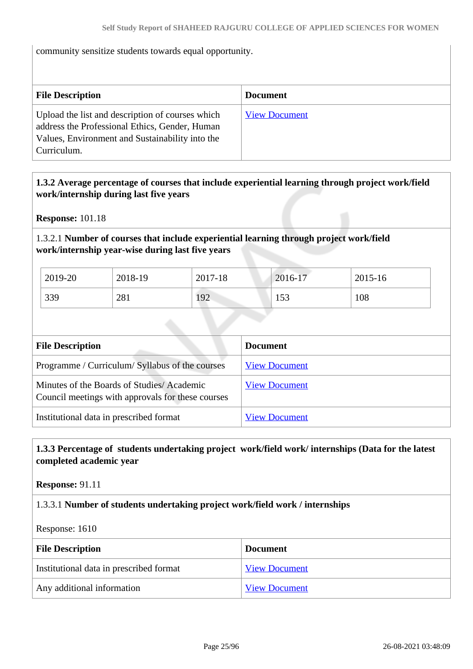#### community sensitize students towards equal opportunity.

| <b>File Description</b>                                                                                                                                              | <b>Document</b>      |
|----------------------------------------------------------------------------------------------------------------------------------------------------------------------|----------------------|
| Upload the list and description of courses which<br>address the Professional Ethics, Gender, Human<br>Values, Environment and Sustainability into the<br>Curriculum. | <b>View Document</b> |

### **1.3.2 Average percentage of courses that include experiential learning through project work/field work/internship during last five years**

**Response:** 101.18

#### 1.3.2.1 **Number of courses that include experiential learning through project work/field work/internship year-wise during last five years**

| 2019-20 | 2018-19 | 2017-18 | 2016-17 | 2015-16 |
|---------|---------|---------|---------|---------|
| 339     | 281     | 192     | 153     | 108     |

| <b>File Description</b>                                                                        | <b>Document</b>      |
|------------------------------------------------------------------------------------------------|----------------------|
| Programme / Curriculum/ Syllabus of the courses                                                | <b>View Document</b> |
| Minutes of the Boards of Studies/Academic<br>Council meetings with approvals for these courses | <b>View Document</b> |
| Institutional data in prescribed format                                                        | <b>View Document</b> |

# **1.3.3 Percentage of students undertaking project work/field work/ internships (Data for the latest completed academic year**

**Response:** 91.11

#### 1.3.3.1 **Number of students undertaking project work/field work / internships**

Response: 1610

| <b>File Description</b>                 | <b>Document</b>      |
|-----------------------------------------|----------------------|
| Institutional data in prescribed format | <b>View Document</b> |
| Any additional information              | <b>View Document</b> |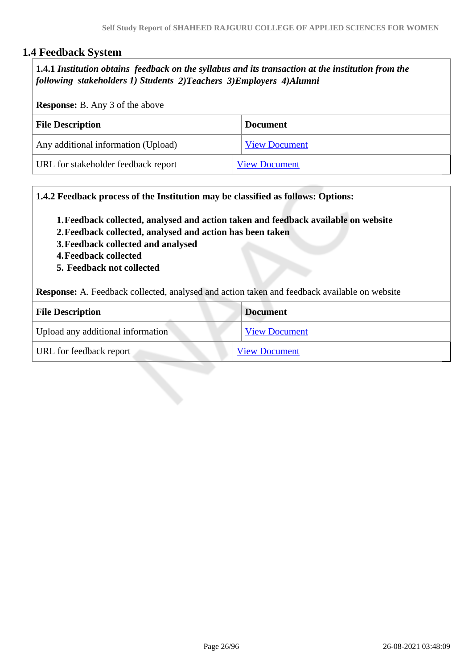# **1.4 Feedback System**

 **1.4.1** *Institution obtains feedback on the syllabus and its transaction at the institution from the following stakeholders 1) Students 2)Teachers 3)Employers 4)Alumni* 

**Response:** B. Any 3 of the above

| <b>File Description</b>             | <b>Document</b>      |
|-------------------------------------|----------------------|
| Any additional information (Upload) | <b>View Document</b> |
| URL for stakeholder feedback report | <b>View Document</b> |

**1.4.2 Feedback process of the Institution may be classified as follows: Options:**

**1.Feedback collected, analysed and action taken and feedback available on website**

- **2.Feedback collected, analysed and action has been taken**
- **3.Feedback collected and analysed**
- **4.Feedback collected**
- **5. Feedback not collected**

**Response:** A. Feedback collected, analysed and action taken and feedback available on website

| <b>File Description</b>           | <b>Document</b>      |
|-----------------------------------|----------------------|
| Upload any additional information | <b>View Document</b> |
| URL for feedback report           | <b>View Document</b> |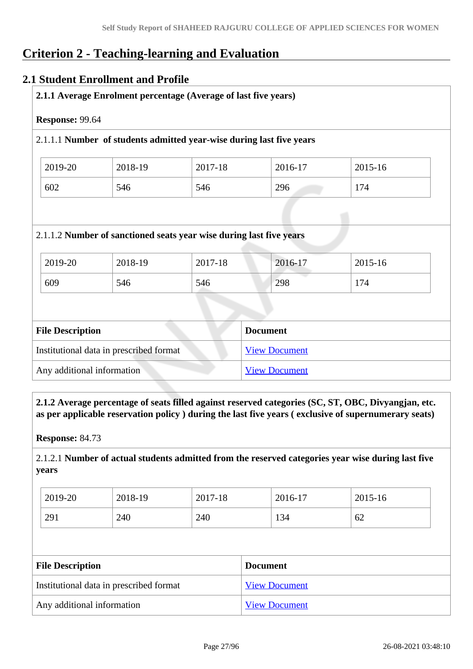# **Criterion 2 - Teaching-learning and Evaluation**

# **2.1 Student Enrollment and Profile**

| Response: 99.64 |                |                                                                      |                |                |
|-----------------|----------------|----------------------------------------------------------------------|----------------|----------------|
|                 |                | 2.1.1.1 Number of students admitted year-wise during last five years |                |                |
| 2019-20         | 2018-19        | 2017-18                                                              | 2016-17        | 2015-16        |
|                 |                |                                                                      |                |                |
| 602             | 546            | 546                                                                  | 296            | 174            |
|                 |                | 2.1.1.2 Number of sanctioned seats year wise during last five years  |                |                |
| 2019-20<br>609  | 2018-19<br>546 | 2017-18<br>546                                                       | 2016-17<br>298 | 2015-16<br>174 |

| THE DESCRIPTION                         | Document             |
|-----------------------------------------|----------------------|
| Institutional data in prescribed format | <b>View Document</b> |
| Any additional information              | <b>View Document</b> |

 **2.1.2 Average percentage of seats filled against reserved categories (SC, ST, OBC, Divyangjan, etc. as per applicable reservation policy ) during the last five years ( exclusive of supernumerary seats)**

**Response:** 84.73

2.1.2.1 **Number of actual students admitted from the reserved categories year wise during last five years**

| 2019-20 | 2018-19 | 2017-18 | 2016-17 | 2015-16 |
|---------|---------|---------|---------|---------|
| 291     | 240     | 240     | 134     | 62      |

| <b>File Description</b>                 | <b>Document</b>      |
|-----------------------------------------|----------------------|
| Institutional data in prescribed format | <b>View Document</b> |
| Any additional information              | <b>View Document</b> |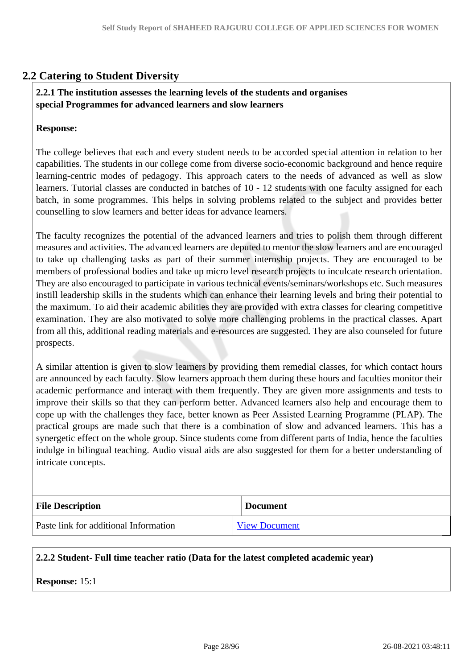# **2.2 Catering to Student Diversity**

#### **2.2.1 The institution assesses the learning levels of the students and organises special Programmes for advanced learners and slow learners**

#### **Response:**

The college believes that each and every student needs to be accorded special attention in relation to her capabilities. The students in our college come from diverse socio-economic background and hence require learning-centric modes of pedagogy. This approach caters to the needs of advanced as well as slow learners. Tutorial classes are conducted in batches of 10 - 12 students with one faculty assigned for each batch, in some programmes. This helps in solving problems related to the subject and provides better counselling to slow learners and better ideas for advance learners.

The faculty recognizes the potential of the advanced learners and tries to polish them through different measures and activities. The advanced learners are deputed to mentor the slow learners and are encouraged to take up challenging tasks as part of their summer internship projects. They are encouraged to be members of professional bodies and take up micro level research projects to inculcate research orientation. They are also encouraged to participate in various technical events/seminars/workshops etc. Such measures instill leadership skills in the students which can enhance their learning levels and bring their potential to the maximum. To aid their academic abilities they are provided with extra classes for clearing competitive examination. They are also motivated to solve more challenging problems in the practical classes. Apart from all this, additional reading materials and e-resources are suggested. They are also counseled for future prospects.

A similar attention is given to slow learners by providing them remedial classes, for which contact hours are announced by each faculty. Slow learners approach them during these hours and faculties monitor their academic performance and interact with them frequently. They are given more assignments and tests to improve their skills so that they can perform better. Advanced learners also help and encourage them to cope up with the challenges they face, better known as Peer Assisted Learning Programme (PLAP). The practical groups are made such that there is a combination of slow and advanced learners. This has a synergetic effect on the whole group. Since students come from different parts of India, hence the faculties indulge in bilingual teaching. Audio visual aids are also suggested for them for a better understanding of intricate concepts.

| <b>File Description</b>               | <b>Document</b>      |
|---------------------------------------|----------------------|
| Paste link for additional Information | <b>View Document</b> |

#### **2.2.2 Student- Full time teacher ratio (Data for the latest completed academic year)**

#### **Response:** 15:1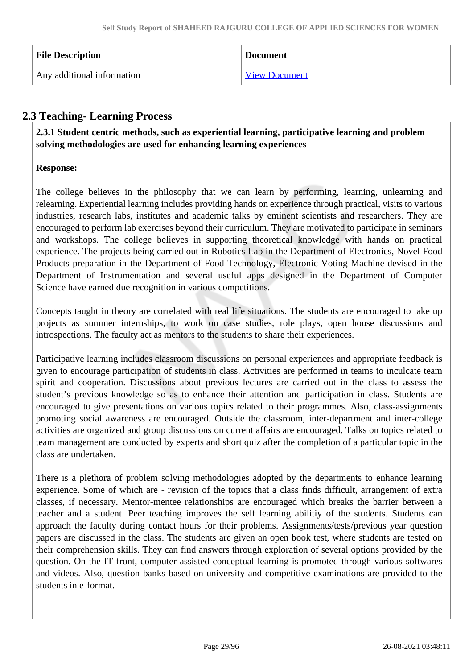| <b>File Description</b>    | <b>Document</b>      |
|----------------------------|----------------------|
| Any additional information | <b>View Document</b> |

# **2.3 Teaching- Learning Process**

 **2.3.1 Student centric methods, such as experiential learning, participative learning and problem solving methodologies are used for enhancing learning experiences**

# **Response:**

The college believes in the philosophy that we can learn by performing, learning, unlearning and relearning. Experiential learning includes providing hands on experience through practical, visits to various industries, research labs, institutes and academic talks by eminent scientists and researchers. They are encouraged to perform lab exercises beyond their curriculum. They are motivated to participate in seminars and workshops. The college believes in supporting theoretical knowledge with hands on practical experience. The projects being carried out in Robotics Lab in the Department of Electronics, Novel Food Products preparation in the Department of Food Technology, Electronic Voting Machine devised in the Department of Instrumentation and several useful apps designed in the Department of Computer Science have earned due recognition in various competitions.

Concepts taught in theory are correlated with real life situations. The students are encouraged to take up projects as summer internships, to work on case studies, role plays, open house discussions and introspections. The faculty act as mentors to the students to share their experiences.

Participative learning includes classroom discussions on personal experiences and appropriate feedback is given to encourage participation of students in class. Activities are performed in teams to inculcate team spirit and cooperation. Discussions about previous lectures are carried out in the class to assess the student's previous knowledge so as to enhance their attention and participation in class. Students are encouraged to give presentations on various topics related to their programmes. Also, class-assignments promoting social awareness are encouraged. Outside the classroom, inter-department and inter-college activities are organized and group discussions on current affairs are encouraged. Talks on topics related to team management are conducted by experts and short quiz after the completion of a particular topic in the class are undertaken.

There is a plethora of problem solving methodologies adopted by the departments to enhance learning experience. Some of which are - revision of the topics that a class finds difficult, arrangement of extra classes, if necessary. Mentor-mentee relationships are encouraged which breaks the barrier between a teacher and a student. Peer teaching improves the self learning abilitiy of the students. Students can approach the faculty during contact hours for their problems. Assignments/tests/previous year question papers are discussed in the class. The students are given an open book test, where students are tested on their comprehension skills. They can find answers through exploration of several options provided by the question. On the IT front, computer assisted conceptual learning is promoted through various softwares and videos. Also, question banks based on university and competitive examinations are provided to the students in e-format.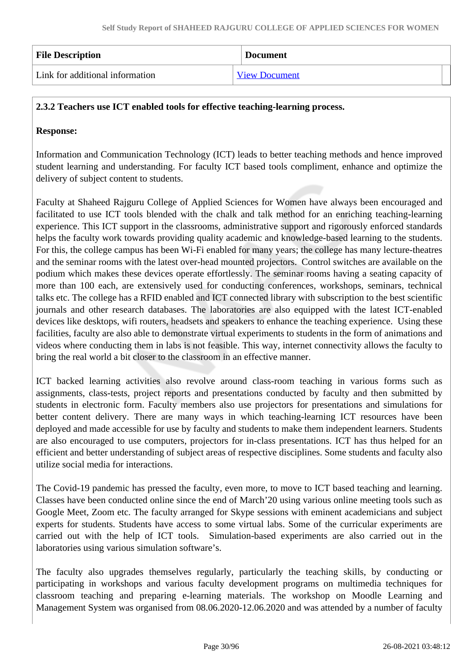| <b>File Description</b>         | <b>Document</b>      |
|---------------------------------|----------------------|
| Link for additional information | <b>View Document</b> |

### **2.3.2 Teachers use ICT enabled tools for effective teaching-learning process.**

#### **Response:**

Information and Communication Technology (ICT) leads to better teaching methods and hence improved student learning and understanding. For faculty ICT based tools compliment, enhance and optimize the delivery of subject content to students.

Faculty at Shaheed Rajguru College of Applied Sciences for Women have always been encouraged and facilitated to use ICT tools blended with the chalk and talk method for an enriching teaching-learning experience. This ICT support in the classrooms, administrative support and rigorously enforced standards helps the faculty work towards providing quality academic and knowledge-based learning to the students. For this, the college campus has been Wi-Fi enabled for many years; the college has many lecture-theatres and the seminar rooms with the latest over-head mounted projectors. Control switches are available on the podium which makes these devices operate effortlessly. The seminar rooms having a seating capacity of more than 100 each, are extensively used for conducting conferences, workshops, seminars, technical talks etc. The college has a RFID enabled and ICT connected library with subscription to the best scientific journals and other research databases. The laboratories are also equipped with the latest ICT-enabled devices like desktops, wifi routers, headsets and speakers to enhance the teaching experience. Using these facilities, faculty are also able to demonstrate virtual experiments to students in the form of animations and videos where conducting them in labs is not feasible. This way, internet connectivity allows the faculty to bring the real world a bit closer to the classroom in an effective manner.

ICT backed learning activities also revolve around class-room teaching in various forms such as assignments, class-tests, project reports and presentations conducted by faculty and then submitted by students in electronic form. Faculty members also use projectors for presentations and simulations for better content delivery. There are many ways in which teaching-learning ICT resources have been deployed and made accessible for use by faculty and students to make them independent learners. Students are also encouraged to use computers, projectors for in-class presentations. ICT has thus helped for an efficient and better understanding of subject areas of respective disciplines. Some students and faculty also utilize social media for interactions.

The Covid-19 pandemic has pressed the faculty, even more, to move to ICT based teaching and learning. Classes have been conducted online since the end of March'20 using various online meeting tools such as Google Meet, Zoom etc. The faculty arranged for Skype sessions with eminent academicians and subject experts for students. Students have access to some virtual labs. Some of the curricular experiments are carried out with the help of ICT tools. Simulation-based experiments are also carried out in the laboratories using various simulation software's.

The faculty also upgrades themselves regularly, particularly the teaching skills, by conducting or participating in workshops and various faculty development programs on multimedia techniques for classroom teaching and preparing e-learning materials. The workshop on Moodle Learning and Management System was organised from 08.06.2020-12.06.2020 and was attended by a number of faculty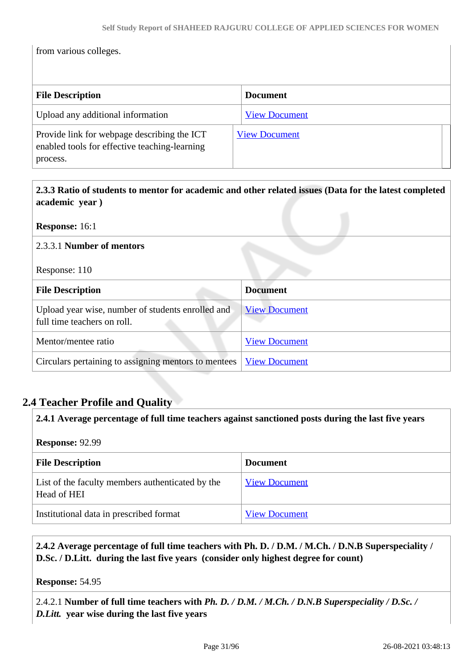from various colleges.

| <b>File Description</b>                                                                                  | <b>Document</b>      |
|----------------------------------------------------------------------------------------------------------|----------------------|
| Upload any additional information                                                                        | <b>View Document</b> |
| Provide link for webpage describing the ICT<br>enabled tools for effective teaching-learning<br>process. | <b>View Document</b> |

 **2.3.3 Ratio of students to mentor for academic and other related issues (Data for the latest completed academic year )**

**Response:** 16:1

#### 2.3.3.1 **Number of mentors**

Response: 110

| <b>File Description</b>                                                          | <b>Document</b>      |
|----------------------------------------------------------------------------------|----------------------|
| Upload year wise, number of students enrolled and<br>full time teachers on roll. | <b>View Document</b> |
| Mentor/mentee ratio                                                              | <b>View Document</b> |
| Circulars pertaining to assigning mentors to mentees                             | <b>View Document</b> |

# **2.4 Teacher Profile and Quality**

| 2.4.1 Average percentage of full time teachers against sanctioned posts during the last five years |                      |  |
|----------------------------------------------------------------------------------------------------|----------------------|--|
| <b>Response: 92.99</b>                                                                             |                      |  |
| <b>File Description</b><br><b>Document</b>                                                         |                      |  |
| List of the faculty members authenticated by the<br>Head of HEI                                    | <b>View Document</b> |  |
| Institutional data in prescribed format                                                            | <b>View Document</b> |  |

# **2.4.2 Average percentage of full time teachers with Ph. D. / D.M. / M.Ch. / D.N.B Superspeciality / D.Sc. / D.Litt. during the last five years (consider only highest degree for count)**

**Response:** 54.95

2.4.2.1 **Number of full time teachers with** *Ph. D. / D.M. / M.Ch. / D.N.B Superspeciality / D.Sc. / D.Litt.* **year wise during the last five years**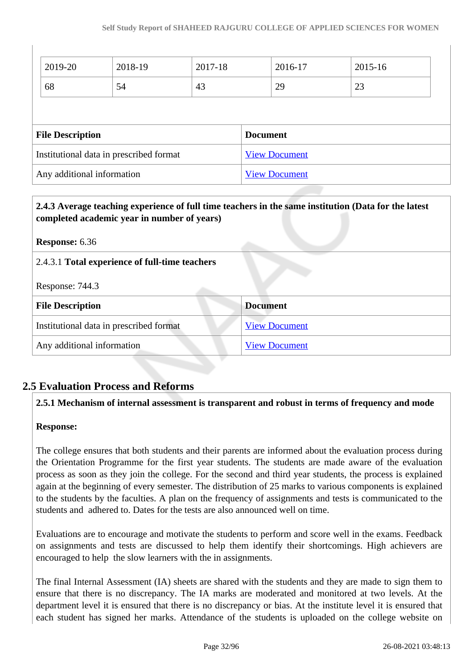| 2019-20                                 | 2018-19 | 2017-18 |                      | 2016-17              | 2015-16 |
|-----------------------------------------|---------|---------|----------------------|----------------------|---------|
| 68                                      | 54      | 43      |                      | 29                   | 23      |
|                                         |         |         |                      |                      |         |
| <b>File Description</b>                 |         |         |                      | <b>Document</b>      |         |
| Institutional data in prescribed format |         |         | <b>View Document</b> |                      |         |
| Any additional information              |         |         |                      | <b>View Document</b> |         |

| 2.4.3 Average teaching experience of full time teachers in the same institution (Data for the latest<br>completed academic year in number of years) |  |  |
|-----------------------------------------------------------------------------------------------------------------------------------------------------|--|--|
| <b>Response:</b> 6.36                                                                                                                               |  |  |
| 2.4.3.1 Total experience of full-time teachers                                                                                                      |  |  |
| Response: 744.3                                                                                                                                     |  |  |
| <b>Document</b><br><b>File Description</b>                                                                                                          |  |  |
| <b>View Document</b><br>Institutional data in prescribed format                                                                                     |  |  |
| Any additional information<br><b>View Document</b>                                                                                                  |  |  |

# **2.5 Evaluation Process and Reforms**

#### **2.5.1 Mechanism of internal assessment is transparent and robust in terms of frequency and mode**

#### **Response:**

The college ensures that both students and their parents are informed about the evaluation process during the Orientation Programme for the first year students. The students are made aware of the evaluation process as soon as they join the college. For the second and third year students, the process is explained again at the beginning of every semester. The distribution of 25 marks to various components is explained to the students by the faculties. A plan on the frequency of assignments and tests is communicated to the students and adhered to. Dates for the tests are also announced well on time.

Evaluations are to encourage and motivate the students to perform and score well in the exams. Feedback on assignments and tests are discussed to help them identify their shortcomings. High achievers are encouraged to help the slow learners with the in assignments.

The final Internal Assessment (IA) sheets are shared with the students and they are made to sign them to ensure that there is no discrepancy. The IA marks are moderated and monitored at two levels. At the department level it is ensured that there is no discrepancy or bias. At the institute level it is ensured that each student has signed her marks. Attendance of the students is uploaded on the college website on

 $\overline{\phantom{a}}$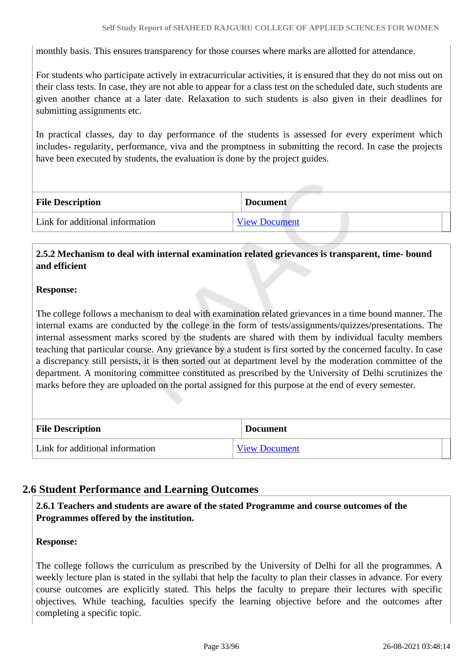monthly basis. This ensures transparency for those courses where marks are allotted for attendance.

For students who participate actively in extracurricular activities, it is ensured that they do not miss out on their class tests. In case, they are not able to appear for a class test on the scheduled date, such students are given another chance at a later date. Relaxation to such students is also given in their deadlines for submitting assignments etc.

In practical classes, day to day performance of the students is assessed for every experiment which includes- regularity, performance, viva and the promptness in submitting the record. In case the projects have been executed by students, the evaluation is done by the project guides.

| <b>File Description</b>         | <b>Document</b>      |
|---------------------------------|----------------------|
| Link for additional information | <b>View Document</b> |

### **2.5.2 Mechanism to deal with internal examination related grievances is transparent, time- bound and efficient**

#### **Response:**

The college follows a mechanism to deal with examination related grievances in a time bound manner. The internal exams are conducted by the college in the form of tests/assignments/quizzes/presentations. The internal assessment marks scored by the students are shared with them by individual faculty members teaching that particular course. Any grievance by a student is first sorted by the concerned faculty. In case a discrepancy still persists, it is then sorted out at department level by the moderation committee of the department. A monitoring committee constituted as prescribed by the University of Delhi scrutinizes the marks before they are uploaded on the portal assigned for this purpose at the end of every semester.

| <b>File Description</b>         | <b>Document</b>      |
|---------------------------------|----------------------|
| Link for additional information | <b>View Document</b> |

# **2.6 Student Performance and Learning Outcomes**

 **2.6.1 Teachers and students are aware of the stated Programme and course outcomes of the Programmes offered by the institution.**

#### **Response:**

The college follows the curriculum as prescribed by the University of Delhi for all the programmes. A weekly lecture plan is stated in the syllabi that help the faculty to plan their classes in advance. For every course outcomes are explicitly stated. This helps the faculty to prepare their lectures with specific objectives. While teaching, faculties specify the learning objective before and the outcomes after completing a specific topic.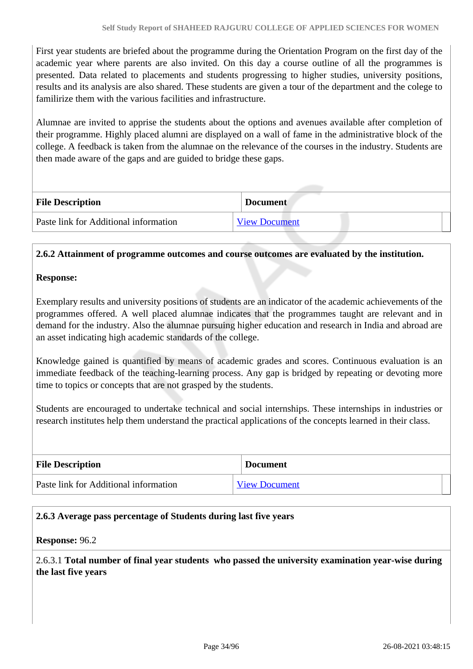First year students are briefed about the programme during the Orientation Program on the first day of the academic year where parents are also invited. On this day a course outline of all the programmes is presented. Data related to placements and students progressing to higher studies, university positions, results and its analysis are also shared. These students are given a tour of the department and the colege to familirize them with the various facilities and infrastructure.

Alumnae are invited to apprise the students about the options and avenues available after completion of their programme. Highly placed alumni are displayed on a wall of fame in the administrative block of the college. A feedback is taken from the alumnae on the relevance of the courses in the industry. Students are then made aware of the gaps and are guided to bridge these gaps.

| <b>File Description</b>               | <b>Document</b>      |
|---------------------------------------|----------------------|
| Paste link for Additional information | <b>View Document</b> |

#### **2.6.2 Attainment of programme outcomes and course outcomes are evaluated by the institution.**

#### **Response:**

Exemplary results and university positions of students are an indicator of the academic achievements of the programmes offered. A well placed alumnae indicates that the programmes taught are relevant and in demand for the industry. Also the alumnae pursuing higher education and research in India and abroad are an asset indicating high academic standards of the college.

Knowledge gained is quantified by means of academic grades and scores. Continuous evaluation is an immediate feedback of the teaching-learning process. Any gap is bridged by repeating or devoting more time to topics or concepts that are not grasped by the students.

Students are encouraged to undertake technical and social internships. These internships in industries or research institutes help them understand the practical applications of the concepts learned in their class.

| <b>File Description</b>               | <b>Document</b>      |
|---------------------------------------|----------------------|
| Paste link for Additional information | <b>View Document</b> |

#### **2.6.3 Average pass percentage of Students during last five years**

#### **Response:** 96.2

2.6.3.1 **Total number of final year students who passed the university examination year-wise during the last five years**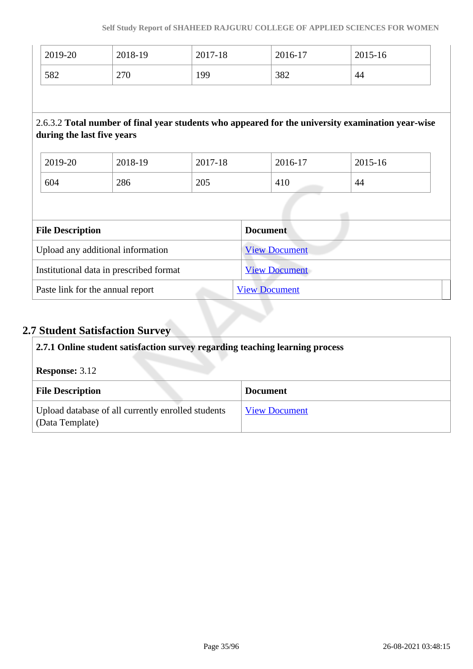| 2019-20                                 | 2018-19 | 2017-18 | 2016-17              | 2015-16                                                                                           |  |
|-----------------------------------------|---------|---------|----------------------|---------------------------------------------------------------------------------------------------|--|
| 582                                     | 270     | 199     | 382                  | 44                                                                                                |  |
|                                         |         |         |                      |                                                                                                   |  |
| during the last five years              |         |         |                      | 2.6.3.2 Total number of final year students who appeared for the university examination year-wise |  |
| 2019-20                                 | 2018-19 | 2017-18 | 2016-17              | 2015-16                                                                                           |  |
| 604                                     | 286     | 205     | 410                  | 44                                                                                                |  |
|                                         |         |         |                      |                                                                                                   |  |
| <b>File Description</b>                 |         |         | <b>Document</b>      |                                                                                                   |  |
| Upload any additional information       |         |         | <b>View Document</b> |                                                                                                   |  |
| Institutional data in prescribed format |         |         | <b>View Document</b> |                                                                                                   |  |
| Paste link for the annual report        |         |         | <b>View Document</b> |                                                                                                   |  |

# **2.7 Student Satisfaction Survey**

| 2.7.1 Online student satisfaction survey regarding teaching learning process |                      |  |
|------------------------------------------------------------------------------|----------------------|--|
| <b>Response: 3.12</b>                                                        |                      |  |
| <b>File Description</b>                                                      | <b>Document</b>      |  |
| Upload database of all currently enrolled students<br>(Data Template)        | <b>View Document</b> |  |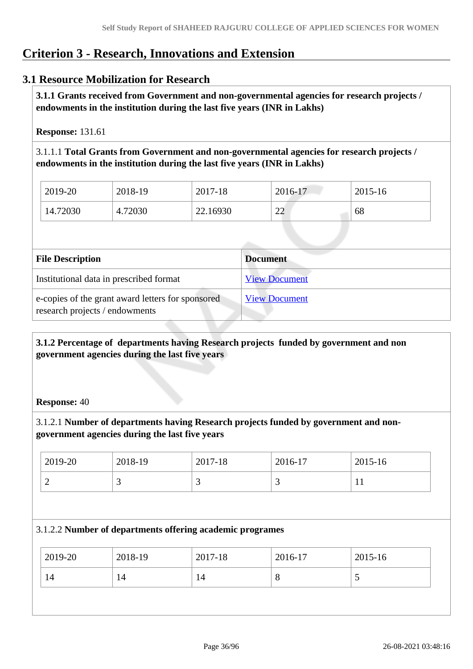# **Criterion 3 - Research, Innovations and Extension**

# **3.1 Resource Mobilization for Research**

 **3.1.1 Grants received from Government and non-governmental agencies for research projects / endowments in the institution during the last five years (INR in Lakhs)** 

**Response:** 131.61

3.1.1.1 **Total Grants from Government and non-governmental agencies for research projects / endowments in the institution during the last five years (INR in Lakhs)**

| 2019-20  | 2018-19       | 2017-18  | 2016-17                            | 2015-16 |
|----------|---------------|----------|------------------------------------|---------|
| 14.72030 | .72030<br>4.7 | 22.16930 | $\cap$<br>$\overline{\phantom{a}}$ | 68      |

| <b>File Description</b>                                                             | <b>Document</b>      |
|-------------------------------------------------------------------------------------|----------------------|
| Institutional data in prescribed format                                             | <b>View Document</b> |
| e-copies of the grant award letters for sponsored<br>research projects / endowments | <b>View Document</b> |

 **3.1.2 Percentage of departments having Research projects funded by government and non government agencies during the last five years**

#### **Response:** 40

3.1.2.1 **Number of departments having Research projects funded by government and nongovernment agencies during the last five years**

| 2019-20 | 2018-19 | 2017-18 | 2016-17 | 2015-16   |
|---------|---------|---------|---------|-----------|
| ∽       | ~       | ັ       | ت       | <b>TT</b> |

#### 3.1.2.2 **Number of departments offering academic programes**

|    | 2019-20 | 2018-19 | 2017-18 | 2016-17 | 2015-16 |
|----|---------|---------|---------|---------|---------|
| 14 |         | 14      | 14      | 8       | ັ       |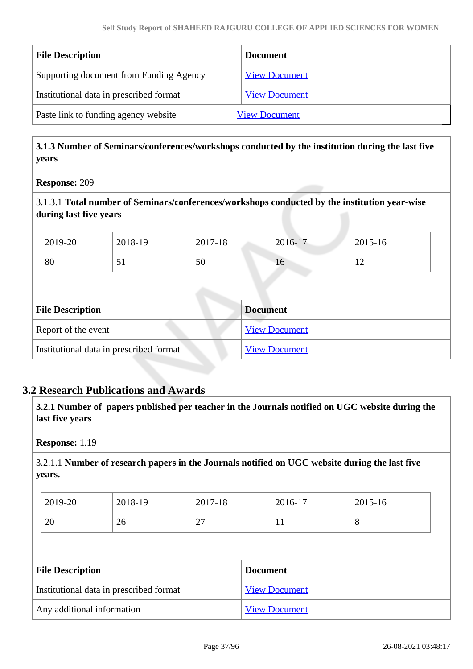| <b>File Description</b>                 | <b>Document</b>      |
|-----------------------------------------|----------------------|
| Supporting document from Funding Agency | <b>View Document</b> |
| Institutional data in prescribed format | <b>View Document</b> |
| Paste link to funding agency website    | <b>View Document</b> |

 **3.1.3 Number of Seminars/conferences/workshops conducted by the institution during the last five years**

### **Response:** 209

3.1.3.1 **Total number of Seminars/conferences/workshops conducted by the institution year-wise during last five years** 

| 2019-20 | 2018-19 | 2017-18 | $2016-17$ | 2015-16 |
|---------|---------|---------|-----------|---------|
| 80      | ◡▴      | 50      | 16        | --      |

| <b>File Description</b>                 | <b>Document</b>      |
|-----------------------------------------|----------------------|
| Report of the event                     | <b>View Document</b> |
| Institutional data in prescribed format | <b>View Document</b> |

### **3.2 Research Publications and Awards**

 **3.2.1 Number of papers published per teacher in the Journals notified on UGC website during the last five years** 

**Response:** 1.19

3.2.1.1 **Number of research papers in the Journals notified on UGC website during the last five years.**

| 2019-20 | 2018-19 | 2017-18                            | 2016-17 | 2015-16 |
|---------|---------|------------------------------------|---------|---------|
| 20      | 26      | $\sim$<br>$\overline{\phantom{a}}$ | . .     | v       |

| <b>File Description</b>                 | Document             |
|-----------------------------------------|----------------------|
| Institutional data in prescribed format | <b>View Document</b> |
| Any additional information              | <b>View Document</b> |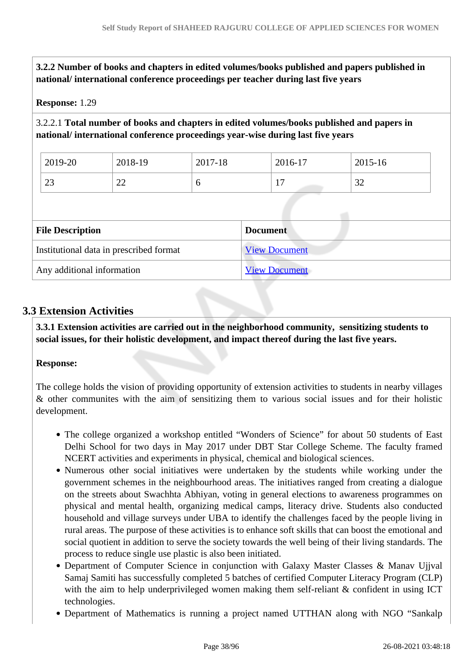**3.2.2 Number of books and chapters in edited volumes/books published and papers published in national/ international conference proceedings per teacher during last five years**

### **Response:** 1.29

### 3.2.2.1 **Total number of books and chapters in edited volumes/books published and papers in national/ international conference proceedings year-wise during last five years**

| 2019-20 | 2018-19 | 2017-18 | 2016-17      | 2015-16 |
|---------|---------|---------|--------------|---------|
| $\cap$  | $\cap$  |         | -            | $\sim$  |
| ل ک     | ∠∠      |         | $\mathbf{I}$ | ے د     |

| <b>File Description</b>                 | <b>Document</b>      |
|-----------------------------------------|----------------------|
| Institutional data in prescribed format | <b>View Document</b> |
| Any additional information              | <b>View Document</b> |

### **3.3 Extension Activities**

 **3.3.1 Extension activities are carried out in the neighborhood community, sensitizing students to social issues, for their holistic development, and impact thereof during the last five years.**

#### **Response:**

The college holds the vision of providing opportunity of extension activities to students in nearby villages & other communites with the aim of sensitizing them to various social issues and for their holistic development.

- The college organized a workshop entitled "Wonders of Science" for about 50 students of East Delhi School for two days in May 2017 under DBT Star College Scheme. The faculty framed NCERT activities and experiments in physical, chemical and biological sciences.
- Numerous other social initiatives were undertaken by the students while working under the government schemes in the neighbourhood areas. The initiatives ranged from creating a dialogue on the streets about Swachhta Abhiyan, voting in general elections to awareness programmes on physical and mental health, organizing medical camps, literacy drive. Students also conducted household and village surveys under UBA to identify the challenges faced by the people living in rural areas. The purpose of these activities is to enhance soft skills that can boost the emotional and social quotient in addition to serve the society towards the well being of their living standards. The process to reduce single use plastic is also been initiated.
- Department of Computer Science in conjunction with Galaxy Master Classes & Manav Ujjval Samaj Samiti has successfully completed 5 batches of certified Computer Literacy Program (CLP) with the aim to help underprivileged women making them self-reliant & confident in using ICT technologies.
- Department of Mathematics is running a project named UTTHAN along with NGO "Sankalp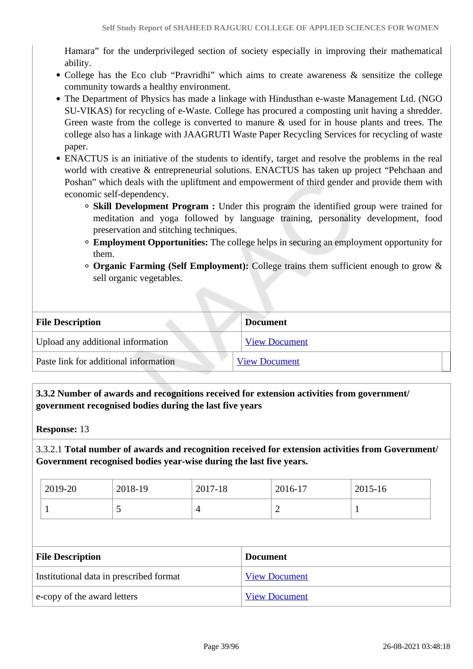Hamara" for the underprivileged section of society especially in improving their mathematical ability.

- College has the Eco club "Pravridhi" which aims to create awareness & sensitize the college community towards a healthy environment.
- The Department of Physics has made a linkage with Hindusthan e-waste Management Ltd. (NGO SU-VIKAS) for recycling of e-Waste. College has procured a composting unit having a shredder. Green waste from the college is converted to manure & used for in house plants and trees. The college also has a linkage with JAAGRUTI Waste Paper Recycling Services for recycling of waste paper.
- ENACTUS is an initiative of the students to identify, target and resolve the problems in the real world with creative & entrepreneurial solutions. ENACTUS has taken up project "Pehchaan and Poshan" which deals with the upliftment and empowerment of third gender and provide them with economic self-dependency.
	- **Skill Development Program :** Under this program the identified group were trained for meditation and yoga followed by language training, personality development, food preservation and stitching techniques.
	- **Employment Opportunities:** The college helps in securing an employment opportunity for them.
	- **Organic Farming (Self Employment):** College trains them sufficient enough to grow & sell organic vegetables.

| <b>File Description</b>               | <b>Document</b>      |
|---------------------------------------|----------------------|
| Upload any additional information     | <b>View Document</b> |
| Paste link for additional information | <b>View Document</b> |

 **3.3.2 Number of awards and recognitions received for extension activities from government/ government recognised bodies during the last five years**

**Response:** 13

3.3.2.1 **Total number of awards and recognition received for extension activities from Government/ Government recognised bodies year-wise during the last five years.**

| $2019-20$ | 2018-19 | 2017-18 | 2016-17 | 2015-16 |
|-----------|---------|---------|---------|---------|
|           | ັ       |         | -       |         |

| <b>File Description</b>                 | <b>Document</b>      |
|-----------------------------------------|----------------------|
| Institutional data in prescribed format | <b>View Document</b> |
| e-copy of the award letters             | <b>View Document</b> |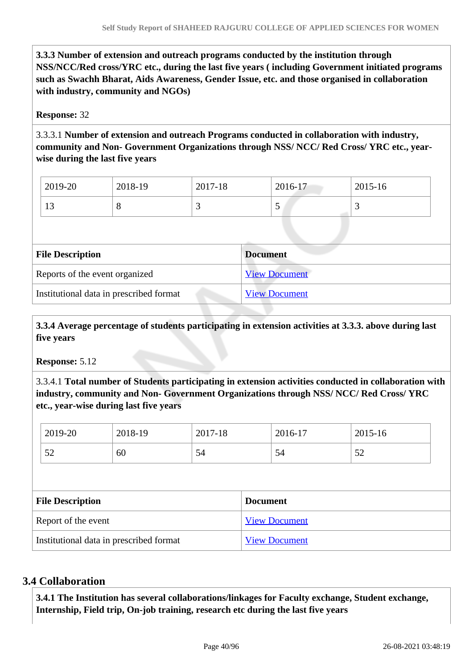**3.3.3 Number of extension and outreach programs conducted by the institution through NSS/NCC/Red cross/YRC etc., during the last five years ( including Government initiated programs such as Swachh Bharat, Aids Awareness, Gender Issue, etc. and those organised in collaboration with industry, community and NGOs)**

### **Response:** 32

3.3.3.1 **Number of extension and outreach Programs conducted in collaboration with industry, community and Non- Government Organizations through NSS/ NCC/ Red Cross/ YRC etc., yearwise during the last five years**

| 2019-20        | 2018-19 | 2017-18 | 2016-17 | 2015-16 |
|----------------|---------|---------|---------|---------|
| 1 <sub>2</sub> | ◡       |         | ັ       | ັ       |

| <b>File Description</b>                 | <b>Document</b>      |
|-----------------------------------------|----------------------|
| Reports of the event organized          | <b>View Document</b> |
| Institutional data in prescribed format | <b>View Document</b> |

 **3.3.4 Average percentage of students participating in extension activities at 3.3.3. above during last five years**

**Response:** 5.12

3.3.4.1 **Total number of Students participating in extension activities conducted in collaboration with industry, community and Non- Government Organizations through NSS/ NCC/ Red Cross/ YRC etc., year-wise during last five years**

| 2019-20                 | 2018-19 | 2017-18 |                 | 2016-17              | 2015-16 |  |
|-------------------------|---------|---------|-----------------|----------------------|---------|--|
| 52                      | 60      | 54      |                 | 54                   | 52      |  |
|                         |         |         |                 |                      |         |  |
|                         |         |         |                 |                      |         |  |
| <b>File Description</b> |         |         | <b>Document</b> |                      |         |  |
| Report of the event     |         |         |                 | <b>View Document</b> |         |  |

### **3.4 Collaboration**

 **3.4.1 The Institution has several collaborations/linkages for Faculty exchange, Student exchange, Internship, Field trip, On-job training, research etc during the last five years**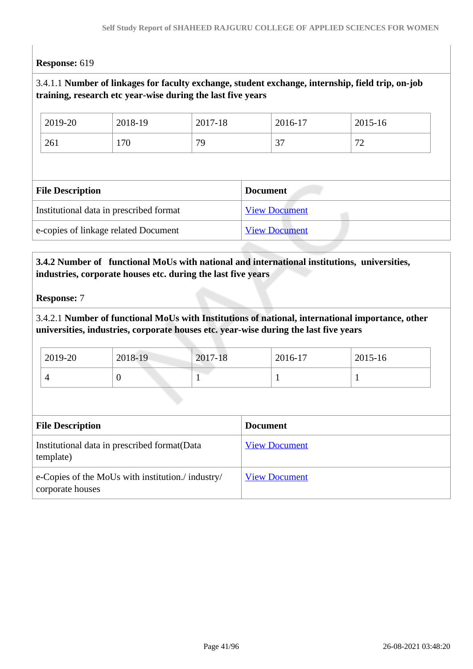### **Response:** 619

### 3.4.1.1 **Number of linkages for faculty exchange, student exchange, internship, field trip, on-job training, research etc year-wise during the last five years**

| 2019-20                 | 2018-19                                 | 2017-18 |                 | 2016-17              | 2015-16 |
|-------------------------|-----------------------------------------|---------|-----------------|----------------------|---------|
| 261                     | 170                                     | 79      |                 | 37                   | 72      |
|                         |                                         |         |                 |                      |         |
|                         |                                         |         |                 |                      |         |
| <b>File Description</b> |                                         |         | <b>Document</b> |                      |         |
|                         | Institutional data in prescribed format |         |                 | <b>View Document</b> |         |

### **3.4.2 Number of functional MoUs with national and international institutions, universities, industries, corporate houses etc. during the last five years**

#### **Response:** 7

3.4.2.1 **Number of functional MoUs with Institutions of national, international importance, other universities, industries, corporate houses etc. year-wise during the last five years**

| 2019-20 | 2018-19 | 2017-18 | 2016-17 | 2015-16 |  |
|---------|---------|---------|---------|---------|--|
|         | ν       |         |         |         |  |

| <b>File Description</b>                                               | <b>Document</b>      |
|-----------------------------------------------------------------------|----------------------|
| Institutional data in prescribed format (Data<br>template)            | <b>View Document</b> |
| e-Copies of the MoUs with institution./ industry/<br>corporate houses | <b>View Document</b> |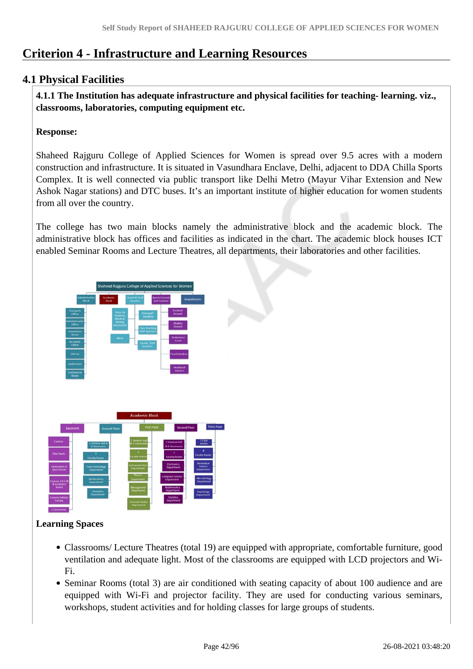# **Criterion 4 - Infrastructure and Learning Resources**

### **4.1 Physical Facilities**

 **4.1.1 The Institution has adequate infrastructure and physical facilities for teaching- learning. viz., classrooms, laboratories, computing equipment etc.** 

### **Response:**

Shaheed Rajguru College of Applied Sciences for Women is spread over 9.5 acres with a modern construction and infrastructure. It is situated in Vasundhara Enclave, Delhi, adjacent to DDA Chilla Sports Complex. It is well connected via public transport like Delhi Metro (Mayur Vihar Extension and New Ashok Nagar stations) and DTC buses. It's an important institute of higher education for women students from all over the country.

The college has two main blocks namely the administrative block and the academic block. The administrative block has offices and facilities as indicated in the chart. The academic block houses ICT enabled Seminar Rooms and Lecture Theatres, all departments, their laboratories and other facilities.



### **Learning Spaces**

- Classrooms/ Lecture Theatres (total 19) are equipped with appropriate, comfortable furniture, good ventilation and adequate light. Most of the classrooms are equipped with LCD projectors and Wi-Fi.
- Seminar Rooms (total 3) are air conditioned with seating capacity of about 100 audience and are equipped with Wi-Fi and projector facility. They are used for conducting various seminars, workshops, student activities and for holding classes for large groups of students.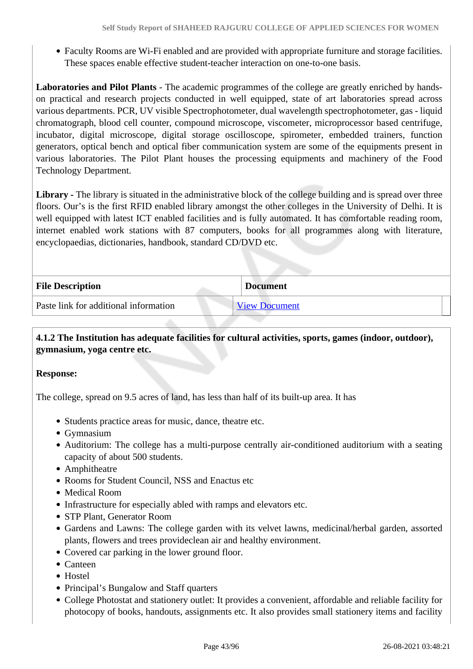Faculty Rooms are Wi-Fi enabled and are provided with appropriate furniture and storage facilities. These spaces enable effective student-teacher interaction on one-to-one basis.

**Laboratories and Pilot Plants** - The academic programmes of the college are greatly enriched by handson practical and research projects conducted in well equipped, state of art laboratories spread across various departments. PCR, UV visible Spectrophotometer, dual wavelength spectrophotometer, gas - liquid chromatograph, blood cell counter, compound microscope, viscometer, microprocessor based centrifuge, incubator, digital microscope, digital storage oscilloscope, spirometer, embedded trainers, function generators, optical bench and optical fiber communication system are some of the equipments present in various laboratories. The Pilot Plant houses the processing equipments and machinery of the Food Technology Department.

Library - The library is situated in the administrative block of the college building and is spread over three floors. Our's is the first RFID enabled library amongst the other colleges in the University of Delhi. It is well equipped with latest ICT enabled facilities and is fully automated. It has comfortable reading room, internet enabled work stations with 87 computers, books for all programmes along with literature, encyclopaedias, dictionaries, handbook, standard CD/DVD etc.

| <b>File Description</b>               | <b>Document</b>      |
|---------------------------------------|----------------------|
| Paste link for additional information | <b>View Document</b> |

 **4.1.2 The Institution has adequate facilities for cultural activities, sports, games (indoor, outdoor), gymnasium, yoga centre etc.** 

### **Response:**

The college, spread on 9.5 acres of land, has less than half of its built-up area. It has

- Students practice areas for music, dance, theatre etc.
- Gymnasium
- Auditorium: The college has a multi-purpose centrally air-conditioned auditorium with a seating capacity of about 500 students.
- Amphitheatre
- Rooms for Student Council, NSS and Enactus etc
- Medical Room
- Infrastructure for especially abled with ramps and elevators etc.
- STP Plant, Generator Room
- Gardens and Lawns: The college garden with its velvet lawns, medicinal/herbal garden, assorted plants, flowers and trees provideclean air and healthy environment.
- Covered car parking in the lower ground floor.
- Canteen
- Hostel
- Principal's Bungalow and Staff quarters
- College Photostat and stationery outlet: It provides a convenient, affordable and reliable facility for photocopy of books, handouts, assignments etc. It also provides small stationery items and facility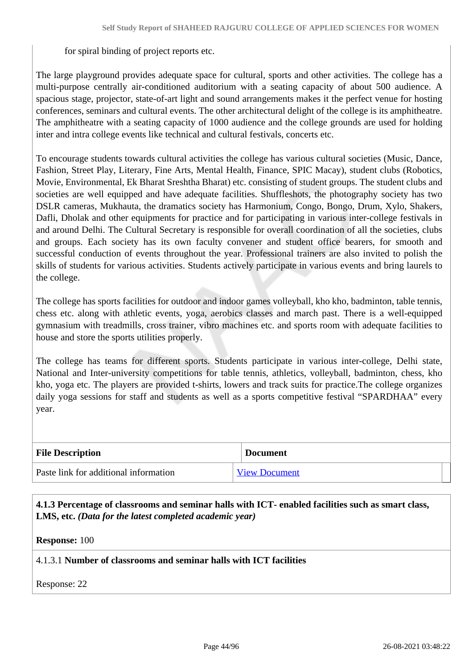for spiral binding of project reports etc.

The large playground provides adequate space for cultural, sports and other activities. The college has a multi-purpose centrally air-conditioned auditorium with a seating capacity of about 500 audience. A spacious stage, projector, state-of-art light and sound arrangements makes it the perfect venue for hosting conferences, seminars and cultural events. The other architectural delight of the college is its amphitheatre. The amphitheatre with a seating capacity of 1000 audience and the college grounds are used for holding inter and intra college events like technical and cultural festivals, concerts etc.

To encourage students towards cultural activities the college has various cultural societies (Music, Dance, Fashion, Street Play, Literary, Fine Arts, Mental Health, Finance, SPIC Macay), student clubs (Robotics, Movie, Environmental, Ek Bharat Sreshtha Bharat) etc. consisting of student groups. The student clubs and societies are well equipped and have adequate facilities. Shuffleshots, the photography society has two DSLR cameras, Mukhauta, the dramatics society has Harmonium, Congo, Bongo, Drum, Xylo, Shakers, Dafli, Dholak and other equipments for practice and for participating in various inter-college festivals in and around Delhi. The Cultural Secretary is responsible for overall coordination of all the societies, clubs and groups. Each society has its own faculty convener and student office bearers, for smooth and successful conduction of events throughout the year. Professional trainers are also invited to polish the skills of students for various activities. Students actively participate in various events and bring laurels to the college.

The college has sports facilities for outdoor and indoor games volleyball, kho kho, badminton, table tennis, chess etc. along with athletic events, yoga, aerobics classes and march past. There is a well-equipped gymnasium with treadmills, cross trainer, vibro machines etc. and sports room with adequate facilities to house and store the sports utilities properly.

The college has teams for different sports. Students participate in various inter-college, Delhi state, National and Inter-university competitions for table tennis, athletics, volleyball, badminton, chess, kho kho, yoga etc. The players are provided t-shirts, lowers and track suits for practice.The college organizes daily yoga sessions for staff and students as well as a sports competitive festival "SPARDHAA" every year.

| <b>File Description</b>               | <b>Document</b>      |
|---------------------------------------|----------------------|
| Paste link for additional information | <b>View Document</b> |

 **4.1.3 Percentage of classrooms and seminar halls with ICT- enabled facilities such as smart class, LMS, etc.** *(Data for the latest completed academic year)*

**Response:** 100

### 4.1.3.1 **Number of classrooms and seminar halls with ICT facilities**

Response: 22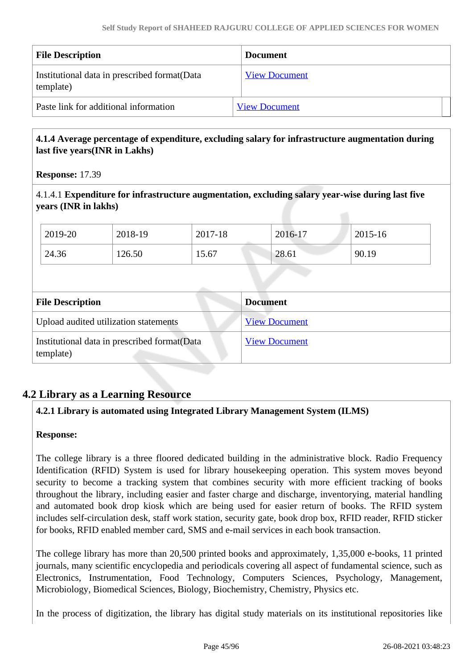| <b>File Description</b>                                    | <b>Document</b>      |
|------------------------------------------------------------|----------------------|
| Institutional data in prescribed format (Data<br>template) | <b>View Document</b> |
| Paste link for additional information                      | <b>View Document</b> |

### **4.1.4 Average percentage of expenditure, excluding salary for infrastructure augmentation during last five years(INR in Lakhs)**

**Response:** 17.39

4.1.4.1 **Expenditure for infrastructure augmentation, excluding salary year-wise during last five years (INR in lakhs)**

| 2019-20                 | 2018-19                               | 2017-18 | 2016-17              | 2015-16 |  |
|-------------------------|---------------------------------------|---------|----------------------|---------|--|
| 24.36                   | 126.50                                | 15.67   | 28.61                | 90.19   |  |
|                         |                                       |         |                      |         |  |
| <b>File Description</b> |                                       |         | <b>Document</b>      |         |  |
|                         |                                       |         |                      |         |  |
|                         | Upload audited utilization statements |         | <b>View Document</b> |         |  |

### **4.2 Library as a Learning Resource**

### **4.2.1 Library is automated using Integrated Library Management System (ILMS)**

### **Response:**

The college library is a three floored dedicated building in the administrative block. Radio Frequency Identification (RFID) System is used for library housekeeping operation. This system moves beyond security to become a tracking system that combines security with more efficient tracking of books throughout the library, including easier and faster charge and discharge, inventorying, material handling and automated book drop kiosk which are being used for easier return of books. The RFID system includes self-circulation desk, staff work station, security gate, book drop box, RFID reader, RFID sticker for books, RFID enabled member card, SMS and e-mail services in each book transaction.

The college library has more than 20,500 printed books and approximately, 1,35,000 e-books, 11 printed journals, many scientific encyclopedia and periodicals covering all aspect of fundamental science, such as Electronics, Instrumentation, Food Technology, Computers Sciences, Psychology, Management, Microbiology, Biomedical Sciences, Biology, Biochemistry, Chemistry, Physics etc.

In the process of digitization, the library has digital study materials on its institutional repositories like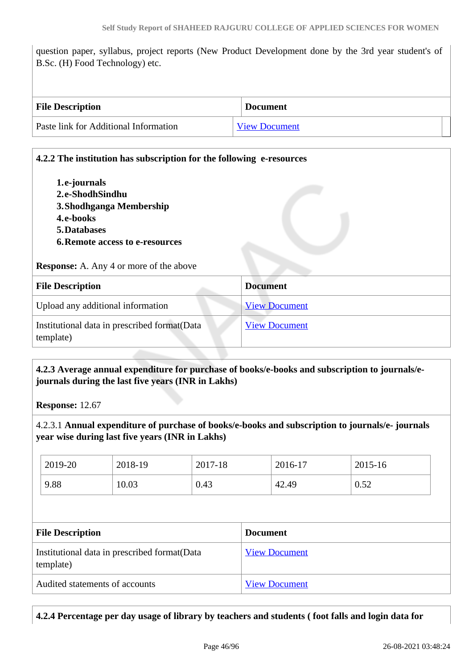question paper, syllabus, project reports (New Product Development done by the 3rd year student's of B.Sc. (H) Food Technology) etc.

| <b>File Description</b>               | <b>Document</b>      |
|---------------------------------------|----------------------|
| Paste link for Additional Information | <b>View Document</b> |

# **4.2.2 The institution has subscription for the following e-resources 1.e-journals 2.e-ShodhSindhu 3.Shodhganga Membership 4.e-books 5.Databases 6.Remote access to e-resources Response:** A. Any 4 or more of the above **File Description Document** Upload any additional information [View Document](https://assessmentonline.naac.gov.in/storage/app/hei/SSR/104839/4.2.2_1613111534_5490.pdf) Institutional data in prescribed format(Data template) [View Document](https://assessmentonline.naac.gov.in/storage/app/hei/SSR/104839/4.2.2_1614571276_5490.xlsx)

### **4.2.3 Average annual expenditure for purchase of books/e-books and subscription to journals/ejournals during the last five years (INR in Lakhs)**

**Response:** 12.67

4.2.3.1 **Annual expenditure of purchase of books/e-books and subscription to journals/e- journals year wise during last five years (INR in Lakhs)**

| 2019-20 | 2018-19 | 2017-18 | 2016-17 | 2015-16 |
|---------|---------|---------|---------|---------|
| 9.88    | 10.03   | 0.43    | 42.49   | 0.52    |

| <b>File Description</b>                                    | <b>Document</b>      |
|------------------------------------------------------------|----------------------|
| Institutional data in prescribed format (Data<br>template) | <b>View Document</b> |
| Audited statements of accounts                             | <b>View Document</b> |

### **4.2.4 Percentage per day usage of library by teachers and students ( foot falls and login data for**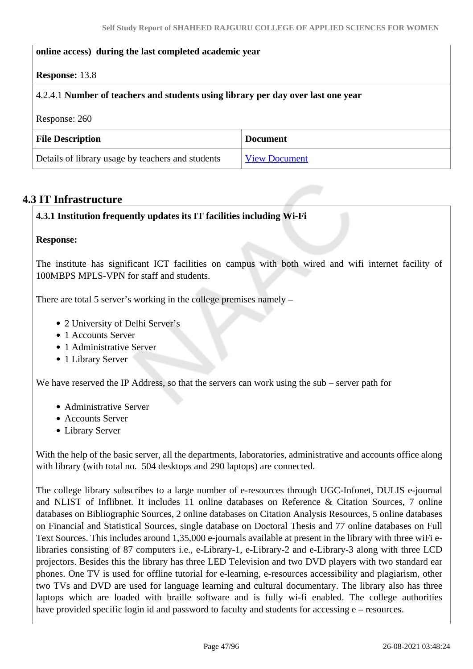### **online access) during the last completed academic year**

### **Response:** 13.8

### 4.2.4.1 **Number of teachers and students using library per day over last one year**

Response: 260

| <b>File Description</b>                           | <b>Document</b>      |
|---------------------------------------------------|----------------------|
| Details of library usage by teachers and students | <b>View Document</b> |

### **4.3 IT Infrastructure**

### **4.3.1 Institution frequently updates its IT facilities including Wi-Fi**

#### **Response:**

The institute has significant ICT facilities on campus with both wired and wifi internet facility of 100MBPS MPLS-VPN for staff and students.

There are total 5 server's working in the college premises namely –

- 2 University of Delhi Server's
- 1 Accounts Server
- 1 Administrative Server
- 1 Library Server

We have reserved the IP Address, so that the servers can work using the sub – server path for

- Administrative Server
- Accounts Server
- Library Server

With the help of the basic server, all the departments, laboratories, administrative and accounts office along with library (with total no. 504 desktops and 290 laptops) are connected.

The college library subscribes to a large number of e-resources through UGC-Infonet, DULIS e-journal and NLIST of Inflibnet. It includes 11 online databases on Reference & Citation Sources, 7 online databases on Bibliographic Sources, 2 online databases on Citation Analysis Resources, 5 online databases on Financial and Statistical Sources, single database on Doctoral Thesis and 77 online databases on Full Text Sources. This includes around 1,35,000 e-journals available at present in the library with three wiFi elibraries consisting of 87 computers i.e., e-Library-1, e-Library-2 and e-Library-3 along with three LCD projectors. Besides this the library has three LED Television and two DVD players with two standard ear phones. One TV is used for offline tutorial for e-learning, e-resources accessibility and plagiarism, other two TVs and DVD are used for language learning and cultural documentary. The library also has three laptops which are loaded with braille software and is fully wi-fi enabled. The college authorities have provided specific login id and password to faculty and students for accessing e – resources.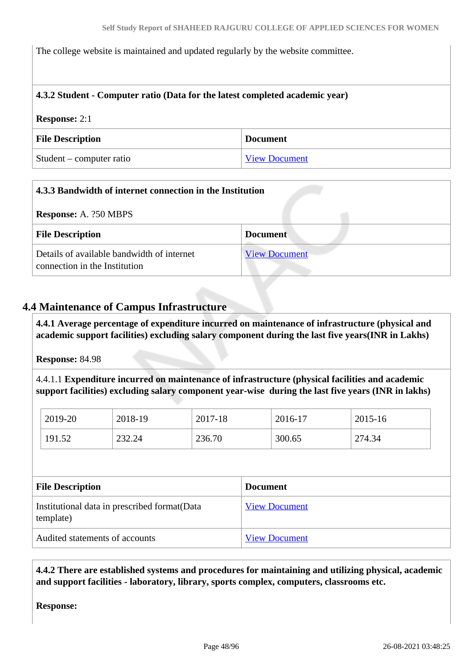The college website is maintained and updated regularly by the website committee.

### **4.3.2 Student - Computer ratio (Data for the latest completed academic year)**

# **Response:** 2:1 **File Description Document** Student – computer ratio [View Document](https://assessmentonline.naac.gov.in/storage/app/hei/SSR/104839/4.3.2_1613034041_5490.pdf)

| 4.3.3 Bandwidth of internet connection in the Institution                   |                      |
|-----------------------------------------------------------------------------|----------------------|
| <b>Response:</b> A. ?50 MBPS                                                |                      |
| <b>File Description</b>                                                     | <b>Document</b>      |
| Details of available bandwidth of internet<br>connection in the Institution | <b>View Document</b> |

### **4.4 Maintenance of Campus Infrastructure**

 **4.4.1 Average percentage of expenditure incurred on maintenance of infrastructure (physical and academic support facilities) excluding salary component during the last five years(INR in Lakhs)**

**Response:** 84.98

4.4.1.1 **Expenditure incurred on maintenance of infrastructure (physical facilities and academic support facilities) excluding salary component year-wise during the last five years (INR in lakhs)**

| 2019-20 | 2018-19 | 2017-18 | 2016-17 | 2015-16 |
|---------|---------|---------|---------|---------|
| 191.52  | 232.24  | 236.70  | 300.65  | 274.34  |

| <b>File Description</b>                                    | <b>Document</b>      |
|------------------------------------------------------------|----------------------|
| Institutional data in prescribed format (Data<br>template) | <b>View Document</b> |
| Audited statements of accounts                             | <b>View Document</b> |

 **4.4.2 There are established systems and procedures for maintaining and utilizing physical, academic and support facilities - laboratory, library, sports complex, computers, classrooms etc.**

**Response:**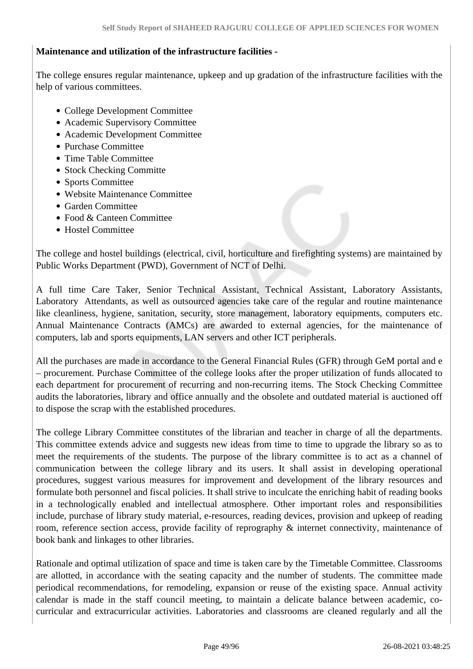### **Maintenance and utilization of the infrastructure facilities -**

The college ensures regular maintenance, upkeep and up gradation of the infrastructure facilities with the help of various committees.

- College Development Committee
- Academic Supervisory Committee
- Academic Development Committee
- Purchase Committee
- Time Table Committee
- Stock Checking Committe
- Sports Committee
- Website Maintenance Committee
- Garden Committee
- Food & Canteen Committee
- Hostel Committee

The college and hostel buildings (electrical, civil, horticulture and firefighting systems) are maintained by Public Works Department (PWD), Government of NCT of Delhi.

A full time Care Taker, Senior Technical Assistant, Technical Assistant, Laboratory Assistants, Laboratory Attendants, as well as outsourced agencies take care of the regular and routine maintenance like cleanliness, hygiene, sanitation, security, store management, laboratory equipments, computers etc. Annual Maintenance Contracts (AMCs) are awarded to external agencies, for the maintenance of computers, lab and sports equipments, LAN servers and other ICT peripherals.

All the purchases are made in accordance to the General Financial Rules (GFR) through GeM portal and e – procurement. Purchase Committee of the college looks after the proper utilization of funds allocated to each department for procurement of recurring and non-recurring items. The Stock Checking Committee audits the laboratories, library and office annually and the obsolete and outdated material is auctioned off to dispose the scrap with the established procedures.

The college Library Committee constitutes of the librarian and teacher in charge of all the departments. This committee extends advice and suggests new ideas from time to time to upgrade the library so as to meet the requirements of the students. The purpose of the library committee is to act as a channel of communication between the college library and its users. It shall assist in developing operational procedures, suggest various measures for improvement and development of the library resources and formulate both personnel and fiscal policies. It shall strive to inculcate the enriching habit of reading books in a technologically enabled and intellectual atmosphere. Other important roles and responsibilities include, purchase of library study material, e-resources, reading devices, provision and upkeep of reading room, reference section access, provide facility of reprography & internet connectivity, maintenance of book bank and linkages to other libraries.

Rationale and optimal utilization of space and time is taken care by the Timetable Committee. Classrooms are allotted, in accordance with the seating capacity and the number of students. The committee made periodical recommendations, for remodeling, expansion or reuse of the existing space. Annual activity calendar is made in the staff council meeting, to maintain a delicate balance between academic, cocurricular and extracurricular activities. Laboratories and classrooms are cleaned regularly and all the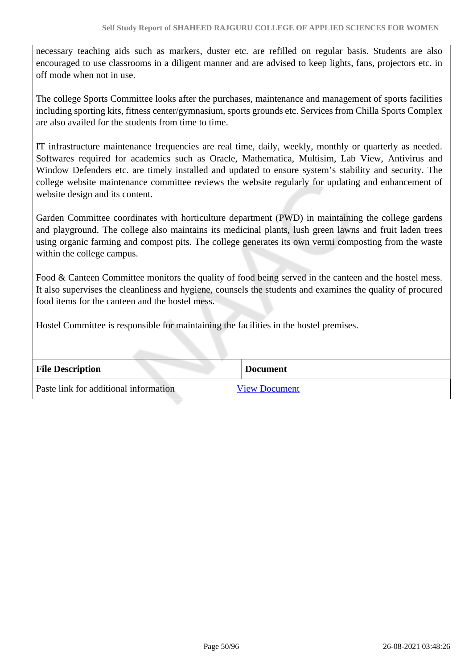necessary teaching aids such as markers, duster etc. are refilled on regular basis. Students are also encouraged to use classrooms in a diligent manner and are advised to keep lights, fans, projectors etc. in off mode when not in use.

The college Sports Committee looks after the purchases, maintenance and management of sports facilities including sporting kits, fitness center/gymnasium, sports grounds etc. Services from Chilla Sports Complex are also availed for the students from time to time.

IT infrastructure maintenance frequencies are real time, daily, weekly, monthly or quarterly as needed. Softwares required for academics such as Oracle, Mathematica, Multisim, Lab View, Antivirus and Window Defenders etc. are timely installed and updated to ensure system's stability and security. The college website maintenance committee reviews the website regularly for updating and enhancement of website design and its content.

Garden Committee coordinates with horticulture department (PWD) in maintaining the college gardens and playground. The college also maintains its medicinal plants, lush green lawns and fruit laden trees using organic farming and compost pits. The college generates its own vermi composting from the waste within the college campus.

Food & Canteen Committee monitors the quality of food being served in the canteen and the hostel mess. It also supervises the cleanliness and hygiene, counsels the students and examines the quality of procured food items for the canteen and the hostel mess.

Hostel Committee is responsible for maintaining the facilities in the hostel premises.

| <b>File Description</b>               | <b>Document</b>      |
|---------------------------------------|----------------------|
| Paste link for additional information | <b>View Document</b> |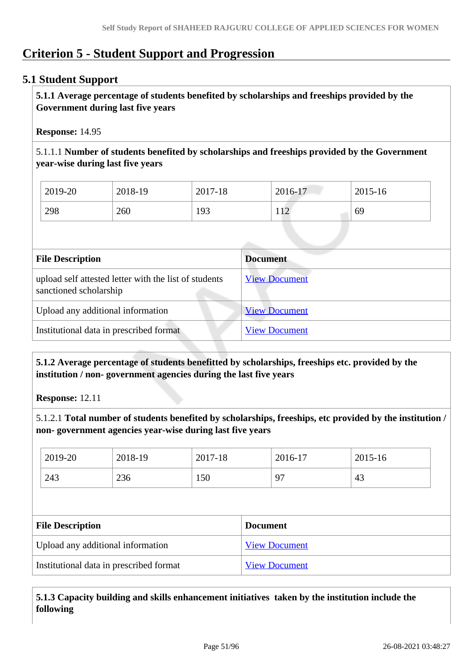# **Criterion 5 - Student Support and Progression**

### **5.1 Student Support**

 **5.1.1 Average percentage of students benefited by scholarships and freeships provided by the Government during last five years** 

**Response:** 14.95

5.1.1.1 **Number of students benefited by scholarships and freeships provided by the Government year-wise during last five years**

| 2019-20 | 2018-19 | 2017-18 | 2016-17 | 2015-16 |
|---------|---------|---------|---------|---------|
| 298     | 260     | 193     | 12      | 69      |

| <b>Document</b>      |
|----------------------|
| <b>View Document</b> |
| <b>View Document</b> |
| <b>View Document</b> |
|                      |

 **5.1.2 Average percentage of students benefitted by scholarships, freeships etc. provided by the institution / non- government agencies during the last five years**

**Response:** 12.11

5.1.2.1 **Total number of students benefited by scholarships, freeships, etc provided by the institution / non- government agencies year-wise during last five years**

| 2019-20                           | 2018-19                                 | 2017-18 |                 | 2016-17              | 2015-16 |  |
|-----------------------------------|-----------------------------------------|---------|-----------------|----------------------|---------|--|
| 243                               | 236                                     | 150     |                 | 97                   | 43      |  |
|                                   |                                         |         |                 |                      |         |  |
| <b>File Description</b>           |                                         |         | <b>Document</b> |                      |         |  |
| Upload any additional information |                                         |         |                 | <b>View Document</b> |         |  |
|                                   | Institutional data in prescribed format |         |                 | <b>View Document</b> |         |  |

 **5.1.3 Capacity building and skills enhancement initiatives taken by the institution include the following**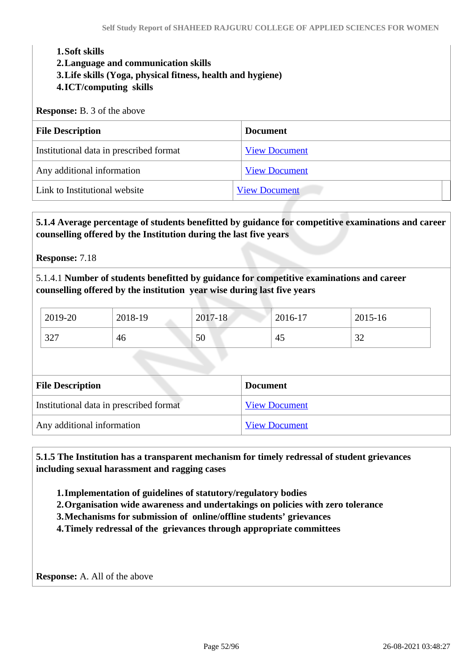#### **1.Soft skills**

**2.Language and communication skills** 

- **3.Life skills (Yoga, physical fitness, health and hygiene)**
- **4.ICT/computing skills**

#### **Response:** B. 3 of the above

| <b>File Description</b>                 | <b>Document</b>      |
|-----------------------------------------|----------------------|
| Institutional data in prescribed format | <b>View Document</b> |
| Any additional information              | <b>View Document</b> |
| Link to Institutional website           | <b>View Document</b> |

### **5.1.4 Average percentage of students benefitted by guidance for competitive examinations and career counselling offered by the Institution during the last five years**

**Response:** 7.18

5.1.4.1 **Number of students benefitted by guidance for competitive examinations and career counselling offered by the institution year wise during last five years**

| 2019-20 | 2018-19 | 2017-18 | 2016-17 | 2015-16       |
|---------|---------|---------|---------|---------------|
| 327     | 46      | 50      | 4:      | $\sim$<br>ے ر |

| <b>File Description</b>                 | <b>Document</b>      |
|-----------------------------------------|----------------------|
| Institutional data in prescribed format | <b>View Document</b> |
| Any additional information              | <b>View Document</b> |

 **5.1.5 The Institution has a transparent mechanism for timely redressal of student grievances including sexual harassment and ragging cases**

**1.Implementation of guidelines of statutory/regulatory bodies**

**2.Organisation wide awareness and undertakings on policies with zero tolerance**

**3.Mechanisms for submission of online/offline students' grievances**

**4.Timely redressal of the grievances through appropriate committees**

**Response:** A. All of the above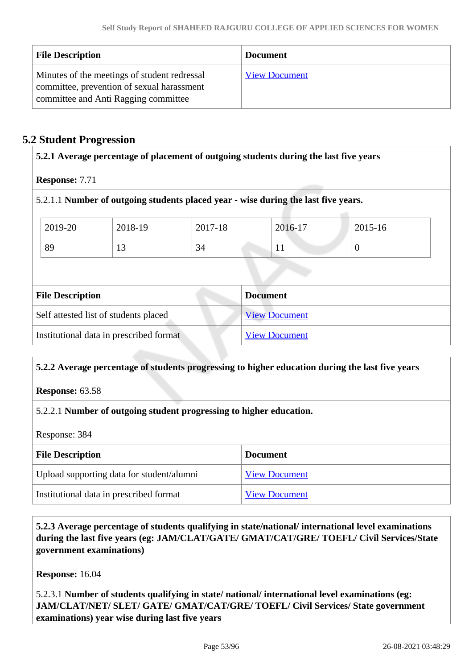| <b>File Description</b>                                                                                                            | <b>Document</b>      |
|------------------------------------------------------------------------------------------------------------------------------------|----------------------|
| Minutes of the meetings of student redressal<br>committee, prevention of sexual harassment<br>committee and Anti Ragging committee | <b>View Document</b> |

### **5.2 Student Progression**

| <b>Response: 7.71</b>                 |                                         |         |                                                                                    |                |
|---------------------------------------|-----------------------------------------|---------|------------------------------------------------------------------------------------|----------------|
|                                       |                                         |         | 5.2.1.1 Number of outgoing students placed year - wise during the last five years. |                |
| 2019-20                               | 2018-19                                 | 2017-18 | 2016-17                                                                            | $2015 - 16$    |
| 89                                    | 13                                      | 34      | 11                                                                                 | $\overline{0}$ |
|                                       |                                         |         |                                                                                    |                |
| <b>File Description</b>               |                                         |         | <b>Document</b>                                                                    |                |
| Self attested list of students placed |                                         |         | <b>View Document</b>                                                               |                |
|                                       |                                         |         |                                                                                    |                |
|                                       | Institutional data in prescribed format |         | <b>View Document</b>                                                               |                |

### **5.2.2 Average percentage of students progressing to higher education during the last five years**

**Response:** 63.58

### 5.2.2.1 **Number of outgoing student progressing to higher education.**

Response: 384

| <b>File Description</b>                   | <b>Document</b>      |
|-------------------------------------------|----------------------|
| Upload supporting data for student/alumni | <b>View Document</b> |
| Institutional data in prescribed format   | <b>View Document</b> |

 **5.2.3 Average percentage of students qualifying in state/national/ international level examinations during the last five years (eg: JAM/CLAT/GATE/ GMAT/CAT/GRE/ TOEFL/ Civil Services/State government examinations)**

**Response:** 16.04

5.2.3.1 **Number of students qualifying in state/ national/ international level examinations (eg: JAM/CLAT/NET/ SLET/ GATE/ GMAT/CAT/GRE/ TOEFL/ Civil Services/ State government examinations) year wise during last five years**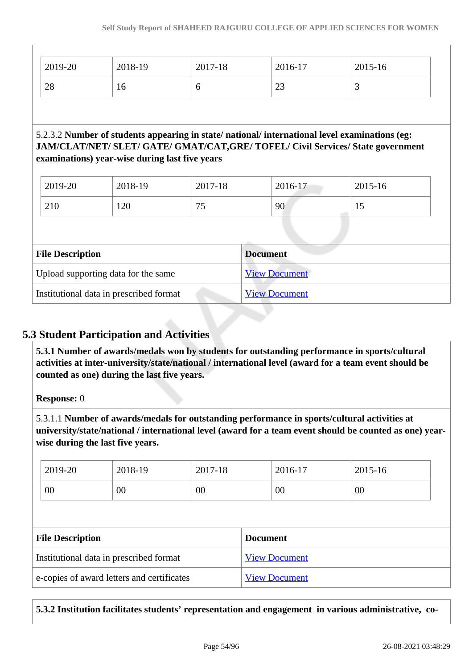| 2019-20                                 | 2018-19                                                   | 2017-18              | 2016-17                                                                                      | 2015-16                                                                          |
|-----------------------------------------|-----------------------------------------------------------|----------------------|----------------------------------------------------------------------------------------------|----------------------------------------------------------------------------------|
| 28                                      | 16                                                        | 6                    | 23                                                                                           | 3                                                                                |
|                                         |                                                           |                      | 5.2.3.2 Number of students appearing in state/national/international level examinations (eg: | JAM/CLAT/NET/ SLET/ GATE/ GMAT/CAT, GRE/ TOFEL/ Civil Services/ State government |
| 2019-20                                 | examinations) year-wise during last five years<br>2018-19 | 2017-18              | 2016-17                                                                                      | 2015-16                                                                          |
| 210                                     | 120                                                       | 75                   | 90                                                                                           | 15                                                                               |
|                                         |                                                           |                      |                                                                                              |                                                                                  |
| <b>File Description</b>                 |                                                           |                      | <b>Document</b>                                                                              |                                                                                  |
| Upload supporting data for the same     |                                                           |                      | <b>View Document</b>                                                                         |                                                                                  |
| Institutional data in prescribed format |                                                           | <b>View Document</b> |                                                                                              |                                                                                  |

### **5.3 Student Participation and Activities**

 **5.3.1 Number of awards/medals won by students for outstanding performance in sports/cultural activities at inter-university/state/national / international level (award for a team event should be counted as one) during the last five years.**

### **Response:** 0

5.3.1.1 **Number of awards/medals for outstanding performance in sports/cultural activities at university/state/national / international level (award for a team event should be counted as one) yearwise during the last five years.**

|                                            | 2019-20 | 2018-19              | 2017-18              |  | 2016-17 | 2015-16 |
|--------------------------------------------|---------|----------------------|----------------------|--|---------|---------|
|                                            | 00      | 00                   | 00                   |  | 00      | 00      |
|                                            |         |                      |                      |  |         |         |
| <b>File Description</b>                    |         |                      | <b>Document</b>      |  |         |         |
| Institutional data in prescribed format    |         | <b>View Document</b> |                      |  |         |         |
| e-copies of award letters and certificates |         |                      | <b>View Document</b> |  |         |         |

**5.3.2 Institution facilitates students' representation and engagement in various administrative, co-**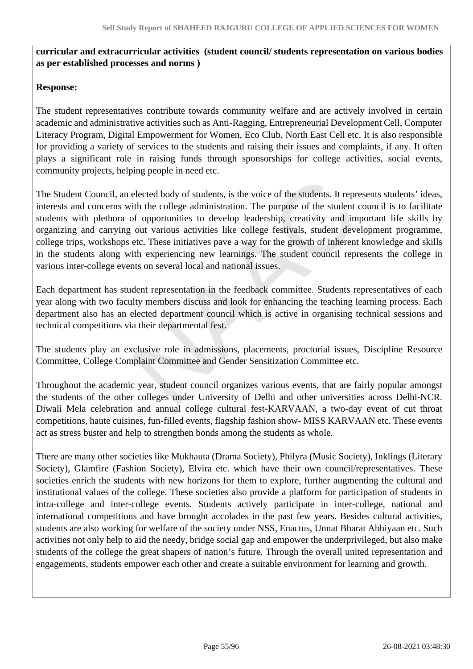### **curricular and extracurricular activities (student council/ students representation on various bodies as per established processes and norms )**

### **Response:**

The student representatives contribute towards community welfare and are actively involved in certain academic and administrative activities such as Anti-Ragging, Entrepreneurial Development Cell, Computer Literacy Program, Digital Empowerment for Women, Eco Club, North East Cell etc. It is also responsible for providing a variety of services to the students and raising their issues and complaints, if any. It often plays a significant role in raising funds through sponsorships for college activities, social events, community projects, helping people in need etc.

The Student Council, an elected body of students, is the voice of the students. It represents students' ideas, interests and concerns with the college administration. The purpose of the student council is to facilitate students with plethora of opportunities to develop leadership, creativity and important life skills by organizing and carrying out various activities like college festivals, student development programme, college trips, workshops etc. These initiatives pave a way for the growth of inherent knowledge and skills in the students along with experiencing new learnings. The student council represents the college in various inter-college events on several local and national issues.

Each department has student representation in the feedback committee. Students representatives of each year along with two faculty members discuss and look for enhancing the teaching learning process. Each department also has an elected department council which is active in organising technical sessions and technical competitions via their departmental fest.

The students play an exclusive role in admissions, placements, proctorial issues, Discipline Resource Committee, College Complaint Committee and Gender Sensitization Committee etc.

Throughout the academic year, student council organizes various events, that are fairly popular amongst the students of the other colleges under University of Delhi and other universities across Delhi-NCR. Diwali Mela celebration and annual college cultural fest-KARVAAN, a two-day event of cut throat competitions, haute cuisines, fun-filled events, flagship fashion show- MISS KARVAAN etc. These events act as stress buster and help to strengthen bonds among the students as whole.

There are many other societies like Mukhauta (Drama Society), Philyra (Music Society), Inklings (Literary Society), Glamfire (Fashion Society), Elvira etc. which have their own council/representatives. These societies enrich the students with new horizons for them to explore, further augmenting the cultural and institutional values of the college. These societies also provide a platform for participation of students in intra-college and inter-college events. Students actively participate in inter-college, national and international competitions and have brought accolades in the past few years. Besides cultural activities, students are also working for welfare of the society under NSS, Enactus, Unnat Bharat Abhiyaan etc. Such activities not only help to aid the needy, bridge social gap and empower the underprivileged, but also make students of the college the great shapers of nation's future. Through the overall united representation and engagements, students empower each other and create a suitable environment for learning and growth.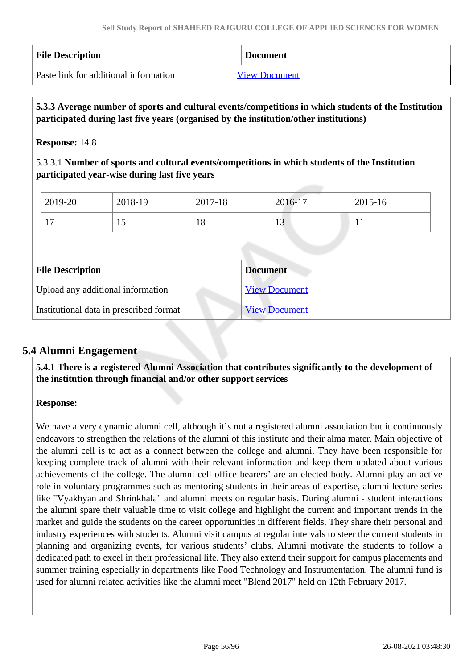| <b>File Description</b>               | <b>Document</b>      |
|---------------------------------------|----------------------|
| Paste link for additional information | <b>View Document</b> |

### **5.3.3 Average number of sports and cultural events/competitions in which students of the Institution participated during last five years (organised by the institution/other institutions)**

### **Response:** 14.8

5.3.3.1 **Number of sports and cultural events/competitions in which students of the Institution participated year-wise during last five years**

| $\frac{1}{2019}$ -20           | 2018-19 | 2017-18 | 2016-17              | $2015 - 16$ |
|--------------------------------|---------|---------|----------------------|-------------|
| $\overline{\phantom{0}}$<br>л. | ⊥୰      | 18      | 1 <sub>2</sub><br>13 |             |

| <b>File Description</b>                 | <b>Document</b>      |
|-----------------------------------------|----------------------|
| Upload any additional information       | <b>View Document</b> |
| Institutional data in prescribed format | <b>View Document</b> |

### **5.4 Alumni Engagement**

 **5.4.1 There is a registered Alumni Association that contributes significantly to the development of the institution through financial and/or other support services**

### **Response:**

We have a very dynamic alumni cell, although it's not a registered alumni association but it continuously endeavors to strengthen the relations of the alumni of this institute and their alma mater. Main objective of the alumni cell is to act as a connect between the college and alumni. They have been responsible for keeping complete track of alumni with their relevant information and keep them updated about various achievements of the college. The alumni cell office bearers' are an elected body. Alumni play an active role in voluntary programmes such as mentoring students in their areas of expertise, alumni lecture series like "Vyakhyan and Shrinkhala" and alumni meets on regular basis. During alumni - student interactions the alumni spare their valuable time to visit college and highlight the current and important trends in the market and guide the students on the career opportunities in different fields. They share their personal and industry experiences with students. Alumni visit campus at regular intervals to steer the current students in planning and organizing events, for various students' clubs. Alumni motivate the students to follow a dedicated path to excel in their professional life. They also extend their support for campus placements and summer training especially in departments like Food Technology and Instrumentation. The alumni fund is used for alumni related activities like the alumni meet "Blend 2017" held on 12th February 2017.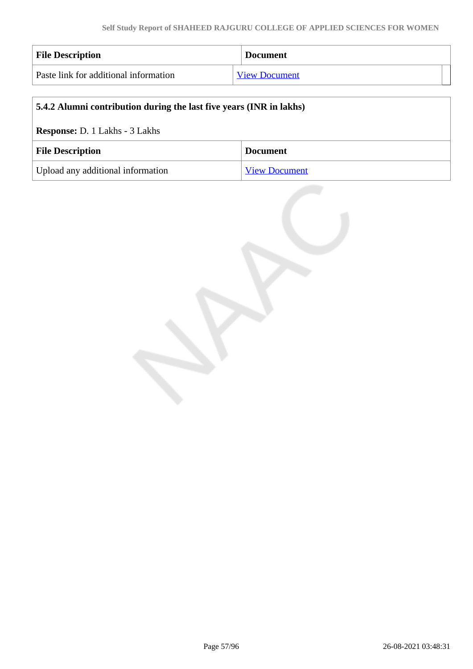| <b>File Description</b>               | <b>Document</b>      |
|---------------------------------------|----------------------|
| Paste link for additional information | <b>View Document</b> |

| 5.4.2 Alumni contribution during the last five years (INR in lakhs) |                 |  |
|---------------------------------------------------------------------|-----------------|--|
| <b>Response: D. 1 Lakhs - 3 Lakhs</b>                               |                 |  |
| <b>File Description</b>                                             | <b>Document</b> |  |
| Upload any additional information<br><b>View Document</b>           |                 |  |

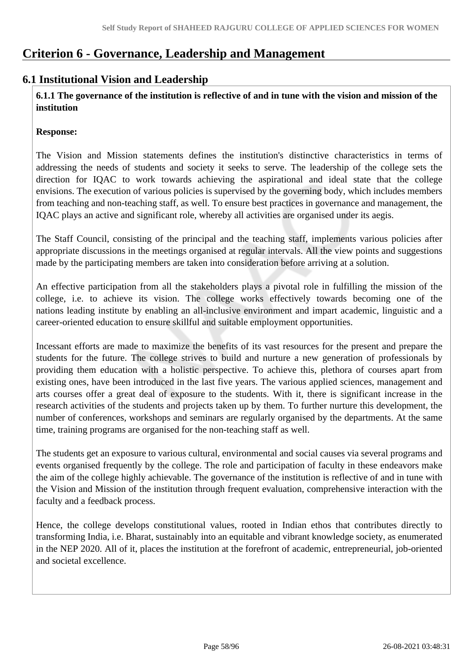## **Criterion 6 - Governance, Leadership and Management**

### **6.1 Institutional Vision and Leadership**

 **6.1.1 The governance of the institution is reflective of and in tune with the vision and mission of the institution**

#### **Response:**

The Vision and Mission statements defines the institution's distinctive characteristics in terms of addressing the needs of students and society it seeks to serve. The leadership of the college sets the direction for IQAC to work towards achieving the aspirational and ideal state that the college envisions. The execution of various policies is supervised by the governing body, which includes members from teaching and non-teaching staff, as well. To ensure best practices in governance and management, the IQAC plays an active and significant role, whereby all activities are organised under its aegis.

The Staff Council, consisting of the principal and the teaching staff, implements various policies after appropriate discussions in the meetings organised at regular intervals. All the view points and suggestions made by the participating members are taken into consideration before arriving at a solution.

An effective participation from all the stakeholders plays a pivotal role in fulfilling the mission of the college, i.e. to achieve its vision. The college works effectively towards becoming one of the nations leading institute by enabling an all-inclusive environment and impart academic, linguistic and a career-oriented education to ensure skillful and suitable employment opportunities.

Incessant efforts are made to maximize the benefits of its vast resources for the present and prepare the students for the future. The college strives to build and nurture a new generation of professionals by providing them education with a holistic perspective. To achieve this, plethora of courses apart from existing ones, have been introduced in the last five years. The various applied sciences, management and arts courses offer a great deal of exposure to the students. With it, there is significant increase in the research activities of the students and projects taken up by them. To further nurture this development, the number of conferences, workshops and seminars are regularly organised by the departments. At the same time, training programs are organised for the non-teaching staff as well.

The students get an exposure to various cultural, environmental and social causes via several programs and events organised frequently by the college. The role and participation of faculty in these endeavors make the aim of the college highly achievable. The governance of the institution is reflective of and in tune with the Vision and Mission of the institution through frequent evaluation, comprehensive interaction with the faculty and a feedback process.

Hence, the college develops constitutional values, rooted in Indian ethos that contributes directly to transforming India, i.e. Bharat, sustainably into an equitable and vibrant knowledge society, as enumerated in the NEP 2020. All of it, places the institution at the forefront of academic, entrepreneurial, job-oriented and societal excellence.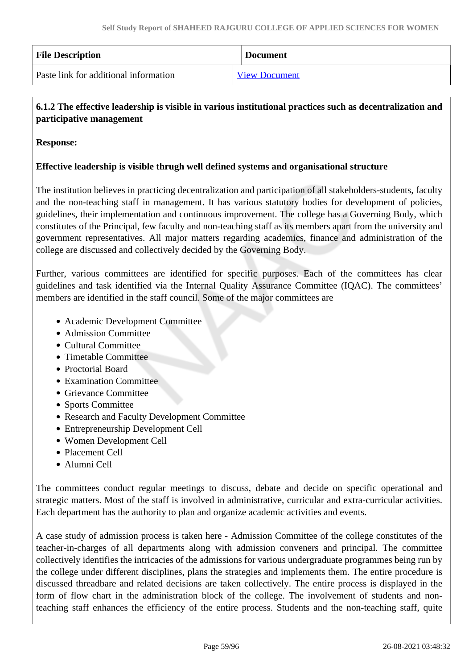| <b>File Description</b>               | <b>Document</b>      |
|---------------------------------------|----------------------|
| Paste link for additional information | <b>View Document</b> |

### **6.1.2 The effective leadership is visible in various institutional practices such as decentralization and participative management**

### **Response:**

### **Effective leadership is visible thrugh well defined systems and organisational structure**

The institution believes in practicing decentralization and participation of all stakeholders-students, faculty and the non-teaching staff in management. It has various statutory bodies for development of policies, guidelines, their implementation and continuous improvement. The college has a Governing Body, which constitutes of the Principal, few faculty and non-teaching staff as its members apart from the university and government representatives. All major matters regarding academics, finance and administration of the college are discussed and collectively decided by the Governing Body.

Further, various committees are identified for specific purposes. Each of the committees has clear guidelines and task identified via the Internal Quality Assurance Committee (IQAC). The committees' members are identified in the staff council. Some of the major committees are

- Academic Development Committee
- Admission Committee
- Cultural Committee
- Timetable Committee
- Proctorial Board
- Examination Committee
- Grievance Committee
- Sports Committee
- Research and Faculty Development Committee
- Entrepreneurship Development Cell
- Women Development Cell
- Placement Cell
- Alumni Cell

The committees conduct regular meetings to discuss, debate and decide on specific operational and strategic matters. Most of the staff is involved in administrative, curricular and extra-curricular activities. Each department has the authority to plan and organize academic activities and events.

A case study of admission process is taken here - Admission Committee of the college constitutes of the teacher-in-charges of all departments along with admission conveners and principal. The committee collectively identifies the intricacies of the admissions for various undergraduate programmes being run by the college under different disciplines, plans the strategies and implements them. The entire procedure is discussed threadbare and related decisions are taken collectively. The entire process is displayed in the form of flow chart in the administration block of the college. The involvement of students and nonteaching staff enhances the efficiency of the entire process. Students and the non-teaching staff, quite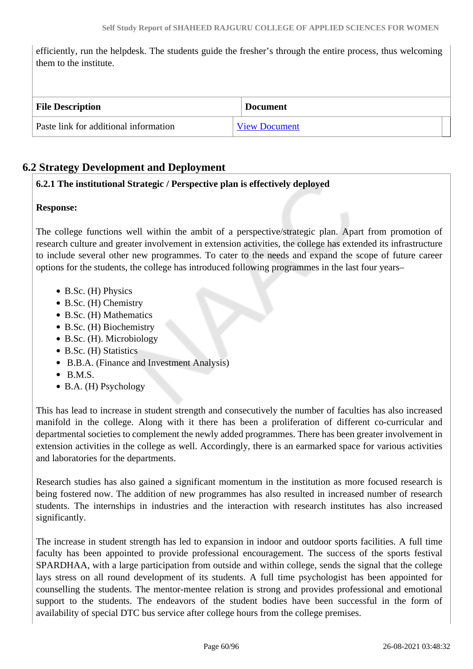efficiently, run the helpdesk. The students guide the fresher's through the entire process, thus welcoming them to the institute.

| <b>File Description</b>               | <b>Document</b>      |
|---------------------------------------|----------------------|
| Paste link for additional information | <b>View Document</b> |

### **6.2 Strategy Development and Deployment**

### **6.2.1 The institutional Strategic / Perspective plan is effectively deployed**

### **Response:**

The college functions well within the ambit of a perspective/strategic plan. Apart from promotion of research culture and greater involvement in extension activities, the college has extended its infrastructure to include several other new programmes. To cater to the needs and expand the scope of future career options for the students, the college has introduced following programmes in the last four years–

- B.Sc. (H) Physics
- B.Sc. (H) Chemistry
- B.Sc. (H) Mathematics
- B.Sc. (H) Biochemistry
- B.Sc. (H). Microbiology
- B.Sc. (H) Statistics
- B.B.A. (Finance and Investment Analysis)
- $\bullet$  B.M.S.
- B.A. (H) Psychology

This has lead to increase in student strength and consecutively the number of faculties has also increased manifold in the college. Along with it there has been a proliferation of different co-curricular and departmental societies to complement the newly added programmes. There has been greater involvement in extension activities in the college as well. Accordingly, there is an earmarked space for various activities and laboratories for the departments.

Research studies has also gained a significant momentum in the institution as more focused research is being fostered now. The addition of new programmes has also resulted in increased number of research students. The internships in industries and the interaction with research institutes has also increased significantly.

The increase in student strength has led to expansion in indoor and outdoor sports facilities. A full time faculty has been appointed to provide professional encouragement. The success of the sports festival SPARDHAA, with a large participation from outside and within college, sends the signal that the college lays stress on all round development of its students. A full time psychologist has been appointed for counselling the students. The mentor-mentee relation is strong and provides professional and emotional support to the students. The endeavors of the student bodies have been successful in the form of availability of special DTC bus service after college hours from the college premises.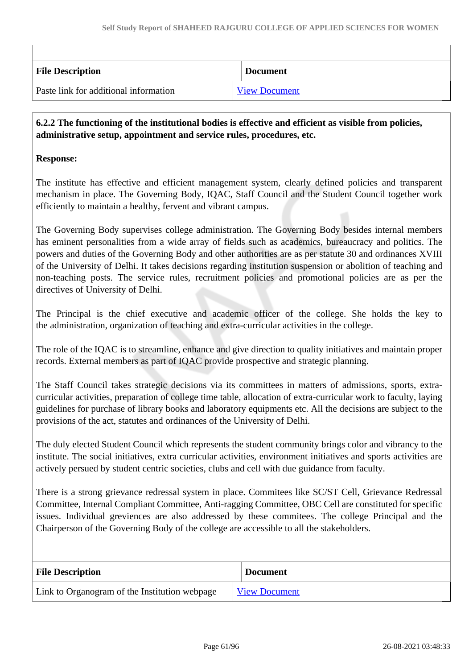| <b>File Description</b>               | <b>Document</b>      |
|---------------------------------------|----------------------|
| Paste link for additional information | <b>View Document</b> |

 **6.2.2 The functioning of the institutional bodies is effective and efficient as visible from policies, administrative setup, appointment and service rules, procedures, etc.**

### **Response:**

The institute has effective and efficient management system, clearly defined policies and transparent mechanism in place. The Governing Body, IQAC, Staff Council and the Student Council together work efficiently to maintain a healthy, fervent and vibrant campus.

The Governing Body supervises college administration. The Governing Body besides internal members has eminent personalities from a wide array of fields such as academics, bureaucracy and politics. The powers and duties of the Governing Body and other authorities are as per statute 30 and ordinances XVIII of the University of Delhi. It takes decisions regarding institution suspension or abolition of teaching and non-teaching posts. The service rules, recruitment policies and promotional policies are as per the directives of University of Delhi.

The Principal is the chief executive and academic officer of the college. She holds the key to the administration, organization of teaching and extra-curricular activities in the college.

The role of the IQAC is to streamline, enhance and give direction to quality initiatives and maintain proper records. External members as part of IQAC provide prospective and strategic planning.

The Staff Council takes strategic decisions via its committees in matters of admissions, sports, extracurricular activities, preparation of college time table, allocation of extra-curricular work to faculty, laying guidelines for purchase of library books and laboratory equipments etc. All the decisions are subject to the provisions of the act, statutes and ordinances of the University of Delhi.

The duly elected Student Council which represents the student community brings color and vibrancy to the institute. The social initiatives, extra curricular activities, environment initiatives and sports activities are actively persued by student centric societies, clubs and cell with due guidance from faculty.

There is a strong grievance redressal system in place. Commitees like SC/ST Cell, Grievance Redressal Committee, Internal Compliant Committee, Anti-ragging Committee, OBC Cell are constituted for specific issues. Individual greviences are also addressed by these commitees. The college Principal and the Chairperson of the Governing Body of the college are accessible to all the stakeholders.

| <b>File Description</b>                       | <b>Document</b>      |
|-----------------------------------------------|----------------------|
| Link to Organogram of the Institution webpage | <b>View Document</b> |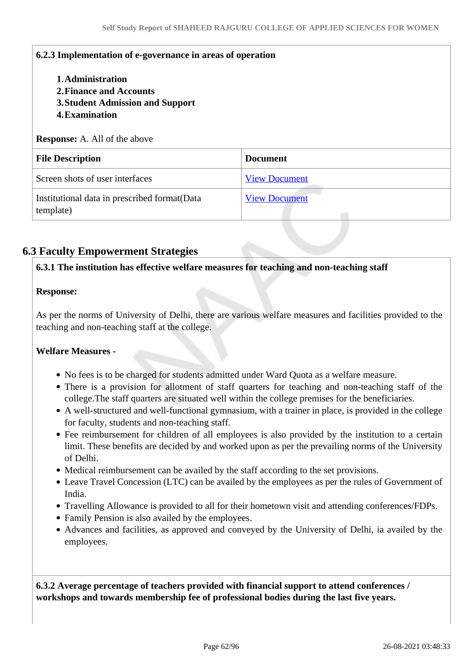### **6.2.3 Implementation of e-governance in areas of operation**

- **1.Administration**
- **2.Finance and Accounts**
- **3.Student Admission and Support**
- **4.Examination**

#### **Response:** A. All of the above

| <b>File Description</b>                                   | <b>Document</b>      |
|-----------------------------------------------------------|----------------------|
| Screen shots of user interfaces                           | <b>View Document</b> |
| Institutional data in prescribed format(Data<br>template) | <b>View Document</b> |

### **6.3 Faculty Empowerment Strategies**

#### **6.3.1 The institution has effective welfare measures for teaching and non-teaching staff**

#### **Response:**

As per the norms of University of Delhi, there are various welfare measures and facilities provided to the teaching and non-teaching staff at the college.

#### **Welfare Measures -**

- No fees is to be charged for students admitted under Ward Quota as a welfare measure.
- There is a provision for allotment of staff quarters for teaching and non-teaching staff of the college.The staff quarters are situated well within the college premises for the beneficiaries.
- A well-structured and well-functional gymnasium, with a trainer in place, is provided in the college for faculty, students and non-teaching staff.
- Fee reimbursement for children of all employees is also provided by the institution to a certain limit. These benefits are decided by and worked upon as per the prevailing norms of the University of Delhi.
- Medical reimbursement can be availed by the staff according to the set provisions.
- Leave Travel Concession (LTC) can be availed by the employees as per the rules of Government of India.
- Travelling Allowance is provided to all for their hometown visit and attending conferences/FDPs.
- Family Pension is also availed by the employees.
- Advances and facilities, as approved and conveyed by the University of Delhi, ia availed by the employees.

 **6.3.2 Average percentage of teachers provided with financial support to attend conferences / workshops and towards membership fee of professional bodies during the last five years.**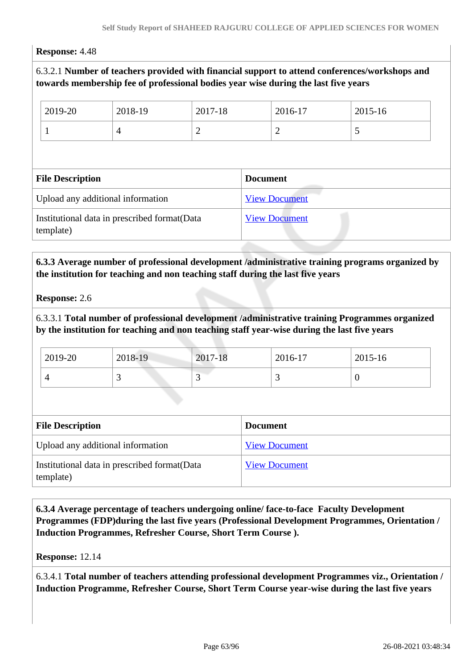#### **Response:** 4.48

### 6.3.2.1 **Number of teachers provided with financial support to attend conferences/workshops and towards membership fee of professional bodies year wise during the last five years**

| 2019-20                           | 2018-19        | 2017-18        |                 | 2016-17              | 2015-16 |
|-----------------------------------|----------------|----------------|-----------------|----------------------|---------|
|                                   | $\overline{4}$ | $\overline{2}$ |                 | 2                    | 5       |
|                                   |                |                |                 |                      |         |
|                                   |                |                |                 |                      |         |
| <b>File Description</b>           |                |                | <b>Document</b> |                      |         |
| Upload any additional information |                |                |                 | <b>View Document</b> |         |

### **6.3.3 Average number of professional development /administrative training programs organized by the institution for teaching and non teaching staff during the last five years**

#### **Response:** 2.6

6.3.3.1 **Total number of professional development /administrative training Programmes organized by the institution for teaching and non teaching staff year-wise during the last five years**

| 2019-20 | 2018-19                  | 2017-18 | 2016-17                  | 2015-16 |
|---------|--------------------------|---------|--------------------------|---------|
|         | $\overline{\phantom{0}}$ | ັ       | $\overline{\phantom{0}}$ | ν       |

| <b>File Description</b>                                    | <b>Document</b>      |
|------------------------------------------------------------|----------------------|
| Upload any additional information                          | <b>View Document</b> |
| Institutional data in prescribed format (Data<br>template) | <b>View Document</b> |

 **6.3.4 Average percentage of teachers undergoing online/ face-to-face Faculty Development Programmes (FDP)during the last five years (Professional Development Programmes, Orientation / Induction Programmes, Refresher Course, Short Term Course ).**

#### **Response:** 12.14

6.3.4.1 **Total number of teachers attending professional development Programmes viz., Orientation / Induction Programme, Refresher Course, Short Term Course year-wise during the last five years**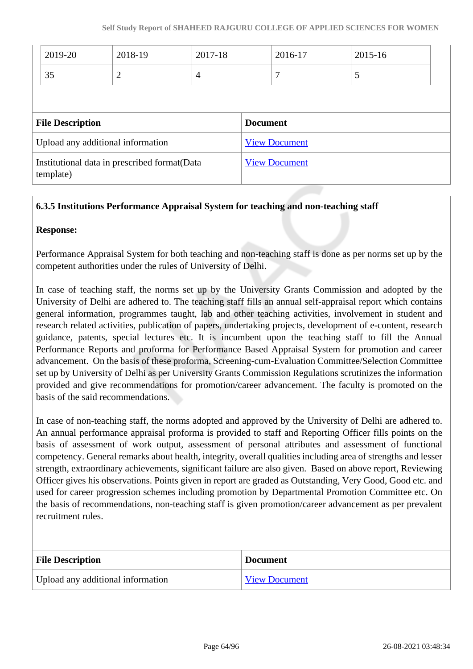| 2019-20                 | 2018-19                           | 2017-18        |                 | 2016-17              | 2015-16 |  |
|-------------------------|-----------------------------------|----------------|-----------------|----------------------|---------|--|
| 35                      | $\overline{2}$                    | $\overline{4}$ |                 | 7                    | 5       |  |
|                         |                                   |                |                 |                      |         |  |
|                         |                                   |                |                 |                      |         |  |
|                         |                                   |                | <b>Document</b> |                      |         |  |
| <b>File Description</b> | Upload any additional information |                |                 | <b>View Document</b> |         |  |

### **6.3.5 Institutions Performance Appraisal System for teaching and non-teaching staff**

#### **Response:**

Performance Appraisal System for both teaching and non-teaching staff is done as per norms set up by the competent authorities under the rules of University of Delhi.

In case of teaching staff, the norms set up by the University Grants Commission and adopted by the University of Delhi are adhered to. The teaching staff fills an annual self-appraisal report which contains general information, programmes taught, lab and other teaching activities, involvement in student and research related activities, publication of papers, undertaking projects, development of e-content, research guidance, patents, special lectures etc. It is incumbent upon the teaching staff to fill the Annual Performance Reports and proforma for Performance Based Appraisal System for promotion and career advancement. On the basis of these proforma, Screening-cum-Evaluation Committee/Selection Committee set up by University of Delhi as per University Grants Commission Regulations scrutinizes the information provided and give recommendations for promotion/career advancement. The faculty is promoted on the basis of the said recommendations.

In case of non-teaching staff, the norms adopted and approved by the University of Delhi are adhered to. An annual performance appraisal proforma is provided to staff and Reporting Officer fills points on the basis of assessment of work output, assessment of personal attributes and assessment of functional competency. General remarks about health, integrity, overall qualities including area of strengths and lesser strength, extraordinary achievements, significant failure are also given. Based on above report, Reviewing Officer gives his observations. Points given in report are graded as Outstanding, Very Good, Good etc. and used for career progression schemes including promotion by Departmental Promotion Committee etc. On the basis of recommendations, non-teaching staff is given promotion/career advancement as per prevalent recruitment rules.

| <b>File Description</b>           | <b>Document</b> |
|-----------------------------------|-----------------|
| Upload any additional information | View Document   |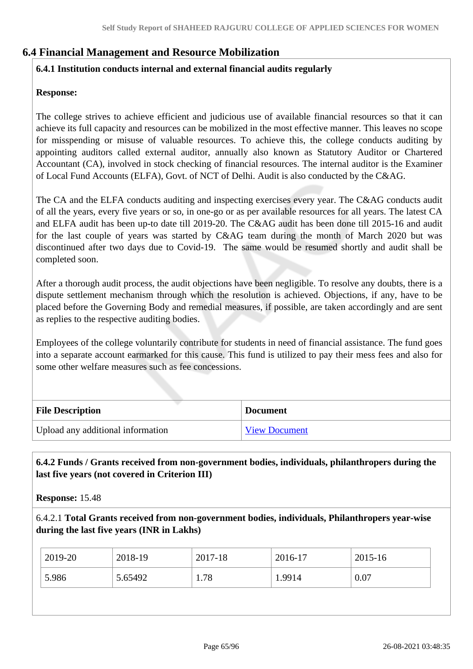### **6.4 Financial Management and Resource Mobilization**

### **6.4.1 Institution conducts internal and external financial audits regularly**

#### **Response:**

The college strives to achieve efficient and judicious use of available financial resources so that it can achieve its full capacity and resources can be mobilized in the most effective manner. This leaves no scope for misspending or misuse of valuable resources. To achieve this, the college conducts auditing by appointing auditors called external auditor, annually also known as Statutory Auditor or Chartered Accountant (CA), involved in stock checking of financial resources. The internal auditor is the Examiner of Local Fund Accounts (ELFA), Govt. of NCT of Delhi. Audit is also conducted by the C&AG.

The CA and the ELFA conducts auditing and inspecting exercises every year. The C&AG conducts audit of all the years, every five years or so, in one-go or as per available resources for all years. The latest CA and ELFA audit has been up-to date till 2019-20. The C&AG audit has been done till 2015-16 and audit for the last couple of years was started by C&AG team during the month of March 2020 but was discontinued after two days due to Covid-19. The same would be resumed shortly and audit shall be completed soon.

After a thorough audit process, the audit objections have been negligible. To resolve any doubts, there is a dispute settlement mechanism through which the resolution is achieved. Objections, if any, have to be placed before the Governing Body and remedial measures, if possible, are taken accordingly and are sent as replies to the respective auditing bodies.

Employees of the college voluntarily contribute for students in need of financial assistance. The fund goes into a separate account earmarked for this cause. This fund is utilized to pay their mess fees and also for some other welfare measures such as fee concessions.

| <b>File Description</b>           | <b>Document</b>      |
|-----------------------------------|----------------------|
| Upload any additional information | <b>View Document</b> |

 **6.4.2 Funds / Grants received from non-government bodies, individuals, philanthropers during the last five years (not covered in Criterion III)**

**Response:** 15.48

6.4.2.1 **Total Grants received from non-government bodies, individuals, Philanthropers year-wise during the last five years (INR in Lakhs)**

| 5.986<br>1.78<br>0.07<br>5.65492<br>.9914 |  |
|-------------------------------------------|--|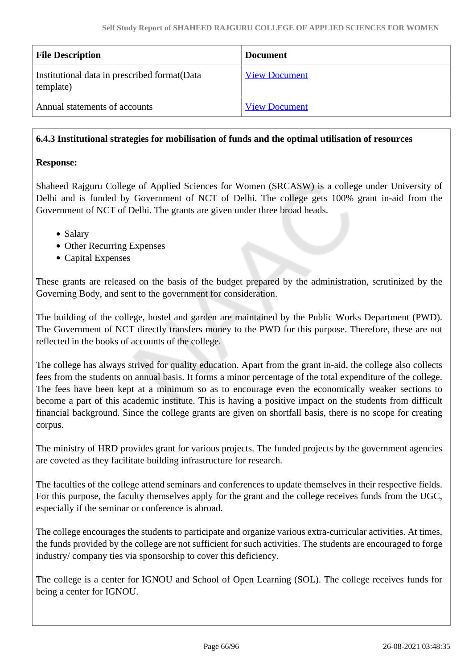| <b>File Description</b>                                    | <b>Document</b>      |
|------------------------------------------------------------|----------------------|
| Institutional data in prescribed format (Data<br>template) | <b>View Document</b> |
| Annual statements of accounts                              | <b>View Document</b> |

### **6.4.3 Institutional strategies for mobilisation of funds and the optimal utilisation of resources**

### **Response:**

Shaheed Rajguru College of Applied Sciences for Women (SRCASW) is a college under University of Delhi and is funded by Government of NCT of Delhi. The college gets 100% grant in-aid from the Government of NCT of Delhi. The grants are given under three broad heads.

- Salary
- Other Recurring Expenses
- Capital Expenses

These grants are released on the basis of the budget prepared by the administration, scrutinized by the Governing Body, and sent to the government for consideration.

The building of the college, hostel and garden are maintained by the Public Works Department (PWD). The Government of NCT directly transfers money to the PWD for this purpose. Therefore, these are not reflected in the books of accounts of the college.

The college has always strived for quality education. Apart from the grant in-aid, the college also collects fees from the students on annual basis. It forms a minor percentage of the total expenditure of the college. The fees have been kept at a minimum so as to encourage even the economically weaker sections to become a part of this academic institute. This is having a positive impact on the students from difficult financial background. Since the college grants are given on shortfall basis, there is no scope for creating corpus.

The ministry of HRD provides grant for various projects. The funded projects by the government agencies are coveted as they facilitate building infrastructure for research.

The faculties of the college attend seminars and conferences to update themselves in their respective fields. For this purpose, the faculty themselves apply for the grant and the college receives funds from the UGC, especially if the seminar or conference is abroad.

The college encourages the students to participate and organize various extra-curricular activities. At times, the funds provided by the college are not sufficient for such activities. The students are encouraged to forge industry/ company ties via sponsorship to cover this deficiency.

The college is a center for IGNOU and School of Open Learning (SOL). The college receives funds for being a center for IGNOU.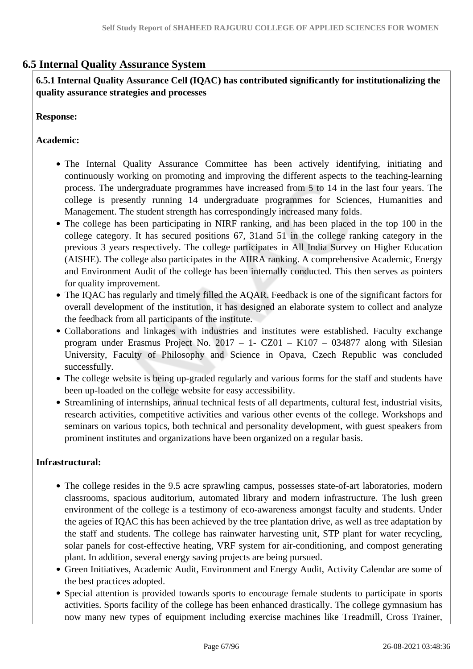### **6.5 Internal Quality Assurance System**

 **6.5.1 Internal Quality Assurance Cell (IQAC) has contributed significantly for institutionalizing the quality assurance strategies and processes**

**Response:** 

#### **Academic:**

- The Internal Quality Assurance Committee has been actively identifying, initiating and continuously working on promoting and improving the different aspects to the teaching-learning process. The undergraduate programmes have increased from 5 to 14 in the last four years. The college is presently running 14 undergraduate programmes for Sciences, Humanities and Management. The student strength has correspondingly increased many folds.
- The college has been participating in NIRF ranking, and has been placed in the top 100 in the college category. It has secured positions 67, 31and 51 in the college ranking category in the previous 3 years respectively. The college participates in All India Survey on Higher Education (AISHE). The college also participates in the AIIRA ranking. A comprehensive Academic, Energy and Environment Audit of the college has been internally conducted. This then serves as pointers for quality improvement.
- The IQAC has regularly and timely filled the AQAR. Feedback is one of the significant factors for overall development of the institution, it has designed an elaborate system to collect and analyze the feedback from all participants of the institute.
- Collaborations and linkages with industries and institutes were established. Faculty exchange program under Erasmus Project No. 2017 – 1- CZ01 – K107 – 034877 along with Silesian University, Faculty of Philosophy and Science in Opava, Czech Republic was concluded successfully.
- The college website is being up-graded regularly and various forms for the staff and students have been up-loaded on the college website for easy accessibility.
- Streamlining of internships, annual technical fests of all departments, cultural fest, industrial visits, research activities, competitive activities and various other events of the college. Workshops and seminars on various topics, both technical and personality development, with guest speakers from prominent institutes and organizations have been organized on a regular basis.

#### **Infrastructural:**

- The college resides in the 9.5 acre sprawling campus, possesses state-of-art laboratories, modern classrooms, spacious auditorium, automated library and modern infrastructure. The lush green environment of the college is a testimony of eco-awareness amongst faculty and students. Under the ageies of IQAC this has been achieved by the tree plantation drive, as well as tree adaptation by the staff and students. The college has rainwater harvesting unit, STP plant for water recycling, solar panels for cost-effective heating, VRF system for air-conditioning, and compost generating plant. In addition, several energy saving projects are being pursued.
- Green Initiatives, Academic Audit, Environment and Energy Audit, Activity Calendar are some of the best practices adopted.
- Special attention is provided towards sports to encourage female students to participate in sports activities. Sports facility of the college has been enhanced drastically. The college gymnasium has now many new types of equipment including exercise machines like Treadmill, Cross Trainer,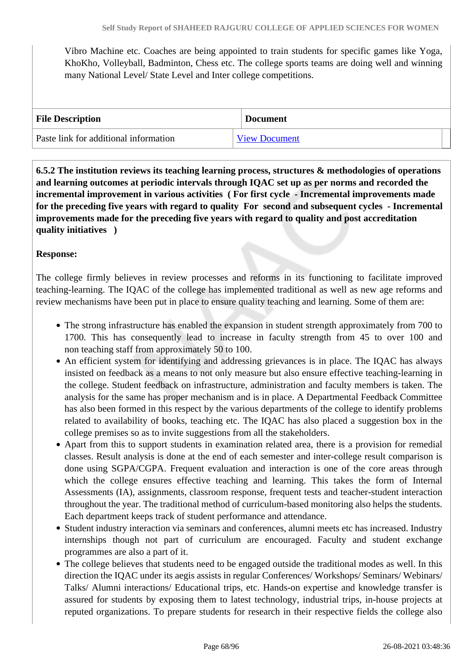Vibro Machine etc. Coaches are being appointed to train students for specific games like Yoga, KhoKho, Volleyball, Badminton, Chess etc. The college sports teams are doing well and winning many National Level/ State Level and Inter college competitions.

| <b>File Description</b>               | <b>Document</b>      |
|---------------------------------------|----------------------|
| Paste link for additional information | <b>View Document</b> |

 **6.5.2 The institution reviews its teaching learning process, structures & methodologies of operations and learning outcomes at periodic intervals through IQAC set up as per norms and recorded the incremental improvement in various activities ( For first cycle - Incremental improvements made for the preceding five years with regard to quality For second and subsequent cycles - Incremental improvements made for the preceding five years with regard to quality and post accreditation quality initiatives )** 

### **Response:**

The college firmly believes in review processes and reforms in its functioning to facilitate improved teaching-learning. The IQAC of the college has implemented traditional as well as new age reforms and review mechanisms have been put in place to ensure quality teaching and learning. Some of them are:

- The strong infrastructure has enabled the expansion in student strength approximately from 700 to 1700. This has consequently lead to increase in faculty strength from 45 to over 100 and non teaching staff from approximately 50 to 100.
- An efficient system for identifying and addressing grievances is in place. The IQAC has always insisted on feedback as a means to not only measure but also ensure effective teaching-learning in the college. Student feedback on infrastructure, administration and faculty members is taken. The analysis for the same has proper mechanism and is in place. A Departmental Feedback Committee has also been formed in this respect by the various departments of the college to identify problems related to availability of books, teaching etc. The IQAC has also placed a suggestion box in the college premises so as to invite suggestions from all the stakeholders.
- Apart from this to support students in examination related area, there is a provision for remedial classes. Result analysis is done at the end of each semester and inter-college result comparison is done using SGPA/CGPA. Frequent evaluation and interaction is one of the core areas through which the college ensures effective teaching and learning. This takes the form of Internal Assessments (IA), assignments, classroom response, frequent tests and teacher-student interaction throughout the year. The traditional method of curriculum-based monitoring also helps the students. Each department keeps track of student performance and attendance.
- Student industry interaction via seminars and conferences, alumni meets etc has increased. Industry internships though not part of curriculum are encouraged. Faculty and student exchange programmes are also a part of it.
- The college believes that students need to be engaged outside the traditional modes as well. In this direction the IQAC under its aegis assists in regular Conferences/ Workshops/ Seminars/ Webinars/ Talks/ Alumni interactions/ Educational trips, etc. Hands-on expertise and knowledge transfer is assured for students by exposing them to latest technology, industrial trips, in-house projects at reputed organizations. To prepare students for research in their respective fields the college also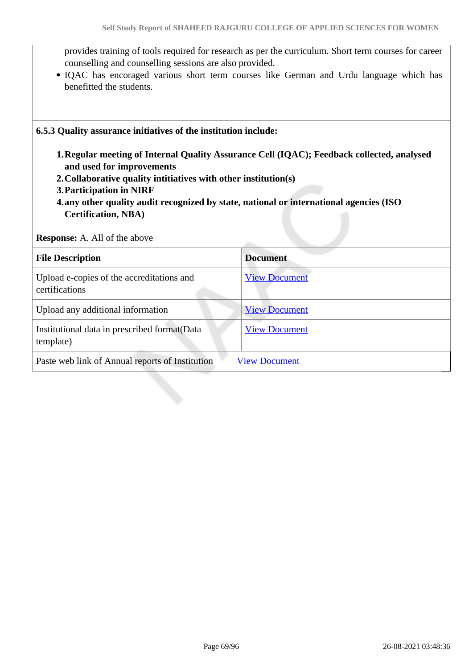provides training of tools required for research as per the curriculum. Short term courses for career counselling and counselling sessions are also provided.

IQAC has encoraged various short term courses like German and Urdu language which has benefitted the students.

#### **6.5.3 Quality assurance initiatives of the institution include:**

- **1.Regular meeting of Internal Quality Assurance Cell (IQAC); Feedback collected, analysed and used for improvements**
- **2.Collaborative quality intitiatives with other institution(s)**
- **3.Participation in NIRF**
- **4.any other quality audit recognized by state, national or international agencies (ISO Certification, NBA)**

**Response:** A. All of the above

| <b>File Description</b>                                     | <b>Document</b>      |
|-------------------------------------------------------------|----------------------|
| Upload e-copies of the accreditations and<br>certifications | <b>View Document</b> |
| Upload any additional information                           | <b>View Document</b> |
| Institutional data in prescribed format (Data<br>template)  | <b>View Document</b> |
| Paste web link of Annual reports of Institution             | <b>View Document</b> |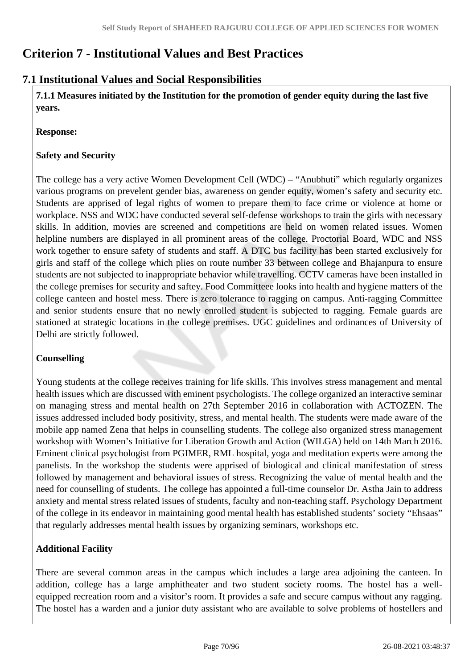# **Criterion 7 - Institutional Values and Best Practices**

### **7.1 Institutional Values and Social Responsibilities**

 **7.1.1 Measures initiated by the Institution for the promotion of gender equity during the last five years.**

**Response:** 

### **Safety and Security**

The college has a very active Women Development Cell (WDC) – "Anubhuti" which regularly organizes various programs on prevelent gender bias, awareness on gender equity, women's safety and security etc. Students are apprised of legal rights of women to prepare them to face crime or violence at home or workplace. NSS and WDC have conducted several self-defense workshops to train the girls with necessary skills. In addition, movies are screened and competitions are held on women related issues. Women helpline numbers are displayed in all prominent areas of the college. Proctorial Board, WDC and NSS work together to ensure safety of students and staff. A DTC bus facility has been started exclusively for girls and staff of the college which plies on route number 33 between college and Bhajanpura to ensure students are not subjected to inappropriate behavior while travelling. CCTV cameras have been installed in the college premises for security and saftey. Food Committeee looks into health and hygiene matters of the college canteen and hostel mess. There is zero tolerance to ragging on campus. Anti-ragging Committee and senior students ensure that no newly enrolled student is subjected to ragging. Female guards are stationed at strategic locations in the college premises. UGC guidelines and ordinances of University of Delhi are strictly followed.

### **Counselling**

Young students at the college receives training for life skills. This involves stress management and mental health issues which are discussed with eminent psychologists. The college organized an interactive seminar on managing stress and mental health on 27th September 2016 in collaboration with ACTOZEN. The issues addressed included body positivity, stress, and mental health. The students were made aware of the mobile app named Zena that helps in counselling students. The college also organized stress management workshop with Women's Initiative for Liberation Growth and Action (WILGA) held on 14th March 2016. Eminent clinical psychologist from PGIMER, RML hospital, yoga and meditation experts were among the panelists. In the workshop the students were apprised of biological and clinical manifestation of stress followed by management and behavioral issues of stress. Recognizing the value of mental health and the need for counselling of students. The college has appointed a full-time counselor Dr. Astha Jain to address anxiety and mental stress related issues of students, faculty and non-teaching staff. Psychology Department of the college in its endeavor in maintaining good mental health has established students' society "Ehsaas" that regularly addresses mental health issues by organizing seminars, workshops etc.

### **Additional Facility**

There are several common areas in the campus which includes a large area adjoining the canteen. In addition, college has a large amphitheater and two student society rooms. The hostel has a wellequipped recreation room and a visitor's room. It provides a safe and secure campus without any ragging. The hostel has a warden and a junior duty assistant who are available to solve problems of hostellers and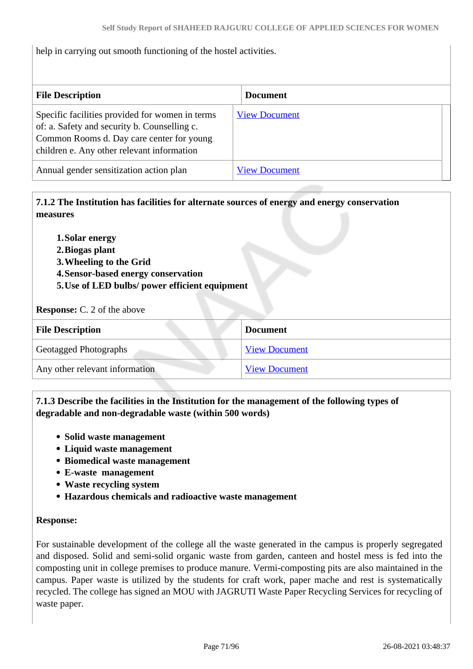| help in carrying out smooth functioning of the hostel activities.                                                                                                                          |                      |
|--------------------------------------------------------------------------------------------------------------------------------------------------------------------------------------------|----------------------|
| <b>File Description</b>                                                                                                                                                                    | <b>Document</b>      |
| Specific facilities provided for women in terms<br>of: a. Safety and security b. Counselling c.<br>Common Rooms d. Day care center for young<br>children e. Any other relevant information | <b>View Document</b> |
| Annual gender sensitization action plan                                                                                                                                                    | <b>View Document</b> |

 **7.1.2 The Institution has facilities for alternate sources of energy and energy conservation measures** 

**1.Solar energy 2.Biogas plant 3.Wheeling to the Grid 4.Sensor-based energy conservation 5.Use of LED bulbs/ power efficient equipment** 

**Response:** C. 2 of the above

| <b>File Description</b>        | <b>Document</b>      |
|--------------------------------|----------------------|
| Geotagged Photographs          | <b>View Document</b> |
| Any other relevant information | <b>View Document</b> |

 **7.1.3 Describe the facilities in the Institution for the management of the following types of degradable and non-degradable waste (within 500 words)**

- **Solid waste management**
- **Liquid waste management**
- **Biomedical waste management**
- **E-waste management**
- **Waste recycling system**
- **Hazardous chemicals and radioactive waste management**

#### **Response:**

For sustainable development of the college all the waste generated in the campus is properly segregated and disposed. Solid and semi-solid organic waste from garden, canteen and hostel mess is fed into the composting unit in college premises to produce manure. Vermi-composting pits are also maintained in the campus. Paper waste is utilized by the students for craft work, paper mache and rest is systematically recycled. The college has signed an MOU with JAGRUTI Waste Paper Recycling Services for recycling of waste paper.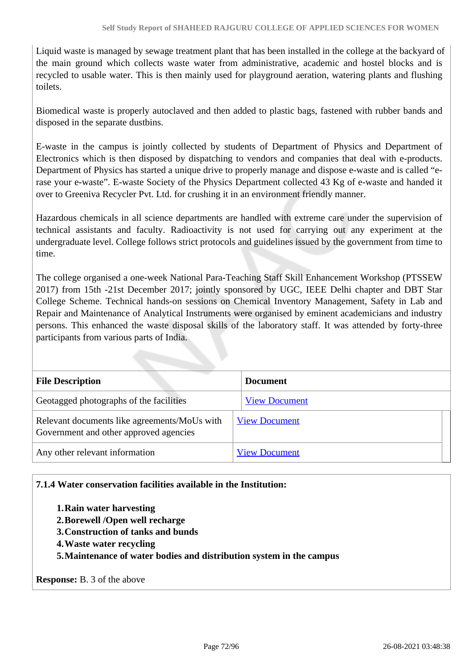Liquid waste is managed by sewage treatment plant that has been installed in the college at the backyard of the main ground which collects waste water from administrative, academic and hostel blocks and is recycled to usable water. This is then mainly used for playground aeration, watering plants and flushing toilets.

Biomedical waste is properly autoclaved and then added to plastic bags, fastened with rubber bands and disposed in the separate dustbins.

E-waste in the campus is jointly collected by students of Department of Physics and Department of Electronics which is then disposed by dispatching to vendors and companies that deal with e-products. Department of Physics has started a unique drive to properly manage and dispose e-waste and is called "erase your e-waste". E-waste Society of the Physics Department collected 43 Kg of e-waste and handed it over to Greeniva Recycler Pvt. Ltd. for crushing it in an environment friendly manner.

Hazardous chemicals in all science departments are handled with extreme care under the supervision of technical assistants and faculty. Radioactivity is not used for carrying out any experiment at the undergraduate level. College follows strict protocols and guidelines issued by the government from time to time.

The college organised a one-week National Para-Teaching Staff Skill Enhancement Workshop (PTSSEW 2017) from 15th -21st December 2017; jointly sponsored by UGC, IEEE Delhi chapter and DBT Star College Scheme. Technical hands-on sessions on Chemical Inventory Management, Safety in Lab and Repair and Maintenance of Analytical Instruments were organised by eminent academicians and industry persons. This enhanced the waste disposal skills of the laboratory staff. It was attended by forty-three participants from various parts of India.

| <b>File Description</b>                                                                | <b>Document</b>      |
|----------------------------------------------------------------------------------------|----------------------|
| Geotagged photographs of the facilities                                                | <b>View Document</b> |
| Relevant documents like agreements/MoUs with<br>Government and other approved agencies | <b>View Document</b> |
| Any other relevant information                                                         | <b>View Document</b> |

#### **7.1.4 Water conservation facilities available in the Institution:**

- **1.Rain water harvesting**
- **2.Borewell /Open well recharge**
- **3.Construction of tanks and bunds**
- **4.Waste water recycling**
- **5.Maintenance of water bodies and distribution system in the campus**

**Response:** B. 3 of the above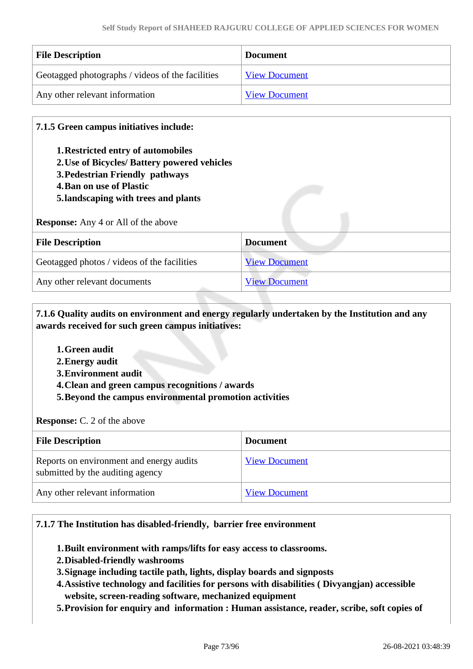| <b>File Description</b>                          | <b>Document</b>      |
|--------------------------------------------------|----------------------|
| Geotagged photographs / videos of the facilities | <b>View Document</b> |
| Any other relevant information                   | <b>View Document</b> |

#### **7.1.5 Green campus initiatives include:**

- **1.Restricted entry of automobiles**
- **2.Use of Bicycles/ Battery powered vehicles**
- **3.Pedestrian Friendly pathways**
- **4.Ban on use of Plastic**
- **5.landscaping with trees and plants**

**Response:** Any 4 or All of the above

| <b>File Description</b>                     | <b>Document</b>      |
|---------------------------------------------|----------------------|
| Geotagged photos / videos of the facilities | <b>View Document</b> |
| Any other relevant documents                | <b>View Document</b> |

 **7.1.6 Quality audits on environment and energy regularly undertaken by the Institution and any awards received for such green campus initiatives:**

- **1.Green audit**
- **2.Energy audit**
- **3.Environment audit**
- **4.Clean and green campus recognitions / awards**
- **5.Beyond the campus environmental promotion activities**

**Response:** C. 2 of the above

| <b>File Description</b>                                                      | <b>Document</b>      |
|------------------------------------------------------------------------------|----------------------|
| Reports on environment and energy audits<br>submitted by the auditing agency | <b>View Document</b> |
| Any other relevant information                                               | <b>View Document</b> |

#### **7.1.7 The Institution has disabled-friendly, barrier free environment**

- **1.Built environment with ramps/lifts for easy access to classrooms.**
- **2.Disabled-friendly washrooms**
- **3.Signage including tactile path, lights, display boards and signposts**
- **4.Assistive technology and facilities for persons with disabilities ( Divyangjan) accessible website, screen-reading software, mechanized equipment**
- **5.Provision for enquiry and information : Human assistance, reader, scribe, soft copies of**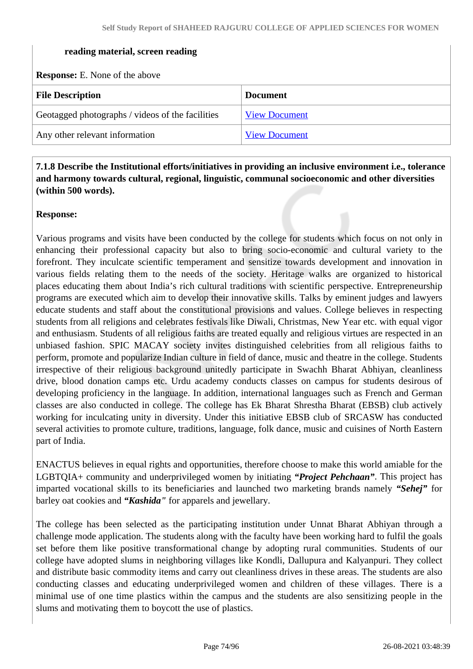#### **reading material, screen reading**

**Response:** E. None of the above

| <b>File Description</b>                          | <b>Document</b>      |
|--------------------------------------------------|----------------------|
| Geotagged photographs / videos of the facilities | <b>View Document</b> |
| Any other relevant information                   | <b>View Document</b> |

 **7.1.8 Describe the Institutional efforts/initiatives in providing an inclusive environment i.e., tolerance and harmony towards cultural, regional, linguistic, communal socioeconomic and other diversities (within 500 words).**

#### **Response:**

Various programs and visits have been conducted by the college for students which focus on not only in enhancing their professional capacity but also to bring socio-economic and cultural variety to the forefront. They inculcate scientific temperament and sensitize towards development and innovation in various fields relating them to the needs of the society. Heritage walks are organized to historical places educating them about India's rich cultural traditions with scientific perspective. Entrepreneurship programs are executed which aim to develop their innovative skills. Talks by eminent judges and lawyers educate students and staff about the constitutional provisions and values. College believes in respecting students from all religions and celebrates festivals like Diwali, Christmas, New Year etc. with equal vigor and enthusiasm. Students of all religious faiths are treated equally and religious virtues are respected in an unbiased fashion. SPIC MACAY society invites distinguished celebrities from all religious faiths to perform, promote and popularize Indian culture in field of dance, music and theatre in the college. Students irrespective of their religious background unitedly participate in Swachh Bharat Abhiyan, cleanliness drive, blood donation camps etc. Urdu academy conducts classes on campus for students desirous of developing proficiency in the language. In addition, international languages such as French and German classes are also conducted in college. The college has Ek Bharat Shrestha Bharat (EBSB) club actively working for inculcating unity in diversity. Under this initiative EBSB club of SRCASW has conducted several activities to promote culture, traditions, language, folk dance, music and cuisines of North Eastern part of India.

ENACTUS believes in equal rights and opportunities, therefore choose to make this world amiable for the LGBTQIA+ community and underprivileged women by initiating *"Project Pehchaan"*. This project has imparted vocational skills to its beneficiaries and launched two marketing brands namely *"Sehej"* for barley oat cookies and *"Kashida"* for apparels and jewellary.

The college has been selected as the participating institution under Unnat Bharat Abhiyan through a challenge mode application. The students along with the faculty have been working hard to fulfil the goals set before them like positive transformational change by adopting rural communities. Students of our college have adopted slums in neighboring villages like Kondli, Dallupura and Kalyanpuri. They collect and distribute basic commodity items and carry out cleanliness drives in these areas. The students are also conducting classes and educating underprivileged women and children of these villages. There is a minimal use of one time plastics within the campus and the students are also sensitizing people in the slums and motivating them to boycott the use of plastics.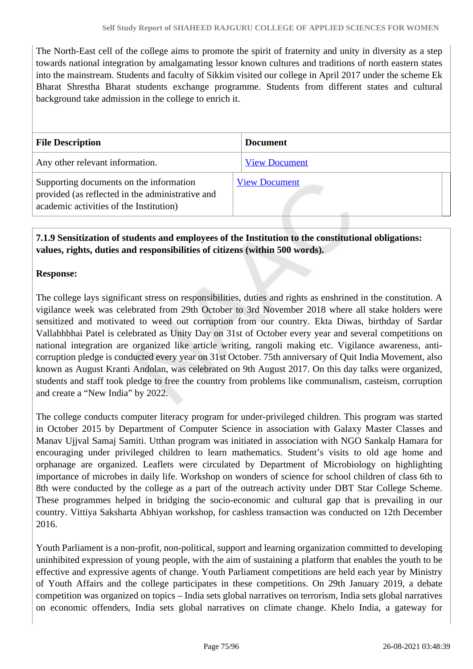The North-East cell of the college aims to promote the spirit of fraternity and unity in diversity as a step towards national integration by amalgamating lessor known cultures and traditions of north eastern states into the mainstream. Students and faculty of Sikkim visited our college in April 2017 under the scheme Ek Bharat Shrestha Bharat students exchange programme. Students from different states and cultural background take admission in the college to enrich it.

| <b>File Description</b>                                                                                                                | <b>Document</b>      |
|----------------------------------------------------------------------------------------------------------------------------------------|----------------------|
| Any other relevant information.                                                                                                        | <b>View Document</b> |
| Supporting documents on the information<br>provided (as reflected in the administrative and<br>academic activities of the Institution) | <b>View Document</b> |

#### **7.1.9 Sensitization of students and employees of the Institution to the constitutional obligations: values, rights, duties and responsibilities of citizens (within 500 words).**

#### **Response:**

The college lays significant stress on responsibilities, duties and rights as enshrined in the constitution. A vigilance week was celebrated from 29th October to 3rd November 2018 where all stake holders were sensitized and motivated to weed out corruption from our country. Ekta Diwas, birthday of Sardar Vallabhbhai Patel is celebrated as Unity Day on 31st of October every year and several competitions on national integration are organized like article writing, rangoli making etc. Vigilance awareness, anticorruption pledge is conducted every year on 31st October. 75th anniversary of Quit India Movement, also known as August Kranti Andolan, was celebrated on 9th August 2017. On this day talks were organized, students and staff took pledge to free the country from problems like communalism, casteism, corruption and create a "New India" by 2022.

The college conducts computer literacy program for under-privileged children. This program was started in October 2015 by Department of Computer Science in association with Galaxy Master Classes and Manav Ujjval Samaj Samiti. Utthan program was initiated in association with NGO Sankalp Hamara for encouraging under privileged children to learn mathematics. Student's visits to old age home and orphanage are organized. Leaflets were circulated by Department of Microbiology on highlighting importance of microbes in daily life. Workshop on wonders of science for school children of class 6th to 8th were conducted by the college as a part of the outreach activity under DBT Star College Scheme. These programmes helped in bridging the socio-economic and cultural gap that is prevailing in our country. Vittiya Saksharta Abhiyan workshop, for cashless transaction was conducted on 12th December 2016.

Youth Parliament is a non-profit, non-political, support and learning organization committed to developing uninhibited expression of young people, with the aim of sustaining a platform that enables the youth to be effective and expressive agents of change. Youth Parliament competitions are held each year by Ministry of Youth Affairs and the college participates in these competitions. On 29th January 2019, a debate competition was organized on topics – India sets global narratives on terrorism, India sets global narratives on economic offenders, India sets global narratives on climate change. Khelo India, a gateway for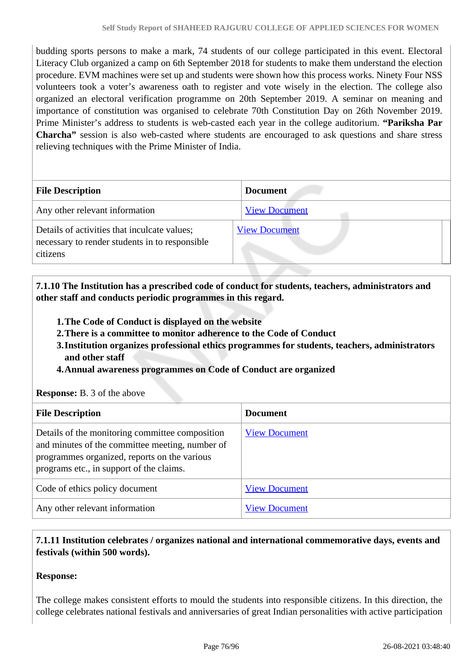budding sports persons to make a mark, 74 students of our college participated in this event. Electoral Literacy Club organized a camp on 6th September 2018 for students to make them understand the election procedure. EVM machines were set up and students were shown how this process works. Ninety Four NSS volunteers took a voter's awareness oath to register and vote wisely in the election. The college also organized an electoral verification programme on 20th September 2019. A seminar on meaning and importance of constitution was organised to celebrate 70th Constitution Day on 26th November 2019. Prime Minister's address to students is web-casted each year in the college auditorium. **"Pariksha Par Charcha"** session is also web-casted where students are encouraged to ask questions and share stress relieving techniques with the Prime Minister of India.

| <b>File Description</b>                                                                                    | <b>Document</b>      |
|------------------------------------------------------------------------------------------------------------|----------------------|
| Any other relevant information                                                                             | <b>View Document</b> |
| Details of activities that inculcate values;<br>necessary to render students in to responsible<br>citizens | <b>View Document</b> |

 **7.1.10 The Institution has a prescribed code of conduct for students, teachers, administrators and other staff and conducts periodic programmes in this regard.** 

- **1.The Code of Conduct is displayed on the website**
- **2.There is a committee to monitor adherence to the Code of Conduct**
- **3.Institution organizes professional ethics programmes for students, teachers, administrators and other staff**
- **4.Annual awareness programmes on Code of Conduct are organized**

#### **Response:** B. 3 of the above

| <b>File Description</b>                                                                                                                                                                        | <b>Document</b>      |
|------------------------------------------------------------------------------------------------------------------------------------------------------------------------------------------------|----------------------|
| Details of the monitoring committee composition<br>and minutes of the committee meeting, number of<br>programmes organized, reports on the various<br>programs etc., in support of the claims. | <b>View Document</b> |
| Code of ethics policy document                                                                                                                                                                 | <b>View Document</b> |
| Any other relevant information                                                                                                                                                                 | <b>View Document</b> |

#### **7.1.11 Institution celebrates / organizes national and international commemorative days, events and festivals (within 500 words).**

#### **Response:**

The college makes consistent efforts to mould the students into responsible citizens. In this direction, the college celebrates national festivals and anniversaries of great Indian personalities with active participation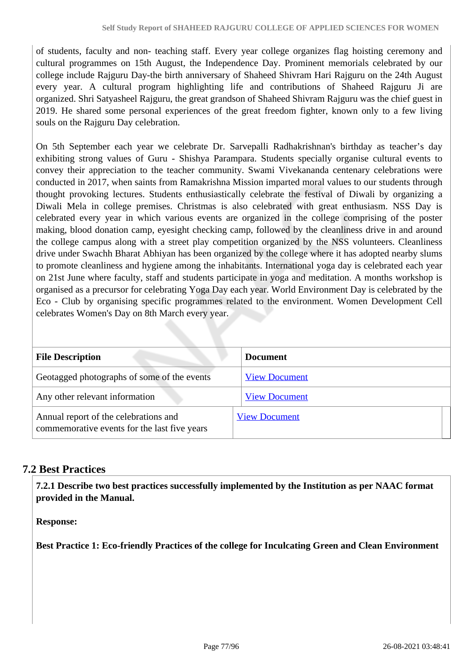of students, faculty and non- teaching staff. Every year college organizes flag hoisting ceremony and cultural programmes on 15th August, the Independence Day. Prominent memorials celebrated by our college include Rajguru Day-the birth anniversary of Shaheed Shivram Hari Rajguru on the 24th August every year. A cultural program highlighting life and contributions of Shaheed Rajguru Ji are organized. Shri Satyasheel Rajguru, the great grandson of Shaheed Shivram Rajguru was the chief guest in 2019. He shared some personal experiences of the great freedom fighter, known only to a few living souls on the Rajguru Day celebration.

On 5th September each year we celebrate Dr. Sarvepalli Radhakrishnan's birthday as teacher's day exhibiting strong values of Guru - Shishya Parampara. Students specially organise cultural events to convey their appreciation to the teacher community. Swami Vivekananda centenary celebrations were conducted in 2017, when saints from Ramakrishna Mission imparted moral values to our students through thought provoking lectures. Students enthusiastically celebrate the festival of Diwali by organizing a Diwali Mela in college premises. Christmas is also celebrated with great enthusiasm. NSS Day is celebrated every year in which various events are organized in the college comprising of the poster making, blood donation camp, eyesight checking camp, followed by the cleanliness drive in and around the college campus along with a street play competition organized by the NSS volunteers. Cleanliness drive under Swachh Bharat Abhiyan has been organized by the college where it has adopted nearby slums to promote cleanliness and hygiene among the inhabitants. International yoga day is celebrated each year on 21st June where faculty, staff and students participate in yoga and meditation. A months workshop is organised as a precursor for celebrating Yoga Day each year. World Environment Day is celebrated by the Eco - Club by organising specific programmes related to the environment. Women Development Cell celebrates Women's Day on 8th March every year.

| <b>File Description</b>                                                               | <b>Document</b>      |
|---------------------------------------------------------------------------------------|----------------------|
| Geotagged photographs of some of the events                                           | <b>View Document</b> |
| Any other relevant information                                                        | <b>View Document</b> |
| Annual report of the celebrations and<br>commemorative events for the last five years | <b>View Document</b> |

### **7.2 Best Practices**

 **7.2.1 Describe two best practices successfully implemented by the Institution as per NAAC format provided in the Manual.**

**Response:** 

**Best Practice 1: Eco-friendly Practices of the college for Inculcating Green and Clean Environment**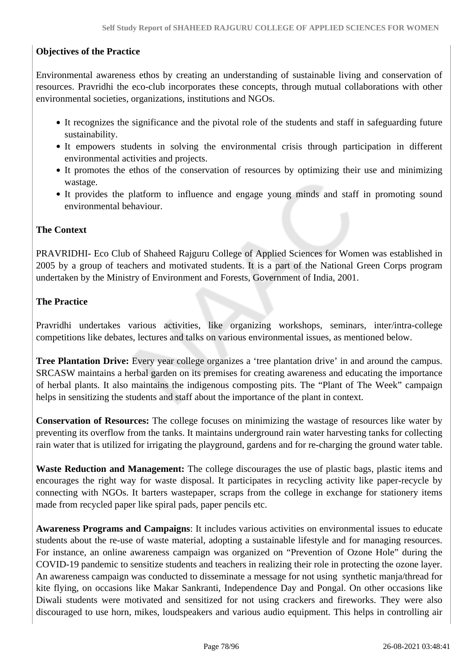#### **Objectives of the Practice**

Environmental awareness ethos by creating an understanding of sustainable living and conservation of resources. Pravridhi the eco-club incorporates these concepts, through mutual collaborations with other environmental societies, organizations, institutions and NGOs.

- It recognizes the significance and the pivotal role of the students and staff in safeguarding future sustainability.
- It empowers students in solving the environmental crisis through participation in different environmental activities and projects.
- It promotes the ethos of the conservation of resources by optimizing their use and minimizing wastage.
- It provides the platform to influence and engage young minds and staff in promoting sound environmental behaviour.

#### **The Context**

PRAVRIDHI- Eco Club of Shaheed Rajguru College of Applied Sciences for Women was established in 2005 by a group of teachers and motivated students. It is a part of the National Green Corps program undertaken by the Ministry of Environment and Forests, Government of India, 2001.

#### **The Practice**

Pravridhi undertakes various activities, like organizing workshops, seminars, inter/intra-college competitions like debates, lectures and talks on various environmental issues, as mentioned below.

**Tree Plantation Drive:** Every year college organizes a 'tree plantation drive' in and around the campus. SRCASW maintains a herbal garden on its premises for creating awareness and educating the importance of herbal plants. It also maintains the indigenous composting pits. The "Plant of The Week" campaign helps in sensitizing the students and staff about the importance of the plant in context.

**Conservation of Resources:** The college focuses on minimizing the wastage of resources like water by preventing its overflow from the tanks. It maintains underground rain water harvesting tanks for collecting rain water that is utilized for irrigating the playground, gardens and for re-charging the ground water table.

**Waste Reduction and Management:** The college discourages the use of plastic bags, plastic items and encourages the right way for waste disposal. It participates in recycling activity like paper-recycle by connecting with NGOs. It barters wastepaper, scraps from the college in exchange for stationery items made from recycled paper like spiral pads, paper pencils etc.

**Awareness Programs and Campaigns**: It includes various activities on environmental issues to educate students about the re-use of waste material, adopting a sustainable lifestyle and for managing resources. For instance, an online awareness campaign was organized on "Prevention of Ozone Hole" during the COVID-19 pandemic to sensitize students and teachers in realizing their role in protecting the ozone layer. An awareness campaign was conducted to disseminate a message for not using synthetic manja/thread for kite flying, on occasions like Makar Sankranti, Independence Day and Pongal. On other occasions like Diwali students were motivated and sensitized for not using crackers and fireworks. They were also discouraged to use horn, mikes, loudspeakers and various audio equipment. This helps in controlling air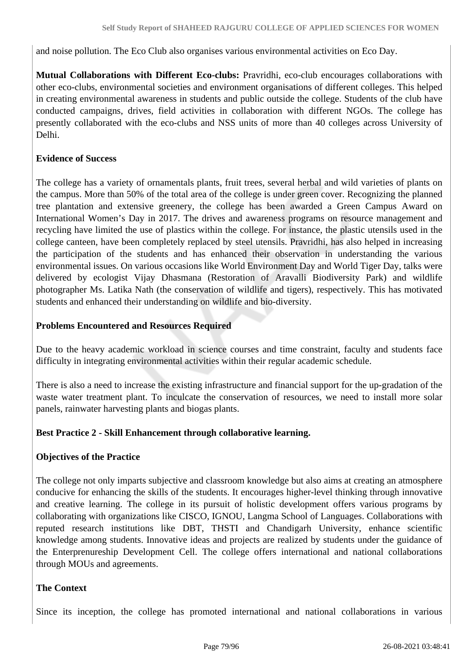and noise pollution. The Eco Club also organises various environmental activities on Eco Day.

**Mutual Collaborations with Different Eco-clubs:** Pravridhi, eco-club encourages collaborations with other eco-clubs, environmental societies and environment organisations of different colleges. This helped in creating environmental awareness in students and public outside the college. Students of the club have conducted campaigns, drives, field activities in collaboration with different NGOs. The college has presently collaborated with the eco-clubs and NSS units of more than 40 colleges across University of Delhi.

#### **Evidence of Success**

The college has a variety of ornamentals plants, fruit trees, several herbal and wild varieties of plants on the campus. More than 50% of the total area of the college is under green cover. Recognizing the planned tree plantation and extensive greenery, the college has been awarded a Green Campus Award on International Women's Day in 2017. The drives and awareness programs on resource management and recycling have limited the use of plastics within the college. For instance, the plastic utensils used in the college canteen, have been completely replaced by steel utensils. Pravridhi, has also helped in increasing the participation of the students and has enhanced their observation in understanding the various environmental issues. On various occasions like World Environment Day and World Tiger Day, talks were delivered by ecologist Vijay Dhasmana (Restoration of Aravalli Biodiversity Park) and wildlife photographer Ms. Latika Nath (the conservation of wildlife and tigers), respectively. This has motivated students and enhanced their understanding on wildlife and bio-diversity.

#### **Problems Encountered and Resources Required**

Due to the heavy academic workload in science courses and time constraint, faculty and students face difficulty in integrating environmental activities within their regular academic schedule.

There is also a need to increase the existing infrastructure and financial support for the up-gradation of the waste water treatment plant. To inculcate the conservation of resources, we need to install more solar panels, rainwater harvesting plants and biogas plants.

#### **Best Practice 2 - Skill Enhancement through collaborative learning.**

#### **Objectives of the Practice**

The college not only imparts subjective and classroom knowledge but also aims at creating an atmosphere conducive for enhancing the skills of the students. It encourages higher-level thinking through innovative and creative learning. The college in its pursuit of holistic development offers various programs by collaborating with organizations like CISCO, IGNOU, Langma School of Languages. Collaborations with reputed research institutions like DBT, THSTI and Chandigarh University, enhance scientific knowledge among students. Innovative ideas and projects are realized by students under the guidance of the Enterprenureship Development Cell. The college offers international and national collaborations through MOUs and agreements.

#### **The Context**

Since its inception, the college has promoted international and national collaborations in various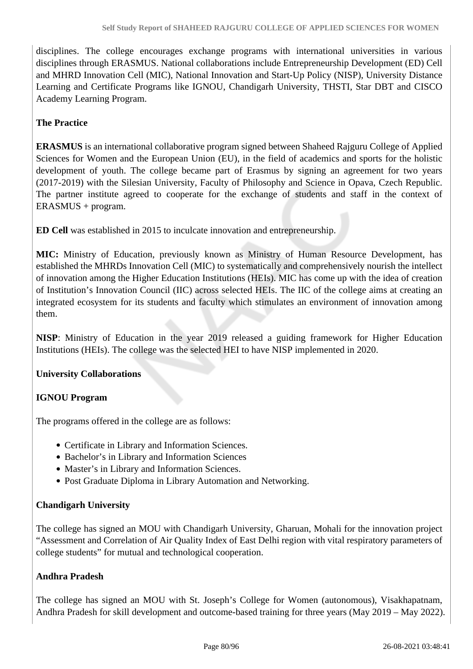disciplines. The college encourages exchange programs with international universities in various disciplines through ERASMUS. National collaborations include Entrepreneurship Development (ED) Cell and MHRD Innovation Cell (MIC), National Innovation and Start-Up Policy (NISP), University Distance Learning and Certificate Programs like IGNOU, Chandigarh University, THSTI, Star DBT and CISCO Academy Learning Program.

#### **The Practice**

**ERASMUS** is an international collaborative program signed between Shaheed Rajguru College of Applied Sciences for Women and the European Union (EU), in the field of academics and sports for the holistic development of youth. The college became part of Erasmus by signing an agreement for two years (2017-2019) with the Silesian University, Faculty of Philosophy and Science in Opava, Czech Republic. The partner institute agreed to cooperate for the exchange of students and staff in the context of ERASMUS + program.

**ED Cell** was established in 2015 to inculcate innovation and entrepreneurship.

**MIC:** Ministry of Education, previously known as Ministry of Human Resource Development, has established the MHRDs Innovation Cell (MIC) to systematically and comprehensively nourish the intellect of innovation among the Higher Education Institutions (HEIs). MIC has come up with the idea of creation of Institution's Innovation Council (IIC) across selected HEIs. The IIC of the college aims at creating an integrated ecosystem for its students and faculty which stimulates an environment of innovation among them.

**NISP**: Ministry of Education in the year 2019 released a guiding framework for Higher Education Institutions (HEIs). The college was the selected HEI to have NISP implemented in 2020.

#### **University Collaborations**

#### **IGNOU Program**

The programs offered in the college are as follows:

- Certificate in Library and Information Sciences.
- Bachelor's in Library and Information Sciences
- Master's in Library and Information Sciences.
- Post Graduate Diploma in Library Automation and Networking.

#### **Chandigarh University**

The college has signed an MOU with Chandigarh University, Gharuan, Mohali for the innovation project "Assessment and Correlation of Air Quality Index of East Delhi region with vital respiratory parameters of college students" for mutual and technological cooperation.

#### **Andhra Pradesh**

The college has signed an MOU with St. Joseph's College for Women (autonomous), Visakhapatnam, Andhra Pradesh for skill development and outcome-based training for three years (May 2019 – May 2022).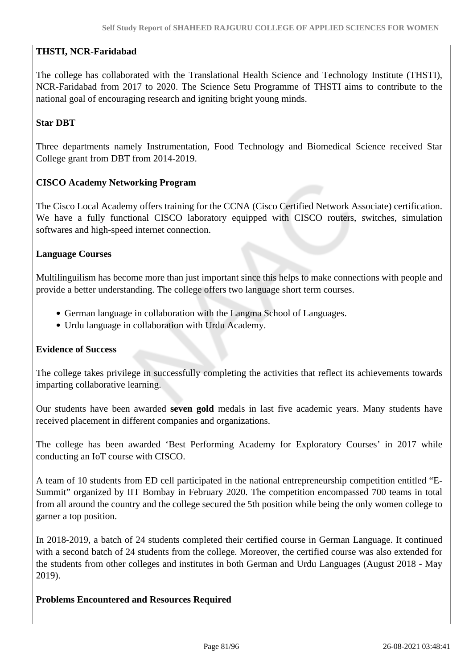#### **THSTI, NCR-Faridabad**

The college has collaborated with the Translational Health Science and Technology Institute (THSTI), NCR-Faridabad from 2017 to 2020. The Science Setu Programme of THSTI aims to contribute to the national goal of encouraging research and igniting bright young minds.

#### **Star DBT**

Three departments namely Instrumentation, Food Technology and Biomedical Science received Star College grant from DBT from 2014-2019.

#### **CISCO Academy Networking Program**

The Cisco Local Academy offers training for the CCNA (Cisco Certified Network Associate) certification. We have a fully functional CISCO laboratory equipped with CISCO routers, switches, simulation softwares and high-speed internet connection.

#### **Language Courses**

Multilinguilism has become more than just important since this helps to make connections with people and provide a better understanding. The college offers two language short term courses.

- German language in collaboration with the Langma School of Languages.
- Urdu language in collaboration with Urdu Academy.

#### **Evidence of Success**

The college takes privilege in successfully completing the activities that reflect its achievements towards imparting collaborative learning.

Our students have been awarded **seven gold** medals in last five academic years. Many students have received placement in different companies and organizations.

The college has been awarded 'Best Performing Academy for Exploratory Courses' in 2017 while conducting an IoT course with CISCO.

A team of 10 students from ED cell participated in the national entrepreneurship competition entitled "E-Summit" organized by IIT Bombay in February 2020. The competition encompassed 700 teams in total from all around the country and the college secured the 5th position while being the only women college to garner a top position.

In 2018-2019, a batch of 24 students completed their certified course in German Language. It continued with a second batch of 24 students from the college. Moreover, the certified course was also extended for the students from other colleges and institutes in both German and Urdu Languages (August 2018 - May 2019).

#### **Problems Encountered and Resources Required**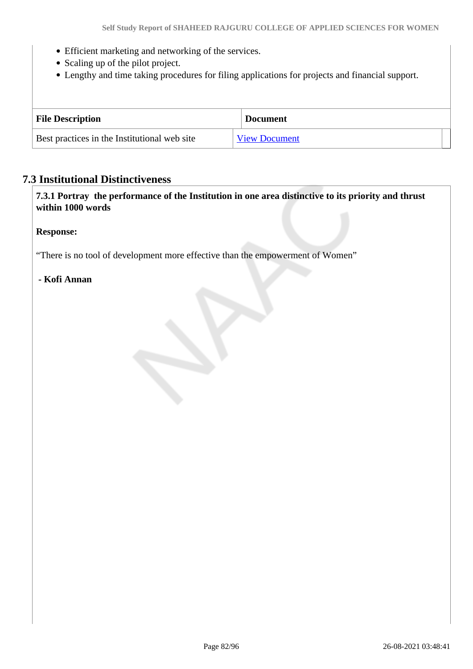- Efficient marketing and networking of the services.
- Scaling up of the pilot project.
- Lengthy and time taking procedures for filing applications for projects and financial support.

| <b>File Description</b>                      | <b>Document</b>      |
|----------------------------------------------|----------------------|
| Best practices in the Institutional web site | <b>View Document</b> |

#### **7.3 Institutional Distinctiveness**

 **7.3.1 Portray the performance of the Institution in one area distinctive to its priority and thrust within 1000 words**

#### **Response:**

"There is no tool of development more effective than the empowerment of Women"

#### **- Kofi Annan**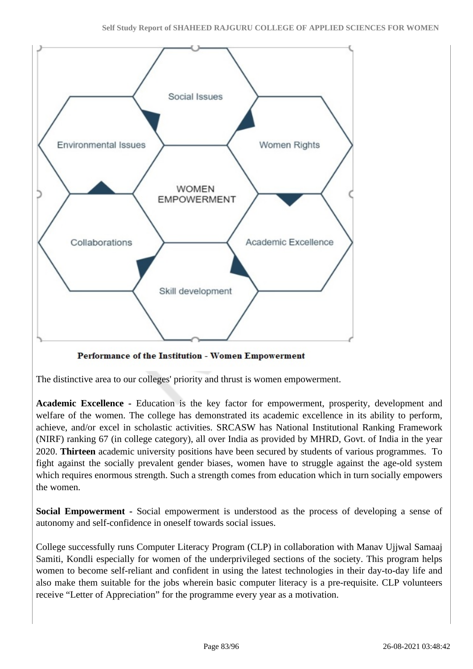

Performance of the Institution - Women Empowerment

The distinctive area to our colleges' priority and thrust is women empowerment.

**Academic Excellence -** Education is the key factor for empowerment, prosperity, development and welfare of the women. The college has demonstrated its academic excellence in its ability to perform, achieve, and/or excel in scholastic activities. SRCASW has National Institutional Ranking Framework (NIRF) ranking 67 (in college category), all over India as provided by MHRD, Govt. of India in the year 2020. **Thirteen** academic university positions have been secured by students of various programmes. To fight against the socially prevalent gender biases, women have to struggle against the age-old system which requires enormous strength. Such a strength comes from education which in turn socially empowers the women.

**Social Empowerment -** Social empowerment is understood as the process of developing a sense of autonomy and self-confidence in oneself towards social issues.

College successfully runs Computer Literacy Program (CLP) in collaboration with Manav Ujjwal Samaaj Samiti, Kondli especially for women of the underprivileged sections of the society. This program helps women to become self-reliant and confident in using the latest technologies in their day-to-day life and also make them suitable for the jobs wherein basic computer literacy is a pre-requisite. CLP volunteers receive "Letter of Appreciation" for the programme every year as a motivation.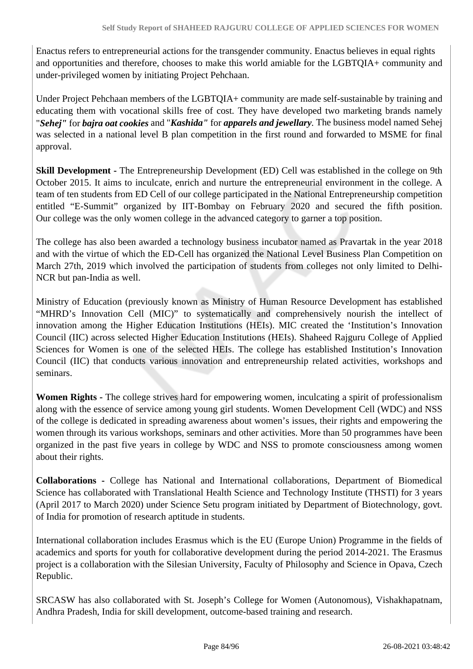Enactus refers to entrepreneurial actions for the transgender community. Enactus believes in equal rights and opportunities and therefore, chooses to make this world amiable for the LGBTQIA+ community and under-privileged women by initiating Project Pehchaan.

Under Project Pehchaan members of the LGBTQIA+ community are made self-sustainable by training and educating them with vocational skills free of cost. They have developed two marketing brands namely "*Sehej"* for *bajra oat cookies* and "*Kashida"* for *apparels and jewellary.* The business model named Sehej was selected in a national level B plan competition in the first round and forwarded to MSME for final approval.

**Skill Development -** The Entrepreneurship Development *(ED)* Cell was established in the college on 9th October 2015. It aims to inculcate, enrich and nurture the entrepreneurial environment in the college. A team of ten students from ED Cell of our college participated in the National Entrepreneurship competition entitled "E-Summit" organized by IIT-Bombay on February 2020 and secured the fifth position. Our college was the only women college in the advanced category to garner a top position.

The college has also been awarded a technology business incubator named as Pravartak in the year 2018 and with the virtue of which the ED-Cell has organized the National Level Business Plan Competition on March 27th, 2019 which involved the participation of students from colleges not only limited to Delhi-NCR but pan-India as well.

Ministry of Education (previously known as Ministry of Human Resource Development has established "MHRD's Innovation Cell (MIC)" to systematically and comprehensively nourish the intellect of innovation among the Higher Education Institutions (HEIs). MIC created the 'Institution's Innovation Council (IIC) across selected Higher Education Institutions (HEIs). Shaheed Rajguru College of Applied Sciences for Women is one of the selected HEIs. The college has established Institution's Innovation Council (IIC) that conducts various innovation and entrepreneurship related activities, workshops and seminars.

**Women Rights -** The college strives hard for empowering women, inculcating a spirit of professionalism along with the essence of service among young girl students. Women Development Cell (WDC) and NSS of the college is dedicated in spreading awareness about women's issues, their rights and empowering the women through its various workshops, seminars and other activities. More than 50 programmes have been organized in the past five years in college by WDC and NSS to promote consciousness among women about their rights.

**Collaborations -** College has National and International collaborations, Department of Biomedical Science has collaborated with Translational Health Science and Technology Institute (THSTI) for 3 years (April 2017 to March 2020) under Science Setu program initiated by Department of Biotechnology, govt. of India for promotion of research aptitude in students.

International collaboration includes Erasmus which is the EU (Europe Union) Programme in the fields of academics and sports for youth for collaborative development during the period 2014-2021. The Erasmus project is a collaboration with the Silesian University, Faculty of Philosophy and Science in Opava, Czech Republic.

SRCASW has also collaborated with St. Joseph's College for Women (Autonomous), Vishakhapatnam, Andhra Pradesh, India for skill development, outcome-based training and research.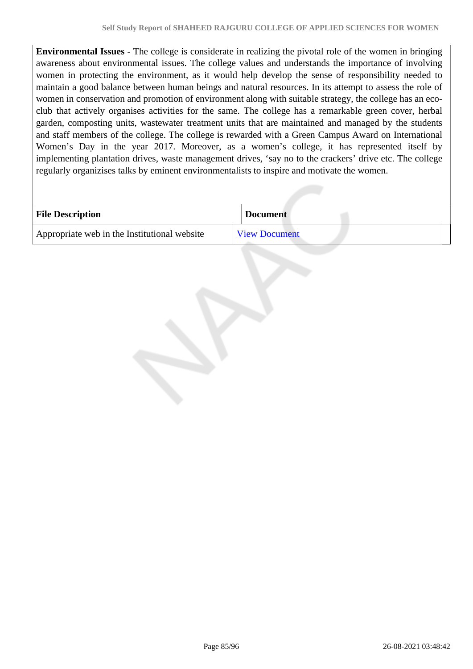**Environmental Issues -** The college is considerate in realizing the pivotal role of the women in bringing awareness about environmental issues. The college values and understands the importance of involving women in protecting the environment, as it would help develop the sense of responsibility needed to maintain a good balance between human beings and natural resources. In its attempt to assess the role of women in conservation and promotion of environment along with suitable strategy, the college has an ecoclub that actively organises activities for the same. The college has a remarkable green cover, herbal garden, composting units, wastewater treatment units that are maintained and managed by the students and staff members of the college. The college is rewarded with a Green Campus Award on International Women's Day in the year 2017. Moreover, as a women's college, it has represented itself by implementing plantation drives, waste management drives, 'say no to the crackers' drive etc. The college regularly organizises talks by eminent environmentalists to inspire and motivate the women.

| <b>File Description</b>                      | <b>Document</b>      |
|----------------------------------------------|----------------------|
| Appropriate web in the Institutional website | <b>View Document</b> |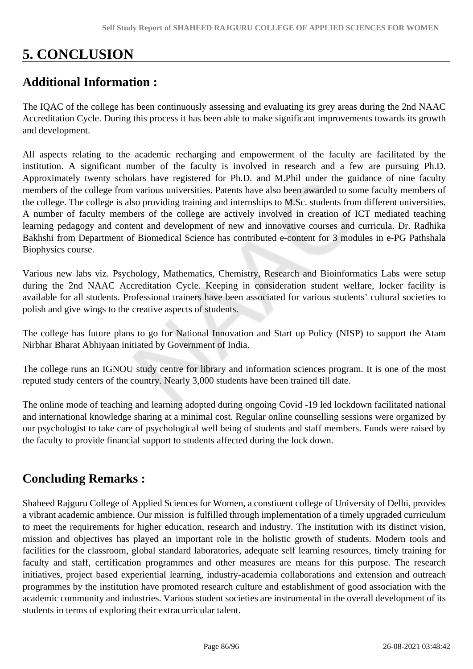# **5. CONCLUSION**

## **Additional Information :**

The IQAC of the college has been continuously assessing and evaluating its grey areas during the 2nd NAAC Accreditation Cycle. During this process it has been able to make significant improvements towards its growth and development.

All aspects relating to the academic recharging and empowerment of the faculty are facilitated by the institution. A significant number of the faculty is involved in research and a few are pursuing Ph.D. Approximately twenty scholars have registered for Ph.D. and M.Phil under the guidance of nine faculty members of the college from various universities. Patents have also been awarded to some faculty members of the college. The college is also providing training and internships to M.Sc. students from different universities. A number of faculty members of the college are actively involved in creation of ICT mediated teaching learning pedagogy and content and development of new and innovative courses and curricula. Dr. Radhika Bakhshi from Department of Biomedical Science has contributed e-content for 3 modules in e-PG Pathshala Biophysics course.

Various new labs viz. Psychology, Mathematics, Chemistry, Research and Bioinformatics Labs were setup during the 2nd NAAC Accreditation Cycle. Keeping in consideration student welfare, locker facility is available for all students. Professional trainers have been associated for various students' cultural societies to polish and give wings to the creative aspects of students.

The college has future plans to go for National Innovation and Start up Policy (NISP) to support the Atam Nirbhar Bharat Abhiyaan initiated by Government of India.

The college runs an IGNOU study centre for library and information sciences program. It is one of the most reputed study centers of the country. Nearly 3,000 students have been trained till date.

The online mode of teaching and learning adopted during ongoing Covid -19 led lockdown facilitated national and international knowledge sharing at a minimal cost. Regular online counselling sessions were organized by our psychologist to take care of psychological well being of students and staff members. Funds were raised by the faculty to provide financial support to students affected during the lock down.

## **Concluding Remarks :**

Shaheed Rajguru College of Applied Sciences for Women, a constiuent college of University of Delhi, provides a vibrant academic ambience. Our mission is fulfilled through implementation of a timely upgraded curriculum to meet the requirements for higher education, research and industry. The institution with its distinct vision, mission and objectives has played an important role in the holistic growth of students. Modern tools and facilities for the classroom, global standard laboratories, adequate self learning resources, timely training for faculty and staff, certification programmes and other measures are means for this purpose. The research initiatives, project based experiential learning, industry-academia collaborations and extension and outreach programmes by the institution have promoted research culture and establishment of good association with the academic community and industries. Various student societies are instrumental in the overall development of its students in terms of exploring their extracurricular talent.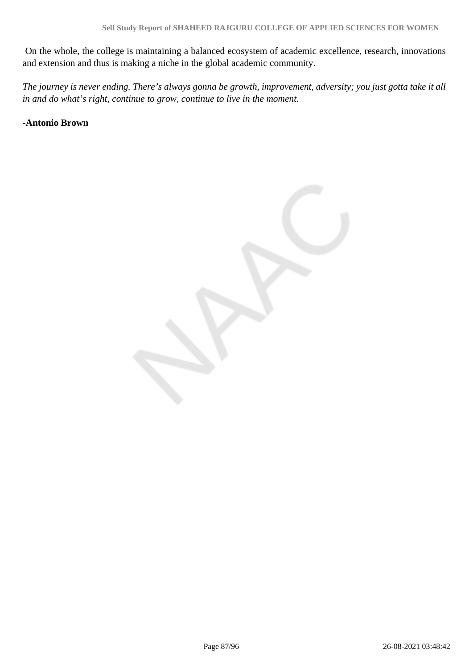On the whole, the college is maintaining a balanced ecosystem of academic excellence, research, innovations and extension and thus is making a niche in the global academic community.

*The journey is never ending. There's always gonna be growth, improvement, adversity; you just gotta take it all in and do what's right, continue to grow, continue to live in the moment.*

#### **-Antonio Brown**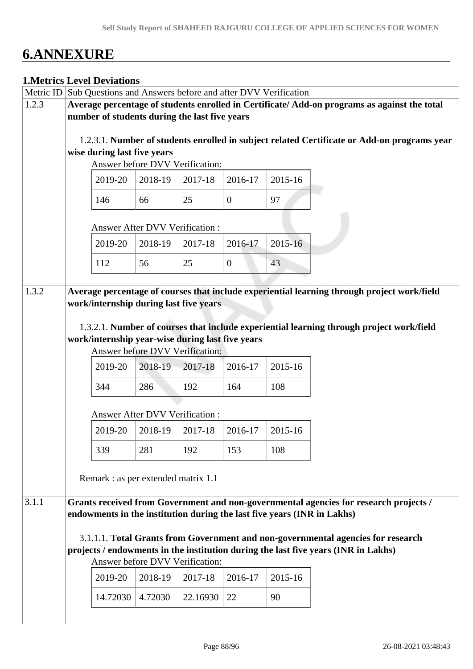# **6.ANNEXURE**

#### **1.Metrics Level Deviations**

|       | Metric ID Sub Questions and Answers before and after DVV Verification                       |                                                  |         |          |                |         |                                                                                             |
|-------|---------------------------------------------------------------------------------------------|--------------------------------------------------|---------|----------|----------------|---------|---------------------------------------------------------------------------------------------|
| 1.2.3 | Average percentage of students enrolled in Certificate/Add-on programs as against the total |                                                  |         |          |                |         |                                                                                             |
|       | number of students during the last five years                                               |                                                  |         |          |                |         |                                                                                             |
|       |                                                                                             |                                                  |         |          |                |         |                                                                                             |
|       | 1.2.3.1. Number of students enrolled in subject related Certificate or Add-on programs year |                                                  |         |          |                |         |                                                                                             |
|       |                                                                                             | wise during last five years                      |         |          |                |         |                                                                                             |
|       |                                                                                             | Answer before DVV Verification:                  |         |          |                |         |                                                                                             |
|       |                                                                                             | 2019-20                                          | 2018-19 | 2017-18  | 2016-17        | 2015-16 |                                                                                             |
|       |                                                                                             | 146                                              | 66      | 25       | $\theta$       | 97      |                                                                                             |
|       |                                                                                             | <b>Answer After DVV Verification:</b>            |         |          |                |         |                                                                                             |
|       |                                                                                             | 2019-20                                          | 2018-19 | 2017-18  | 2016-17        | 2015-16 |                                                                                             |
|       |                                                                                             | 112                                              | 56      | 25       | $\overline{0}$ | 43      |                                                                                             |
|       |                                                                                             |                                                  |         |          |                |         |                                                                                             |
| 1.3.2 |                                                                                             | work/internship during last five years           |         |          |                |         | Average percentage of courses that include experiential learning through project work/field |
|       |                                                                                             |                                                  |         |          |                |         |                                                                                             |
|       |                                                                                             |                                                  |         |          |                |         | 1.3.2.1. Number of courses that include experiential learning through project work/field    |
|       |                                                                                             | work/internship year-wise during last five years |         |          |                |         |                                                                                             |
|       |                                                                                             | Answer before DVV Verification:                  |         |          |                |         |                                                                                             |
|       |                                                                                             | 2019-20                                          | 2018-19 | 2017-18  | 2016-17        | 2015-16 |                                                                                             |
|       |                                                                                             | 344                                              | 286     | 192      | 164            | 108     |                                                                                             |
|       |                                                                                             | Answer After DVV Verification :                  |         |          |                |         |                                                                                             |
|       |                                                                                             | 2019-20                                          | 2018-19 | 2017-18  | 2016-17        | 2015-16 |                                                                                             |
|       |                                                                                             | 339                                              | 281     | 192      | 153            | 108     |                                                                                             |
|       |                                                                                             | Remark : as per extended matrix 1.1              |         |          |                |         |                                                                                             |
|       |                                                                                             |                                                  |         |          |                |         |                                                                                             |
| 3.1.1 |                                                                                             |                                                  |         |          |                |         | Grants received from Government and non-governmental agencies for research projects /       |
|       |                                                                                             |                                                  |         |          |                |         | endowments in the institution during the last five years (INR in Lakhs)                     |
|       |                                                                                             |                                                  |         |          |                |         |                                                                                             |
|       |                                                                                             |                                                  |         |          |                |         | 3.1.1.1. Total Grants from Government and non-governmental agencies for research            |
|       |                                                                                             |                                                  |         |          |                |         | projects / endowments in the institution during the last five years (INR in Lakhs)          |
|       |                                                                                             | Answer before DVV Verification:                  |         |          |                |         |                                                                                             |
|       |                                                                                             | 2019-20                                          | 2018-19 | 2017-18  | 2016-17        | 2015-16 |                                                                                             |
|       |                                                                                             | 14.72030                                         | 4.72030 | 22.16930 | 22             | 90      |                                                                                             |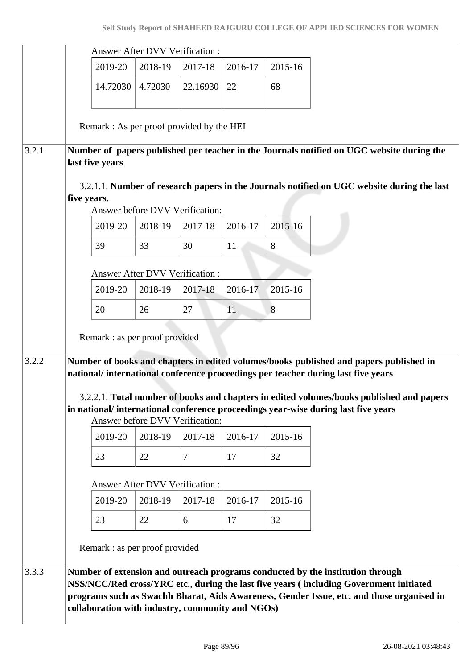|       |                                                                                                                                                                            | <b>Answer After DVV Verification:</b> |                                 |         |         |                                                                                                                                                                                                                                                                       |  |
|-------|----------------------------------------------------------------------------------------------------------------------------------------------------------------------------|---------------------------------------|---------------------------------|---------|---------|-----------------------------------------------------------------------------------------------------------------------------------------------------------------------------------------------------------------------------------------------------------------------|--|
|       | 2019-20                                                                                                                                                                    | 2018-19                               | 2017-18                         | 2016-17 | 2015-16 |                                                                                                                                                                                                                                                                       |  |
|       | 14.72030                                                                                                                                                                   | 4.72030                               | 22.16930                        | 22      | 68      |                                                                                                                                                                                                                                                                       |  |
|       | Remark: As per proof provided by the HEI                                                                                                                                   |                                       |                                 |         |         |                                                                                                                                                                                                                                                                       |  |
| 3.2.1 | last five years                                                                                                                                                            |                                       |                                 |         |         | Number of papers published per teacher in the Journals notified on UGC website during the                                                                                                                                                                             |  |
|       |                                                                                                                                                                            |                                       |                                 |         |         | 3.2.1.1. Number of research papers in the Journals notified on UGC website during the last                                                                                                                                                                            |  |
|       | five years.                                                                                                                                                                |                                       | Answer before DVV Verification: |         |         |                                                                                                                                                                                                                                                                       |  |
|       | 2019-20                                                                                                                                                                    | 2018-19                               | 2017-18                         | 2016-17 | 2015-16 |                                                                                                                                                                                                                                                                       |  |
|       | 39                                                                                                                                                                         | 33                                    | 30                              | 11      | 8       |                                                                                                                                                                                                                                                                       |  |
|       |                                                                                                                                                                            | Answer After DVV Verification:        |                                 |         |         |                                                                                                                                                                                                                                                                       |  |
|       | 2019-20                                                                                                                                                                    | 2018-19                               | 2017-18                         | 2016-17 | 2015-16 |                                                                                                                                                                                                                                                                       |  |
|       | 20                                                                                                                                                                         | 26                                    | 27                              | 11      | 8       |                                                                                                                                                                                                                                                                       |  |
|       | Remark : as per proof provided                                                                                                                                             |                                       |                                 |         |         |                                                                                                                                                                                                                                                                       |  |
| 3.2.2 | Number of books and chapters in edited volumes/books published and papers published in<br>national/international conference proceedings per teacher during last five years |                                       |                                 |         |         |                                                                                                                                                                                                                                                                       |  |
|       |                                                                                                                                                                            |                                       | Answer before DVV Verification: |         |         | 3.2.2.1. Total number of books and chapters in edited volumes/books published and papers<br>in national/international conference proceedings year-wise during last five years                                                                                         |  |
|       | 2019-20                                                                                                                                                                    | 2018-19                               | 2017-18                         | 2016-17 | 2015-16 |                                                                                                                                                                                                                                                                       |  |
|       | 23                                                                                                                                                                         | 22                                    | $\overline{7}$                  | 17      | 32      |                                                                                                                                                                                                                                                                       |  |
|       |                                                                                                                                                                            | Answer After DVV Verification:        |                                 |         |         |                                                                                                                                                                                                                                                                       |  |
|       | 2019-20                                                                                                                                                                    | 2018-19                               | 2017-18                         | 2016-17 | 2015-16 |                                                                                                                                                                                                                                                                       |  |
|       | 23                                                                                                                                                                         | 22                                    | 6                               | 17      | 32      |                                                                                                                                                                                                                                                                       |  |
|       | Remark : as per proof provided                                                                                                                                             |                                       |                                 |         |         |                                                                                                                                                                                                                                                                       |  |
| 3.3.3 | collaboration with industry, community and NGOs)                                                                                                                           |                                       |                                 |         |         | Number of extension and outreach programs conducted by the institution through<br>NSS/NCC/Red cross/YRC etc., during the last five years (including Government initiated<br>programs such as Swachh Bharat, Aids Awareness, Gender Issue, etc. and those organised in |  |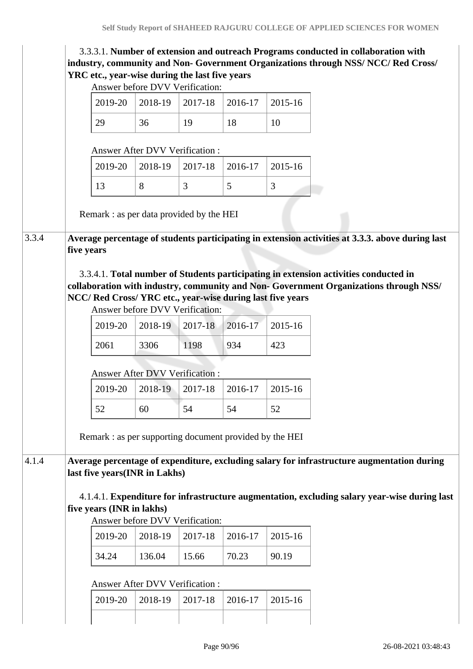| 3.3.3.1. Number of extension and outreach Programs conducted in collaboration with<br>industry, community and Non- Government Organizations through NSS/ NCC/ Red Cross/ |                                       |         |         |         |  |  |
|--------------------------------------------------------------------------------------------------------------------------------------------------------------------------|---------------------------------------|---------|---------|---------|--|--|
| YRC etc., year-wise during the last five years                                                                                                                           |                                       |         |         |         |  |  |
|                                                                                                                                                                          | Answer before DVV Verification:       |         |         |         |  |  |
| 2019-20                                                                                                                                                                  | 2018-19                               | 2017-18 | 2016-17 | 2015-16 |  |  |
| 29                                                                                                                                                                       | 36                                    | 19      | 18      | 10      |  |  |
|                                                                                                                                                                          | <b>Answer After DVV Verification:</b> |         |         |         |  |  |
| 2019-20                                                                                                                                                                  | 2018-19                               | 2017-18 | 2016-17 | 2015-16 |  |  |
| 13                                                                                                                                                                       | 8                                     | 3       | 5       | 3       |  |  |
| Remark: as per data provided by the HEI                                                                                                                                  |                                       |         |         |         |  |  |
|                                                                                                                                                                          |                                       |         |         |         |  |  |
| Average percentage of students participating in extension activities at 3.3.3. above during last<br>five years                                                           |                                       |         |         |         |  |  |
|                                                                                                                                                                          |                                       |         |         |         |  |  |
| 3.3.4.1. Total number of Students participating in extension activities conducted in                                                                                     |                                       |         |         |         |  |  |
| collaboration with industry, community and Non- Government Organizations through NSS/                                                                                    |                                       |         |         |         |  |  |
| NCC/ Red Cross/ YRC etc., year-wise during last five years                                                                                                               |                                       |         |         |         |  |  |
|                                                                                                                                                                          | Answer before DVV Verification:       |         |         |         |  |  |
| 2019-20                                                                                                                                                                  | 2018-19                               | 2017-18 | 2016-17 | 2015-16 |  |  |
| 2061                                                                                                                                                                     | 3306                                  | 1198    | 934     | 423     |  |  |
|                                                                                                                                                                          | Answer After DVV Verification:        |         |         |         |  |  |
| 2019-20                                                                                                                                                                  | 2018-19                               | 2017-18 | 2016-17 | 2015-16 |  |  |
| 52                                                                                                                                                                       | 60                                    | 54      | 54      | 52      |  |  |
| Remark: as per supporting document provided by the HEI                                                                                                                   |                                       |         |         |         |  |  |
|                                                                                                                                                                          |                                       |         |         |         |  |  |
| Average percentage of expenditure, excluding salary for infrastructure augmentation during<br>last five years(INR in Lakhs)                                              |                                       |         |         |         |  |  |
|                                                                                                                                                                          |                                       |         |         |         |  |  |
|                                                                                                                                                                          |                                       |         |         |         |  |  |
| 4.1.4.1. Expenditure for infrastructure augmentation, excluding salary year-wise during last                                                                             |                                       |         |         |         |  |  |
| five years (INR in lakhs)                                                                                                                                                | Answer before DVV Verification:       |         |         |         |  |  |
| 2019-20                                                                                                                                                                  | 2018-19                               | 2017-18 | 2016-17 | 2015-16 |  |  |
| 34.24                                                                                                                                                                    | 136.04                                | 15.66   | 70.23   | 90.19   |  |  |
|                                                                                                                                                                          |                                       |         |         |         |  |  |
|                                                                                                                                                                          | <b>Answer After DVV Verification:</b> |         |         |         |  |  |
| 2019-20                                                                                                                                                                  | 2018-19                               | 2017-18 | 2016-17 | 2015-16 |  |  |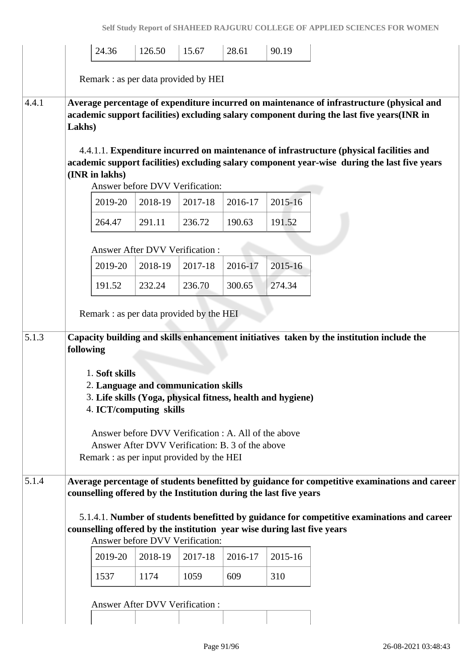|       |           | 24.36                                                                                                                                                                                        | 126.50                                | 15.67                                 | 28.61                                                                                                    | 90.19   |                                                                                                                                                                                                                                                                                                                                                                                   |
|-------|-----------|----------------------------------------------------------------------------------------------------------------------------------------------------------------------------------------------|---------------------------------------|---------------------------------------|----------------------------------------------------------------------------------------------------------|---------|-----------------------------------------------------------------------------------------------------------------------------------------------------------------------------------------------------------------------------------------------------------------------------------------------------------------------------------------------------------------------------------|
|       |           | Remark : as per data provided by HEI                                                                                                                                                         |                                       |                                       |                                                                                                          |         |                                                                                                                                                                                                                                                                                                                                                                                   |
| 4.4.1 | Lakhs)    | (INR in lakhs)                                                                                                                                                                               |                                       | Answer before DVV Verification:       |                                                                                                          |         | Average percentage of expenditure incurred on maintenance of infrastructure (physical and<br>academic support facilities) excluding salary component during the last five years(INR in<br>4.4.1.1. Expenditure incurred on maintenance of infrastructure (physical facilities and<br>academic support facilities) excluding salary component year-wise during the last five years |
|       |           | 2019-20                                                                                                                                                                                      | 2018-19                               | 2017-18                               | 2016-17                                                                                                  | 2015-16 |                                                                                                                                                                                                                                                                                                                                                                                   |
|       |           | 264.47                                                                                                                                                                                       | 291.11                                | 236.72                                | 190.63                                                                                                   | 191.52  |                                                                                                                                                                                                                                                                                                                                                                                   |
|       |           |                                                                                                                                                                                              |                                       | <b>Answer After DVV Verification:</b> |                                                                                                          |         |                                                                                                                                                                                                                                                                                                                                                                                   |
|       |           | 2019-20                                                                                                                                                                                      | 2018-19                               | 2017-18                               | 2016-17                                                                                                  | 2015-16 |                                                                                                                                                                                                                                                                                                                                                                                   |
|       |           | 191.52                                                                                                                                                                                       | 232.24                                | 236.70                                | 300.65                                                                                                   | 274.34  |                                                                                                                                                                                                                                                                                                                                                                                   |
|       |           | Remark: as per data provided by the HEI                                                                                                                                                      |                                       |                                       |                                                                                                          |         |                                                                                                                                                                                                                                                                                                                                                                                   |
| 5.1.3 | following |                                                                                                                                                                                              |                                       |                                       |                                                                                                          |         | Capacity building and skills enhancement initiatives taken by the institution include the                                                                                                                                                                                                                                                                                         |
|       |           | 1. Soft skills<br>2. Language and communication skills<br>3. Life skills (Yoga, physical fitness, health and hygiene)<br>4. ICT/computing skills<br>Remark: as per input provided by the HEI |                                       |                                       | Answer before DVV Verification : A. All of the above<br>Answer After DVV Verification: B. 3 of the above |         |                                                                                                                                                                                                                                                                                                                                                                                   |
| 5.1.4 |           | counselling offered by the Institution during the last five years                                                                                                                            |                                       |                                       |                                                                                                          |         | Average percentage of students benefitted by guidance for competitive examinations and career                                                                                                                                                                                                                                                                                     |
|       |           | counselling offered by the institution year wise during last five years                                                                                                                      |                                       | Answer before DVV Verification:       |                                                                                                          |         | 5.1.4.1. Number of students benefitted by guidance for competitive examinations and career                                                                                                                                                                                                                                                                                        |
|       |           | 2019-20                                                                                                                                                                                      | 2018-19                               | 2017-18                               | 2016-17                                                                                                  | 2015-16 |                                                                                                                                                                                                                                                                                                                                                                                   |
|       |           | 1537                                                                                                                                                                                         | 1174                                  | 1059                                  | 609                                                                                                      | 310     |                                                                                                                                                                                                                                                                                                                                                                                   |
|       |           |                                                                                                                                                                                              | <b>Answer After DVV Verification:</b> |                                       |                                                                                                          |         |                                                                                                                                                                                                                                                                                                                                                                                   |
|       |           |                                                                                                                                                                                              |                                       |                                       |                                                                                                          |         |                                                                                                                                                                                                                                                                                                                                                                                   |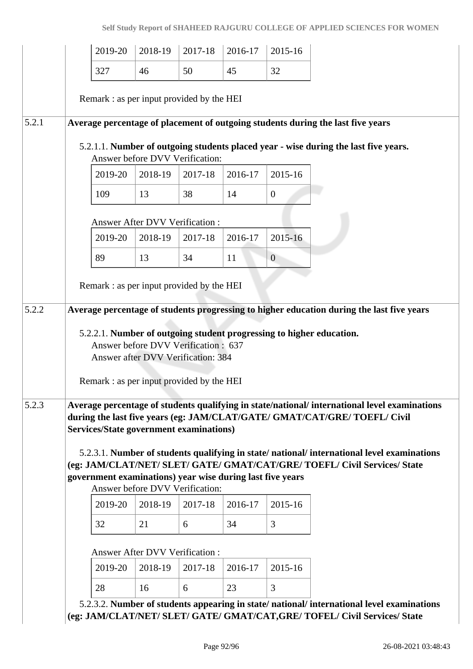|       | 2019-20                                                                                                     | 2018-19                               | 2017-18                                                                    | 2016-17       | 2015-16        |                                                                                                                                                                                                                                                                                                                                                      |
|-------|-------------------------------------------------------------------------------------------------------------|---------------------------------------|----------------------------------------------------------------------------|---------------|----------------|------------------------------------------------------------------------------------------------------------------------------------------------------------------------------------------------------------------------------------------------------------------------------------------------------------------------------------------------------|
|       | 327                                                                                                         | 46                                    | 50                                                                         | 45            | 32             |                                                                                                                                                                                                                                                                                                                                                      |
|       | Remark: as per input provided by the HEI                                                                    |                                       |                                                                            |               |                |                                                                                                                                                                                                                                                                                                                                                      |
| 5.2.1 |                                                                                                             |                                       |                                                                            |               |                | Average percentage of placement of outgoing students during the last five years<br>5.2.1.1. Number of outgoing students placed year - wise during the last five years.                                                                                                                                                                               |
|       | 2019-20                                                                                                     | 2018-19                               | Answer before DVV Verification:<br>2017-18                                 | 2016-17       | 2015-16        |                                                                                                                                                                                                                                                                                                                                                      |
|       | 109                                                                                                         | 13                                    | 38                                                                         | 14            | $\overline{0}$ |                                                                                                                                                                                                                                                                                                                                                      |
|       |                                                                                                             | <b>Answer After DVV Verification:</b> |                                                                            |               |                |                                                                                                                                                                                                                                                                                                                                                      |
|       | 2019-20                                                                                                     | 2018-19                               | 2017-18                                                                    | 2016-17       | 2015-16        |                                                                                                                                                                                                                                                                                                                                                      |
|       | 89                                                                                                          | 13                                    | 34                                                                         | 11            | $\overline{0}$ |                                                                                                                                                                                                                                                                                                                                                      |
|       | Remark: as per input provided by the HEI                                                                    |                                       |                                                                            |               |                |                                                                                                                                                                                                                                                                                                                                                      |
|       | Remark: as per input provided by the HEI                                                                    |                                       | Answer before DVV Verification : 637<br>Answer after DVV Verification: 384 |               |                | 5.2.2.1. Number of outgoing student progressing to higher education.                                                                                                                                                                                                                                                                                 |
| 5.2.3 |                                                                                                             |                                       |                                                                            |               |                |                                                                                                                                                                                                                                                                                                                                                      |
|       | <b>Services/State government examinations)</b><br>government examinations) year wise during last five years |                                       |                                                                            |               |                | Average percentage of students qualifying in state/national/ international level examinations<br>during the last five years (eg: JAM/CLAT/GATE/ GMAT/CAT/GRE/ TOEFL/ Civil<br>5.2.3.1. Number of students qualifying in state/national/international level examinations<br>(eg: JAM/CLAT/NET/ SLET/ GATE/ GMAT/CAT/GRE/ TOEFL/ Civil Services/ State |
|       |                                                                                                             |                                       | Answer before DVV Verification:                                            |               |                |                                                                                                                                                                                                                                                                                                                                                      |
|       | 2019-20<br>32                                                                                               | 2018-19<br>21                         | 2017-18<br>6                                                               | 2016-17<br>34 | 2015-16<br>3   |                                                                                                                                                                                                                                                                                                                                                      |
|       |                                                                                                             |                                       |                                                                            |               |                |                                                                                                                                                                                                                                                                                                                                                      |
|       |                                                                                                             | Answer After DVV Verification:        |                                                                            |               |                |                                                                                                                                                                                                                                                                                                                                                      |
|       | 2019-20<br>28                                                                                               | 2018-19<br>16                         | 2017-18<br>6                                                               | 2016-17<br>23 | 2015-16<br>3   |                                                                                                                                                                                                                                                                                                                                                      |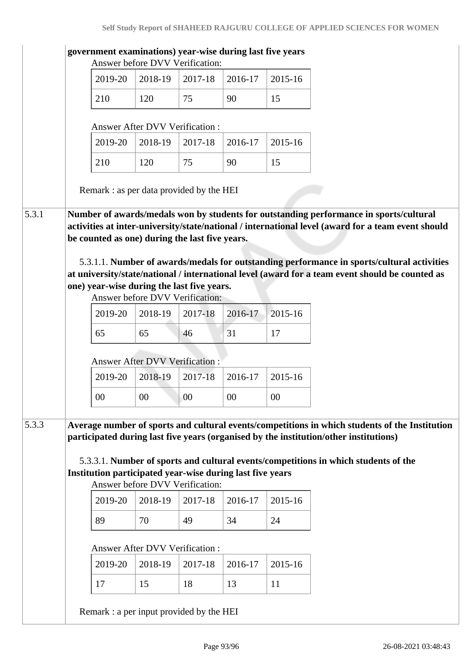|       |                                       | government examinations) year-wise during last five years                                    |         |         |         |  |                                                                                                                                                                                                                                                                                                     |  |  |  |
|-------|---------------------------------------|----------------------------------------------------------------------------------------------|---------|---------|---------|--|-----------------------------------------------------------------------------------------------------------------------------------------------------------------------------------------------------------------------------------------------------------------------------------------------------|--|--|--|
|       | 2019-20                               | Answer before DVV Verification:<br>2018-19                                                   | 2017-18 | 2016-17 | 2015-16 |  |                                                                                                                                                                                                                                                                                                     |  |  |  |
|       | 210                                   | 120                                                                                          | 75      | 90      | 15      |  |                                                                                                                                                                                                                                                                                                     |  |  |  |
|       |                                       | <b>Answer After DVV Verification:</b>                                                        |         |         |         |  |                                                                                                                                                                                                                                                                                                     |  |  |  |
|       | 2019-20                               | 2018-19                                                                                      | 2017-18 | 2016-17 | 2015-16 |  |                                                                                                                                                                                                                                                                                                     |  |  |  |
|       | 210                                   | 120                                                                                          | 75      | 90      | 15      |  |                                                                                                                                                                                                                                                                                                     |  |  |  |
|       |                                       |                                                                                              |         |         |         |  |                                                                                                                                                                                                                                                                                                     |  |  |  |
|       |                                       | Remark : as per data provided by the HEI                                                     |         |         |         |  |                                                                                                                                                                                                                                                                                                     |  |  |  |
|       |                                       | be counted as one) during the last five years.<br>one) year-wise during the last five years. |         |         |         |  | activities at inter-university/state/national / international level (award for a team event should<br>5.3.1.1. Number of awards/medals for outstanding performance in sports/cultural activities<br>at university/state/national / international level (award for a team event should be counted as |  |  |  |
|       |                                       | Answer before DVV Verification:                                                              |         |         |         |  |                                                                                                                                                                                                                                                                                                     |  |  |  |
|       | 2019-20                               | 2018-19                                                                                      | 2017-18 | 2016-17 | 2015-16 |  |                                                                                                                                                                                                                                                                                                     |  |  |  |
|       | 65                                    | 65                                                                                           | 46      | 31      | 17      |  |                                                                                                                                                                                                                                                                                                     |  |  |  |
|       | <b>Answer After DVV Verification:</b> |                                                                                              |         |         |         |  |                                                                                                                                                                                                                                                                                                     |  |  |  |
|       | 2019-20                               | 2018-19                                                                                      | 2017-18 | 2016-17 | 2015-16 |  |                                                                                                                                                                                                                                                                                                     |  |  |  |
|       | $00\,$                                | $00\,$                                                                                       | $00\,$  | $00\,$  | $00\,$  |  |                                                                                                                                                                                                                                                                                                     |  |  |  |
| 5.3.3 |                                       | Institution participated year-wise during last five years<br>Answer before DVV Verification: |         |         |         |  | Average number of sports and cultural events/competitions in which students of the Institution<br>participated during last five years (organised by the institution/other institutions)<br>5.3.3.1. Number of sports and cultural events/competitions in which students of the                      |  |  |  |
|       | 2019-20                               | 2018-19                                                                                      | 2017-18 | 2016-17 | 2015-16 |  |                                                                                                                                                                                                                                                                                                     |  |  |  |
|       | 89                                    | 70                                                                                           | 49      | 34      | 24      |  |                                                                                                                                                                                                                                                                                                     |  |  |  |
|       |                                       | <b>Answer After DVV Verification:</b>                                                        |         |         |         |  |                                                                                                                                                                                                                                                                                                     |  |  |  |
|       | 2019-20                               | 2018-19                                                                                      | 2017-18 | 2016-17 | 2015-16 |  |                                                                                                                                                                                                                                                                                                     |  |  |  |
|       | 17                                    | 15                                                                                           | 18      | 13      | 11      |  |                                                                                                                                                                                                                                                                                                     |  |  |  |
|       |                                       | Remark : a per input provided by the HEI                                                     |         |         |         |  |                                                                                                                                                                                                                                                                                                     |  |  |  |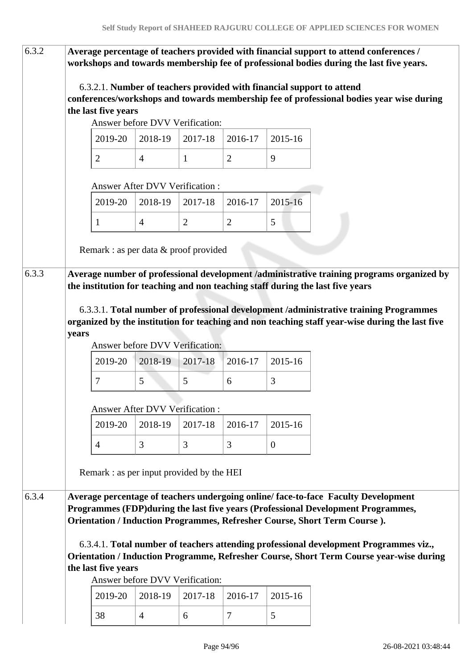| 6.3.2 |       |                                           |                                       |                |                |                | Average percentage of teachers provided with financial support to attend conferences /<br>workshops and towards membership fee of professional bodies during the last five years. |
|-------|-------|-------------------------------------------|---------------------------------------|----------------|----------------|----------------|-----------------------------------------------------------------------------------------------------------------------------------------------------------------------------------|
|       |       |                                           |                                       |                |                |                | 6.3.2.1. Number of teachers provided with financial support to attend<br>conferences/workshops and towards membership fee of professional bodies year wise during                 |
|       |       | the last five years                       | Answer before DVV Verification:       |                |                |                |                                                                                                                                                                                   |
|       |       |                                           |                                       |                |                |                |                                                                                                                                                                                   |
|       |       | 2019-20                                   | 2018-19                               | 2017-18        | 2016-17        | 2015-16        |                                                                                                                                                                                   |
|       |       | $\overline{2}$                            | $\overline{4}$                        | $\mathbf{1}$   | $\overline{2}$ | 9              |                                                                                                                                                                                   |
|       |       |                                           | <b>Answer After DVV Verification:</b> |                |                |                |                                                                                                                                                                                   |
|       |       | 2019-20                                   | 2018-19                               | 2017-18        | 2016-17        | 2015-16        |                                                                                                                                                                                   |
|       |       | $\mathbf{1}$                              | $\overline{4}$                        | $\overline{2}$ | $\overline{2}$ | 5              |                                                                                                                                                                                   |
|       |       | Remark : as per data $&$ proof provided   |                                       |                |                |                |                                                                                                                                                                                   |
| 6.3.3 |       |                                           |                                       |                |                |                | Average number of professional development /administrative training programs organized by<br>the institution for teaching and non teaching staff during the last five years       |
|       |       |                                           |                                       |                |                |                |                                                                                                                                                                                   |
|       |       |                                           |                                       |                |                |                | 6.3.3.1. Total number of professional development /administrative training Programmes                                                                                             |
|       |       |                                           |                                       |                |                |                | organized by the institution for teaching and non teaching staff year-wise during the last five                                                                                   |
|       | years |                                           | Answer before DVV Verification:       |                |                |                |                                                                                                                                                                                   |
|       |       | 2019-20                                   | 2018-19                               | 2017-18        | 2016-17        | 2015-16        |                                                                                                                                                                                   |
|       |       | 7                                         | 5                                     | 5              | 6              | 3              |                                                                                                                                                                                   |
|       |       |                                           |                                       |                |                |                |                                                                                                                                                                                   |
|       |       |                                           | <b>Answer After DVV Verification:</b> |                |                |                |                                                                                                                                                                                   |
|       |       | 2019-20                                   | 2018-19                               | 2017-18        | 2016-17        | 2015-16        |                                                                                                                                                                                   |
|       |       | $\overline{4}$                            | 3                                     | 3              | 3              | $\overline{0}$ |                                                                                                                                                                                   |
|       |       | Remark : as per input provided by the HEI |                                       |                |                |                |                                                                                                                                                                                   |
| 6.3.4 |       |                                           |                                       |                |                |                | Average percentage of teachers undergoing online/face-to-face Faculty Development                                                                                                 |
|       |       |                                           |                                       |                |                |                | Programmes (FDP) during the last five years (Professional Development Programmes,<br>Orientation / Induction Programmes, Refresher Course, Short Term Course).                    |
|       |       |                                           |                                       |                |                |                |                                                                                                                                                                                   |
|       |       |                                           |                                       |                |                |                | 6.3.4.1. Total number of teachers attending professional development Programmes viz.,<br>Orientation / Induction Programme, Refresher Course, Short Term Course year-wise during  |
|       |       | the last five years                       |                                       |                |                |                |                                                                                                                                                                                   |
|       |       |                                           | Answer before DVV Verification:       |                |                |                |                                                                                                                                                                                   |
|       |       | 2019-20                                   | 2018-19                               | 2017-18        | 2016-17        | 2015-16        |                                                                                                                                                                                   |
|       |       | 38                                        | $\overline{4}$                        | 6              | $\tau$         | 5              |                                                                                                                                                                                   |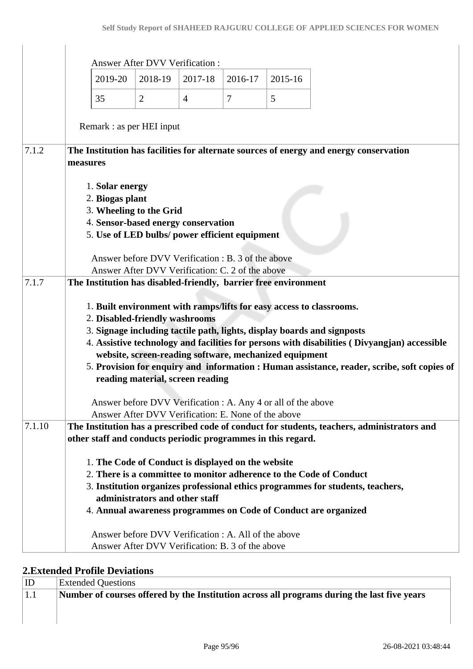|        |                                                                                                                                                        | <b>Answer After DVV Verification:</b>                                                                    |                |                |         |                                                                                                                                                                                                                                                                                                                                                |
|--------|--------------------------------------------------------------------------------------------------------------------------------------------------------|----------------------------------------------------------------------------------------------------------|----------------|----------------|---------|------------------------------------------------------------------------------------------------------------------------------------------------------------------------------------------------------------------------------------------------------------------------------------------------------------------------------------------------|
|        | 2019-20                                                                                                                                                | 2018-19                                                                                                  | 2017-18        | 2016-17        | 2015-16 |                                                                                                                                                                                                                                                                                                                                                |
|        | 35                                                                                                                                                     | $\overline{2}$                                                                                           | $\overline{4}$ | $\overline{7}$ | 5       |                                                                                                                                                                                                                                                                                                                                                |
|        | Remark : as per HEI input                                                                                                                              |                                                                                                          |                |                |         |                                                                                                                                                                                                                                                                                                                                                |
| 7.1.2  | measures                                                                                                                                               |                                                                                                          |                |                |         | The Institution has facilities for alternate sources of energy and energy conservation                                                                                                                                                                                                                                                         |
|        | 1. Solar energy<br>2. Biogas plant<br>3. Wheeling to the Grid<br>4. Sensor-based energy conservation<br>5. Use of LED bulbs/ power efficient equipment |                                                                                                          |                |                |         |                                                                                                                                                                                                                                                                                                                                                |
|        |                                                                                                                                                        | Answer before DVV Verification : B. 3 of the above<br>Answer After DVV Verification: C. 2 of the above   |                |                |         |                                                                                                                                                                                                                                                                                                                                                |
| 7.1.7  | The Institution has disabled-friendly, barrier free environment                                                                                        |                                                                                                          |                |                |         |                                                                                                                                                                                                                                                                                                                                                |
|        | 2. Disabled-friendly washrooms                                                                                                                         | website, screen-reading software, mechanized equipment<br>reading material, screen reading               |                |                |         | 1. Built environment with ramps/lifts for easy access to classrooms.<br>3. Signage including tactile path, lights, display boards and signposts<br>4. Assistive technology and facilities for persons with disabilities (Divyangjan) accessible<br>5. Provision for enquiry and information : Human assistance, reader, scribe, soft copies of |
|        |                                                                                                                                                        | Answer before DVV Verification : A. Any 4 or all of the above                                            |                |                |         |                                                                                                                                                                                                                                                                                                                                                |
| 7.1.10 |                                                                                                                                                        | Answer After DVV Verification: E. None of the above                                                      |                |                |         | The Institution has a prescribed code of conduct for students, teachers, administrators and                                                                                                                                                                                                                                                    |
|        | other staff and conducts periodic programmes in this regard.                                                                                           |                                                                                                          |                |                |         |                                                                                                                                                                                                                                                                                                                                                |
|        | 1. The Code of Conduct is displayed on the website                                                                                                     | administrators and other staff                                                                           |                |                |         | 2. There is a committee to monitor adherence to the Code of Conduct<br>3. Institution organizes professional ethics programmes for students, teachers,<br>4. Annual awareness programmes on Code of Conduct are organized                                                                                                                      |
|        |                                                                                                                                                        | Answer before DVV Verification : A. All of the above<br>Answer After DVV Verification: B. 3 of the above |                |                |         |                                                                                                                                                                                                                                                                                                                                                |

### **2.Extended Profile Deviations**

 $\mathbf{r}$ 

 $\overline{1}$ 

| $ $ ID      | <b>Extended Questions</b>                                                                   |
|-------------|---------------------------------------------------------------------------------------------|
| $\vert 1.1$ | Number of courses offered by the Institution across all programs during the last five years |
|             |                                                                                             |
|             |                                                                                             |